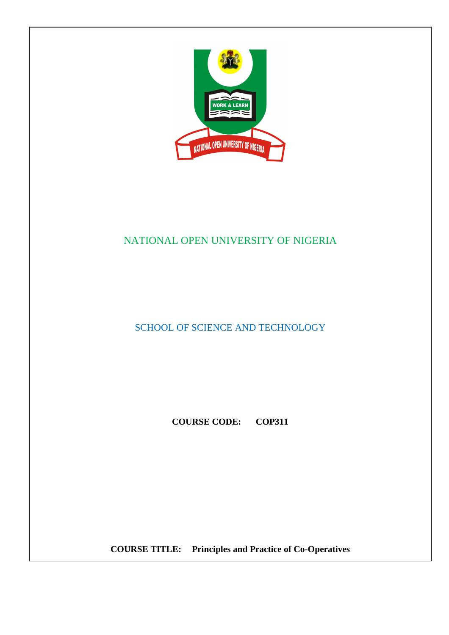

# NATIONAL OPEN UNIVERSITY OF NIGERIA

SCHOOL OF SCIENCE AND TECHNOLOGY

**COURSE CODE: COP311** 

**COURSE TITLE: Principles and Practice of Co-Operatives**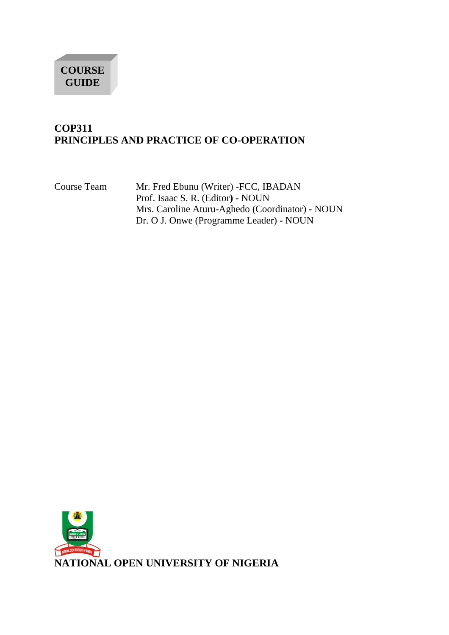

## **COP311 PRINCIPLES AND PRACTICE OF CO-OPERATION**

Course Team Mr. Fred Ebunu (Writer) -FCC, IBADAN Prof. Isaac S. R. (Editor**) -** NOUN Mrs. Caroline Aturu-Aghedo (Coordinator) **-** NOUN Dr. O J. Onwe (Programme Leader) **-** NOUN

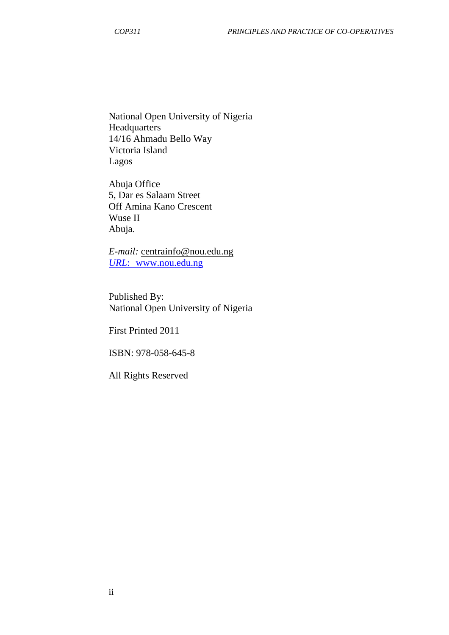National Open University of Nigeria Headquarters 14/16 Ahmadu Bello Way Victoria Island Lagos

Abuja Office 5, Dar es Salaam Street Off Amina Kano Crescent Wuse II Abuja.

*E-mail:* centrainfo@nou.edu.ng *URL*: www.nou.edu.ng

Published By: National Open University of Nigeria

First Printed 2011

ISBN: 978-058-645-8

All Rights Reserved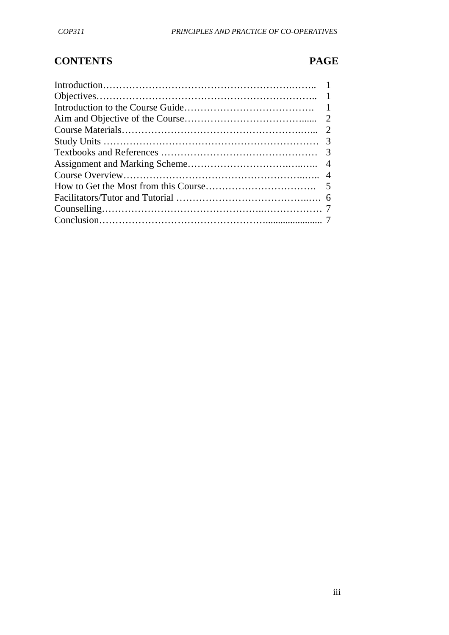# **CONTENTS PAGE**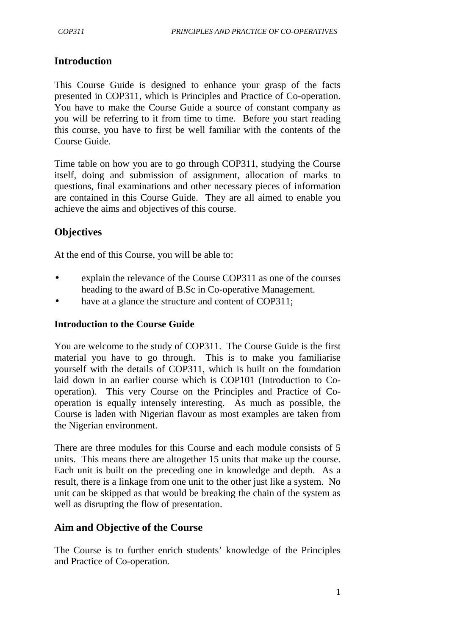## **Introduction**

This Course Guide is designed to enhance your grasp of the facts presented in COP311, which is Principles and Practice of Co-operation. You have to make the Course Guide a source of constant company as you will be referring to it from time to time. Before you start reading this course, you have to first be well familiar with the contents of the Course Guide.

Time table on how you are to go through COP311, studying the Course itself, doing and submission of assignment, allocation of marks to questions, final examinations and other necessary pieces of information are contained in this Course Guide.They are all aimed to enable you achieve the aims and objectives of this course.

## **Objectives**

At the end of this Course, you will be able to:

- explain the relevance of the Course COP311 as one of the courses heading to the award of B.Sc in Co-operative Management.
- have at a glance the structure and content of COP311;

### **Introduction to the Course Guide**

You are welcome to the study of COP311. The Course Guide is the first material you have to go through. This is to make you familiarise yourself with the details of COP311, which is built on the foundation laid down in an earlier course which is COP101 (Introduction to Cooperation). This very Course on the Principles and Practice of Cooperation is equally intensely interesting. As much as possible, the Course is laden with Nigerian flavour as most examples are taken from the Nigerian environment.

There are three modules for this Course and each module consists of 5 units. This means there are altogether 15 units that make up the course. Each unit is built on the preceding one in knowledge and depth. As a result, there is a linkage from one unit to the other just like a system. No unit can be skipped as that would be breaking the chain of the system as well as disrupting the flow of presentation.

### **Aim and Objective of the Course**

The Course is to further enrich students' knowledge of the Principles and Practice of Co-operation.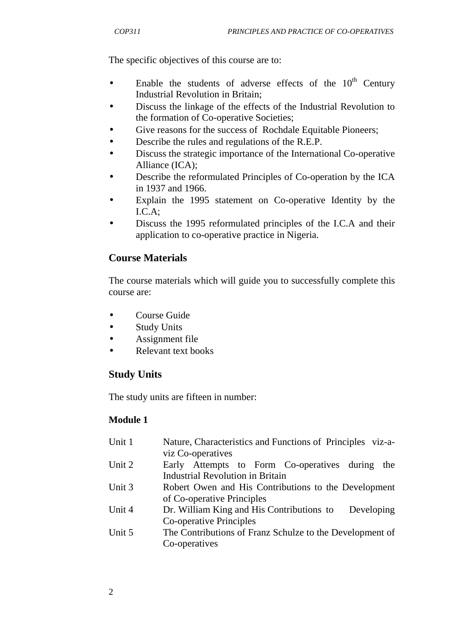The specific objectives of this course are to:

- Enable the students of adverse effects of the  $10<sup>th</sup>$  Century Industrial Revolution in Britain;
- Discuss the linkage of the effects of the Industrial Revolution to the formation of Co-operative Societies;
- Give reasons for the success of Rochdale Equitable Pioneers;
- Describe the rules and regulations of the R.E.P.
- Discuss the strategic importance of the International Co-operative Alliance (ICA);
- Describe the reformulated Principles of Co-operation by the ICA in 1937 and 1966.
- Explain the 1995 statement on Co-operative Identity by the I.C.A;
- Discuss the 1995 reformulated principles of the I.C.A and their application to co-operative practice in Nigeria.

## **Course Materials**

The course materials which will guide you to successfully complete this course are:

- Course Guide
- Study Units
- Assignment file
- Relevant text books

## **Study Units**

The study units are fifteen in number:

## **Module 1**

| Unit 1 | Nature, Characteristics and Functions of Principles viz-a- |
|--------|------------------------------------------------------------|
|        | viz Co-operatives                                          |
| Unit 2 | Early Attempts to Form Co-operatives during<br>the         |
|        | <b>Industrial Revolution in Britain</b>                    |
| Unit 3 | Robert Owen and His Contributions to the Development       |
|        | of Co-operative Principles                                 |
| Unit 4 | Dr. William King and His Contributions to<br>Developing    |
|        | Co-operative Principles                                    |
| Unit 5 | The Contributions of Franz Schulze to the Development of   |
|        | Co-operatives                                              |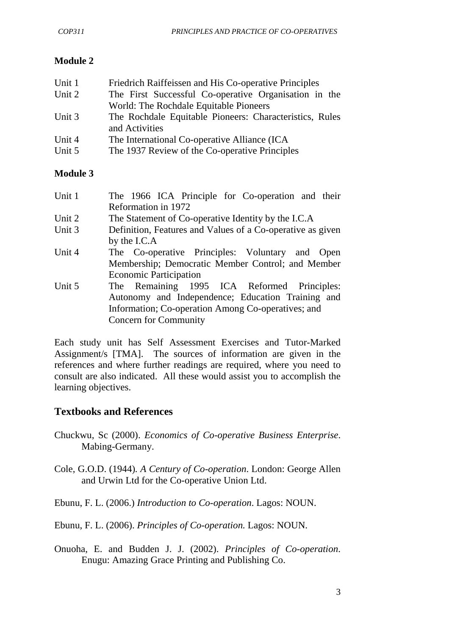## **Module 2**

| Unit 1 | Friedrich Raiffeissen and His Co-operative Principles   |
|--------|---------------------------------------------------------|
| Unit 2 | The First Successful Co-operative Organisation in the   |
|        | World: The Rochdale Equitable Pioneers                  |
| Unit 3 | The Rochdale Equitable Pioneers: Characteristics, Rules |
|        | and Activities                                          |
| Unit 4 | The International Co-operative Alliance (ICA            |
| Unit 5 | The 1937 Review of the Co-operative Principles          |

### **Module 3**

| Unit 1 | The 1966 ICA Principle for Co-operation and their          |  |
|--------|------------------------------------------------------------|--|
|        | Reformation in 1972                                        |  |
| Unit 2 | The Statement of Co-operative Identity by the I.C.A        |  |
| Unit 3 | Definition, Features and Values of a Co-operative as given |  |
|        | by the I.C.A                                               |  |
| Unit 4 | The Co-operative Principles: Voluntary and Open            |  |
|        | Membership; Democratic Member Control; and Member          |  |
|        | <b>Economic Participation</b>                              |  |
| Unit 5 | The Remaining 1995 ICA Reformed Principles:                |  |
|        | Autonomy and Independence; Education Training and          |  |
|        | Information; Co-operation Among Co-operatives; and         |  |
|        | <b>Concern for Community</b>                               |  |

Each study unit has Self Assessment Exercises and Tutor-Marked Assignment/s [TMA]. The sources of information are given in the references and where further readings are required, where you need to consult are also indicated. All these would assist you to accomplish the learning objectives.

# **Textbooks and References**

- Chuckwu, Sc (2000). *Economics of Co-operative Business Enterprise*. Mabing-Germany.
- Cole, G.O.D. (1944)*. A Century of Co-operation*. London: George Allen and Urwin Ltd for the Co-operative Union Ltd.
- Ebunu, F. L. (2006.) *Introduction to Co-operation*. Lagos: NOUN.
- Ebunu, F. L. (2006). *Principles of Co-operation.* Lagos: NOUN.
- Onuoha, E. and Budden J. J. (2002). *Principles of Co-operation*. Enugu: Amazing Grace Printing and Publishing Co.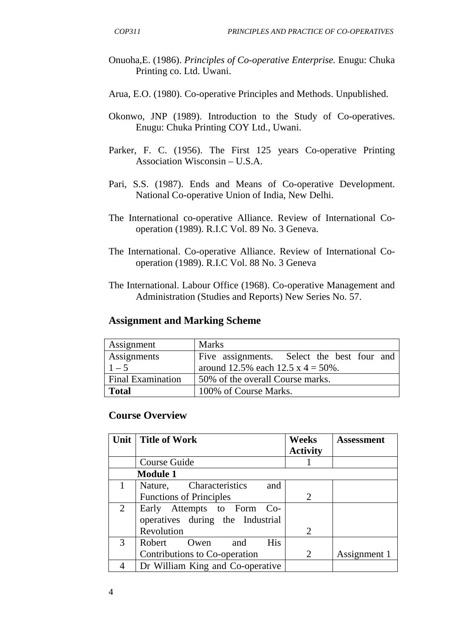- Onuoha,E. (1986). *Principles of Co-operative Enterprise.* Enugu: Chuka Printing co. Ltd. Uwani.
- Arua, E.O. (1980). Co-operative Principles and Methods. Unpublished.
- Okonwo, JNP (1989). Introduction to the Study of Co-operatives. Enugu: Chuka Printing COY Ltd., Uwani.
- Parker, F. C. (1956). The First 125 years Co-operative Printing Association Wisconsin – U.S.A.
- Pari, S.S. (1987). Ends and Means of Co-operative Development. National Co-operative Union of India, New Delhi.
- The International co-operative Alliance. Review of International Cooperation (1989). R.I.C Vol. 89 No. 3 Geneva.
- The International. Co-operative Alliance. Review of International Cooperation (1989). R.I.C Vol. 88 No. 3 Geneva
- The International. Labour Office (1968). Co-operative Management and Administration (Studies and Reports) New Series No. 57.

### **Assignment and Marking Scheme**

| Assignment               | <b>Marks</b>                               |
|--------------------------|--------------------------------------------|
| Assignments              | Five assignments. Select the best four and |
| $1 - 5$                  | around 12.5% each 12.5 x 4 = 50%.          |
| <b>Final Examination</b> | 50% of the overall Course marks.           |
| <b>Total</b>             | 100% of Course Marks.                      |

### **Course Overview**

| Unit           | Title of Work                    | Weeks                       | <b>Assessment</b> |
|----------------|----------------------------------|-----------------------------|-------------------|
|                |                                  | <b>Activity</b>             |                   |
|                | Course Guide                     |                             |                   |
|                | <b>Module 1</b>                  |                             |                   |
|                | Nature, Characteristics<br>and   |                             |                   |
|                | <b>Functions of Principles</b>   | $\mathcal{D}_{\mathcal{L}}$ |                   |
| $\overline{2}$ | Early Attempts to Form Co-       |                             |                   |
|                | operatives during the Industrial |                             |                   |
|                | Revolution                       | $\mathcal{D}_{\mathcal{L}}$ |                   |
| 3              | <b>His</b><br>Robert Owen<br>and |                             |                   |
|                | Contributions to Co-operation    | 2                           | Assignment 1      |
|                | Dr William King and Co-operative |                             |                   |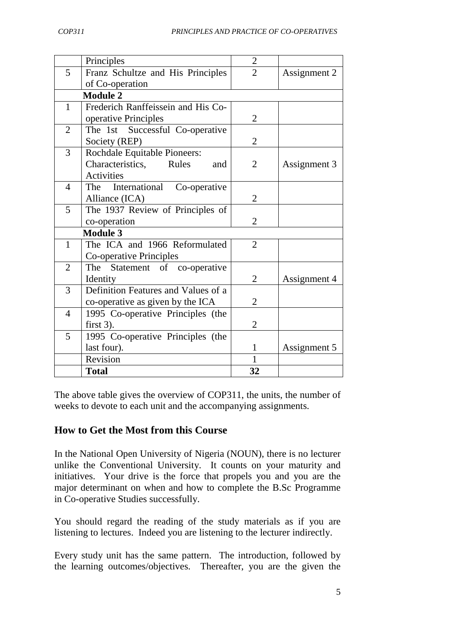|                | Principles                          | $\overline{2}$ |              |
|----------------|-------------------------------------|----------------|--------------|
| 5              | Franz Schultze and His Principles   | $\overline{2}$ | Assignment 2 |
|                | of Co-operation                     |                |              |
|                | <b>Module 2</b>                     |                |              |
| $\mathbf{1}$   | Frederich Ranffeissein and His Co-  |                |              |
|                | operative Principles                | $\overline{2}$ |              |
| 2              | The 1st Successful Co-operative     |                |              |
|                | Society (REP)                       | $\overline{2}$ |              |
| $\overline{3}$ | <b>Rochdale Equitable Pioneers:</b> |                |              |
|                | Characteristics, Rules<br>and       | $\overline{2}$ | Assignment 3 |
|                | Activities                          |                |              |
| $\overline{4}$ | International Co-operative<br>The   |                |              |
|                | Alliance (ICA)                      | $\overline{2}$ |              |
| 5              | The 1937 Review of Principles of    |                |              |
|                | co-operation                        | $\overline{2}$ |              |
|                | <b>Module 3</b>                     |                |              |
| $\mathbf{1}$   | The ICA and 1966 Reformulated       | $\overline{2}$ |              |
|                | Co-operative Principles             |                |              |
| $\overline{2}$ | The Statement of co-operative       |                |              |
|                | Identity                            | $\overline{2}$ | Assignment 4 |
| 3              | Definition Features and Values of a |                |              |
|                | co-operative as given by the ICA    | $\overline{2}$ |              |
| $\overline{4}$ | 1995 Co-operative Principles (the   |                |              |
|                | first $3$ ).                        | $\overline{2}$ |              |
| 5              | 1995 Co-operative Principles (the   |                |              |
|                | last four).                         | $\mathbf{1}$   | Assignment 5 |
|                | Revision                            | $\mathbf{1}$   |              |
|                | <b>Total</b>                        | 32             |              |

The above table gives the overview of COP311, the units, the number of weeks to devote to each unit and the accompanying assignments.

## **How to Get the Most from this Course**

In the National Open University of Nigeria (NOUN), there is no lecturer unlike the Conventional University. It counts on your maturity and initiatives. Your drive is the force that propels you and you are the major determinant on when and how to complete the B.Sc Programme in Co-operative Studies successfully.

You should regard the reading of the study materials as if you are listening to lectures. Indeed you are listening to the lecturer indirectly.

Every study unit has the same pattern. The introduction, followed by the learning outcomes/objectives. Thereafter, you are the given the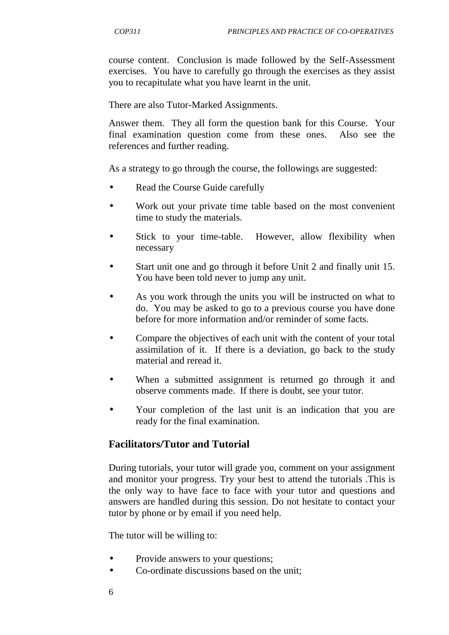course content. Conclusion is made followed by the Self-Assessment exercises. You have to carefully go through the exercises as they assist you to recapitulate what you have learnt in the unit.

There are also Tutor-Marked Assignments.

Answer them. They all form the question bank for this Course. Your final examination question come from these ones. Also see the references and further reading.

As a strategy to go through the course, the followings are suggested:

- Read the Course Guide carefully
- Work out your private time table based on the most convenient time to study the materials.
- Stick to your time-table. However, allow flexibility when necessary
- Start unit one and go through it before Unit 2 and finally unit 15. You have been told never to jump any unit.
- As you work through the units you will be instructed on what to do. You may be asked to go to a previous course you have done before for more information and/or reminder of some facts.
- Compare the objectives of each unit with the content of your total assimilation of it. If there is a deviation, go back to the study material and reread it.
- When a submitted assignment is returned go through it and observe comments made. If there is doubt, see your tutor.
- Your completion of the last unit is an indication that you are ready for the final examination.

## **Facilitators/Tutor and Tutorial**

During tutorials, your tutor will grade you, comment on your assignment and monitor your progress. Try your best to attend the tutorials .This is the only way to have face to face with your tutor and questions and answers are handled during this session. Do not hesitate to contact your tutor by phone or by email if you need help.

The tutor will be willing to:

- Provide answers to your questions;
- Co-ordinate discussions based on the unit;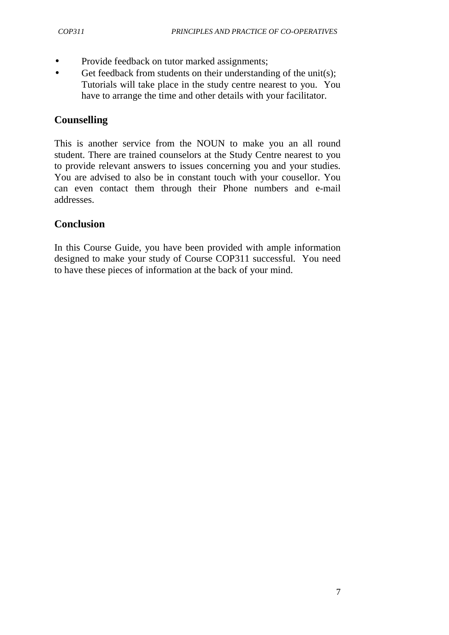- Provide feedback on tutor marked assignments;
- Get feedback from students on their understanding of the unit(s); Tutorials will take place in the study centre nearest to you. You have to arrange the time and other details with your facilitator.

## **Counselling**

This is another service from the NOUN to make you an all round student. There are trained counselors at the Study Centre nearest to you to provide relevant answers to issues concerning you and your studies. You are advised to also be in constant touch with your cousellor. You can even contact them through their Phone numbers and e-mail addresses.

## **Conclusion**

In this Course Guide, you have been provided with ample information designed to make your study of Course COP311 successful. You need to have these pieces of information at the back of your mind.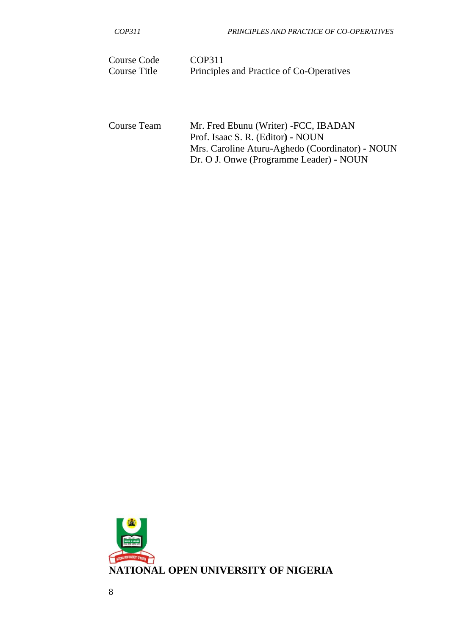| Course Code  | COP311                                   |
|--------------|------------------------------------------|
| Course Title | Principles and Practice of Co-Operatives |

Course Team Mr. Fred Ebunu (Writer) -FCC, IBADAN Prof. Isaac S. R. (Editor**) -** NOUN Mrs. Caroline Aturu-Aghedo (Coordinator) **-** NOUN Dr. O J. Onwe (Programme Leader) **-** NOUN

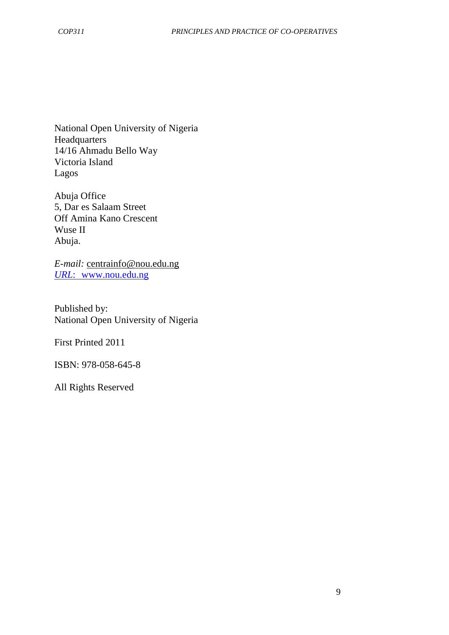National Open University of Nigeria **Headquarters** 14/16 Ahmadu Bello Way Victoria Island Lagos

Abuja Office 5, Dar es Salaam Street Off Amina Kano Crescent Wuse II Abuja.

*E-mail:* centrainfo@nou.edu.ng *URL*: www.nou.edu.ng

Published by: National Open University of Nigeria

First Printed 2011

ISBN: 978-058-645-8

All Rights Reserved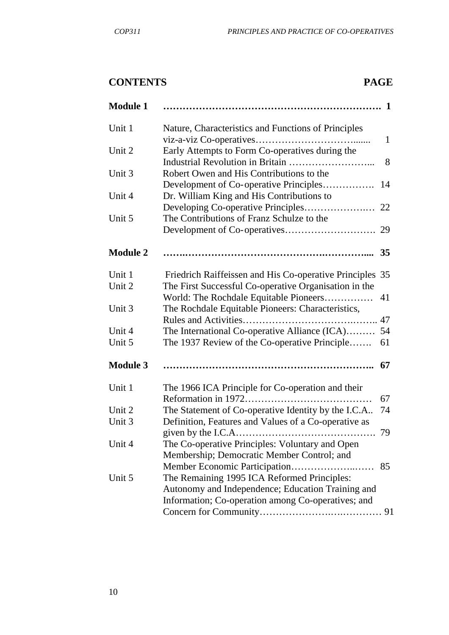# **CONTENTS PAGE**

| <b>Module 1</b> |                                                                                                                                                        |
|-----------------|--------------------------------------------------------------------------------------------------------------------------------------------------------|
| Unit 1          | Nature, Characteristics and Functions of Principles<br>$\mathbf{1}$                                                                                    |
| Unit 2          | Early Attempts to Form Co-operatives during the<br>8                                                                                                   |
| Unit 3          | Robert Owen and His Contributions to the                                                                                                               |
| Unit 4          | Development of Co-operative Principles<br>14<br>Dr. William King and His Contributions to                                                              |
| Unit 5          | The Contributions of Franz Schulze to the                                                                                                              |
|                 | 29                                                                                                                                                     |
| <b>Module 2</b> |                                                                                                                                                        |
| Unit 1          | Friedrich Raiffeissen and His Co-operative Principles 35                                                                                               |
| Unit 2          | The First Successful Co-operative Organisation in the<br>World: The Rochdale Equitable Pioneers<br>41                                                  |
| Unit 3          | The Rochdale Equitable Pioneers: Characteristics,                                                                                                      |
| Unit 4          | The International Co-operative Alliance (ICA)<br>54                                                                                                    |
| Unit 5          | The 1937 Review of the Co-operative Principle<br>61                                                                                                    |
| <b>Module 3</b> | 67                                                                                                                                                     |
| Unit 1          | The 1966 ICA Principle for Co-operation and their<br>67                                                                                                |
| Unit 2          | The Statement of Co-operative Identity by the I.C.A<br>74                                                                                              |
| Unit 3          | Definition, Features and Values of a Co-operative as<br>-79                                                                                            |
| Unit 4          | The Co-operative Principles: Voluntary and Open<br>Membership; Democratic Member Control; and<br>Member Economic Participation<br>85<br>.              |
| Unit 5          | The Remaining 1995 ICA Reformed Principles:<br>Autonomy and Independence; Education Training and<br>Information; Co-operation among Co-operatives; and |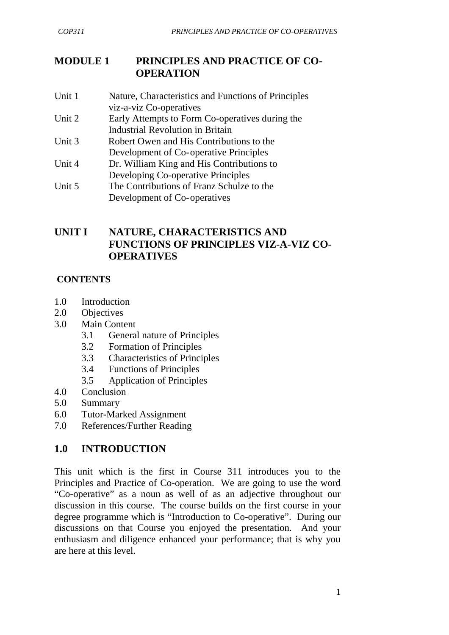# **MODULE 1 PRINCIPLES AND PRACTICE OF CO- OPERATION**

- Unit 1 Nature, Characteristics and Functions of Principles viz-a-viz Co-operatives
- Unit 2 Early Attempts to Form Co-operatives during the Industrial Revolution in Britain
- Unit 3 Robert Owen and His Contributions to the Development of Co- operative Principles
- Unit 4 Dr. William King and His Contributions to Developing Co-operative Principles
- Unit 5 The Contributions of Franz Schulze to the Development of Co- operatives

# **UNIT I NATURE, CHARACTERISTICS AND FUNCTIONS OF PRINCIPLES VIZ-A-VIZ CO-OPERATIVES**

# **CONTENTS**

- 1.0 Introduction
- 2.0 Objectives
- 3.0 Main Content
	- 3.1 General nature of Principles
	- 3.2 Formation of Principles
	- 3.3 Characteristics of Principles
	- 3.4 Functions of Principles
	- 3.5 Application of Principles
- 4.0 Conclusion
- 5.0 Summary
- 6.0 Tutor-Marked Assignment
- 7.0 References/Further Reading

# **1.0 INTRODUCTION**

This unit which is the first in Course 311 introduces you to the Principles and Practice of Co-operation. We are going to use the word "Co-operative" as a noun as well of as an adjective throughout our discussion in this course. The course builds on the first course in your degree programme which is "Introduction to Co-operative". During our discussions on that Course you enjoyed the presentation. And your enthusiasm and diligence enhanced your performance; that is why you are here at this level.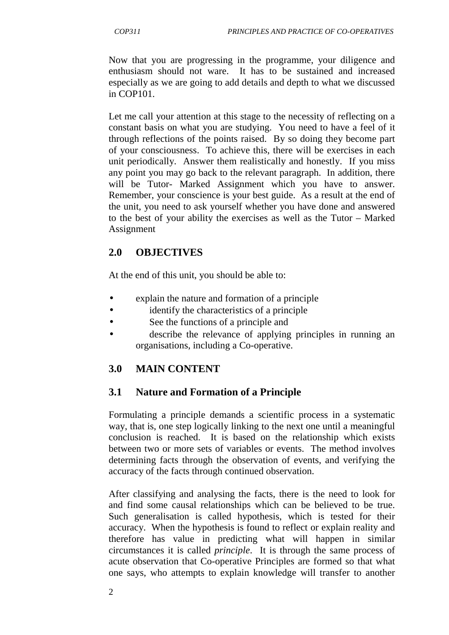Now that you are progressing in the programme, your diligence and enthusiasm should not ware. It has to be sustained and increased especially as we are going to add details and depth to what we discussed in COP101.

Let me call your attention at this stage to the necessity of reflecting on a constant basis on what you are studying. You need to have a feel of it through reflections of the points raised. By so doing they become part of your consciousness. To achieve this, there will be exercises in each unit periodically. Answer them realistically and honestly. If you miss any point you may go back to the relevant paragraph. In addition, there will be Tutor- Marked Assignment which you have to answer. Remember, your conscience is your best guide. As a result at the end of the unit, you need to ask yourself whether you have done and answered to the best of your ability the exercises as well as the Tutor – Marked Assignment

# **2.0 OBJECTIVES**

At the end of this unit, you should be able to:

- explain the nature and formation of a principle
- identify the characteristics of a principle
- See the functions of a principle and
- describe the relevance of applying principles in running an organisations, including a Co-operative.

# **3.0 MAIN CONTENT**

# **3.1 Nature and Formation of a Principle**

Formulating a principle demands a scientific process in a systematic way, that is, one step logically linking to the next one until a meaningful conclusion is reached. It is based on the relationship which exists between two or more sets of variables or events. The method involves determining facts through the observation of events, and verifying the accuracy of the facts through continued observation.

After classifying and analysing the facts, there is the need to look for and find some causal relationships which can be believed to be true. Such generalisation is called hypothesis, which is tested for their accuracy. When the hypothesis is found to reflect or explain reality and therefore has value in predicting what will happen in similar circumstances it is called *principle*. It is through the same process of acute observation that Co-operative Principles are formed so that what one says, who attempts to explain knowledge will transfer to another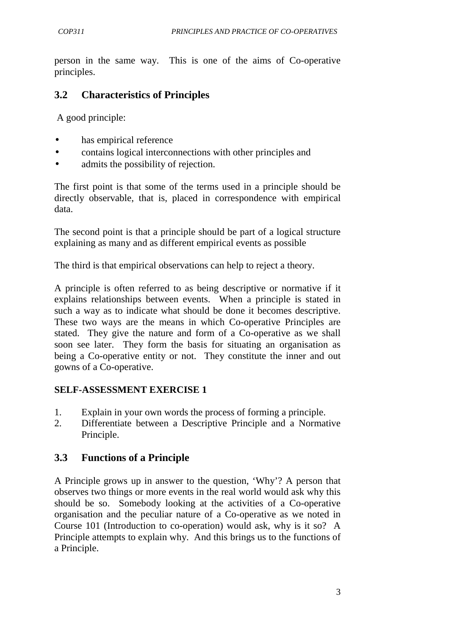person in the same way. This is one of the aims of Co-operative principles.

# **3.2 Characteristics of Principles**

A good principle:

- has empirical reference
- contains logical interconnections with other principles and
- admits the possibility of rejection.

The first point is that some of the terms used in a principle should be directly observable, that is, placed in correspondence with empirical data.

The second point is that a principle should be part of a logical structure explaining as many and as different empirical events as possible

The third is that empirical observations can help to reject a theory.

A principle is often referred to as being descriptive or normative if it explains relationships between events. When a principle is stated in such a way as to indicate what should be done it becomes descriptive. These two ways are the means in which Co-operative Principles are stated. They give the nature and form of a Co-operative as we shall soon see later. They form the basis for situating an organisation as being a Co-operative entity or not. They constitute the inner and out gowns of a Co-operative.

## **SELF-ASSESSMENT EXERCISE 1**

- 1. Explain in your own words the process of forming a principle.
- 2. Differentiate between a Descriptive Principle and a Normative Principle.

# **3.3 Functions of a Principle**

A Principle grows up in answer to the question, 'Why'? A person that observes two things or more events in the real world would ask why this should be so. Somebody looking at the activities of a Co-operative organisation and the peculiar nature of a Co-operative as we noted in Course 101 (Introduction to co-operation) would ask, why is it so? A Principle attempts to explain why. And this brings us to the functions of a Principle.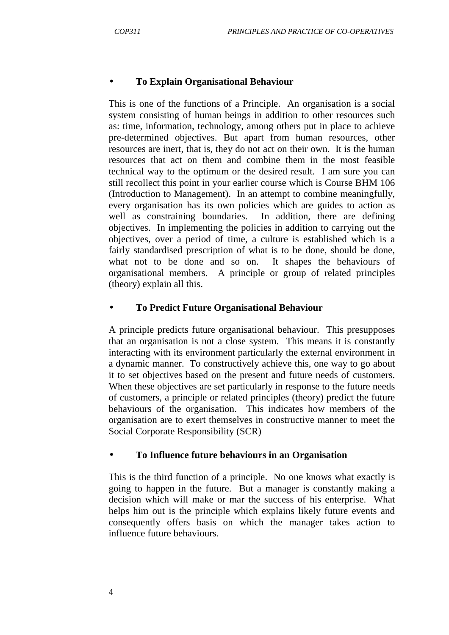### • **To Explain Organisational Behaviour**

This is one of the functions of a Principle. An organisation is a social system consisting of human beings in addition to other resources such as: time, information, technology, among others put in place to achieve pre-determined objectives. But apart from human resources, other resources are inert, that is, they do not act on their own. It is the human resources that act on them and combine them in the most feasible technical way to the optimum or the desired result. I am sure you can still recollect this point in your earlier course which is Course BHM 106 (Introduction to Management). In an attempt to combine meaningfully, every organisation has its own policies which are guides to action as well as constraining boundaries. In addition, there are defining objectives. In implementing the policies in addition to carrying out the objectives, over a period of time, a culture is established which is a fairly standardised prescription of what is to be done, should be done, what not to be done and so on. It shapes the behaviours of organisational members. A principle or group of related principles (theory) explain all this.

#### • **To Predict Future Organisational Behaviour**

A principle predicts future organisational behaviour. This presupposes that an organisation is not a close system. This means it is constantly interacting with its environment particularly the external environment in a dynamic manner. To constructively achieve this, one way to go about it to set objectives based on the present and future needs of customers. When these objectives are set particularly in response to the future needs of customers, a principle or related principles (theory) predict the future behaviours of the organisation. This indicates how members of the organisation are to exert themselves in constructive manner to meet the Social Corporate Responsibility (SCR)

#### • **To Influence future behaviours in an Organisation**

This is the third function of a principle. No one knows what exactly is going to happen in the future. But a manager is constantly making a decision which will make or mar the success of his enterprise. What helps him out is the principle which explains likely future events and consequently offers basis on which the manager takes action to influence future behaviours.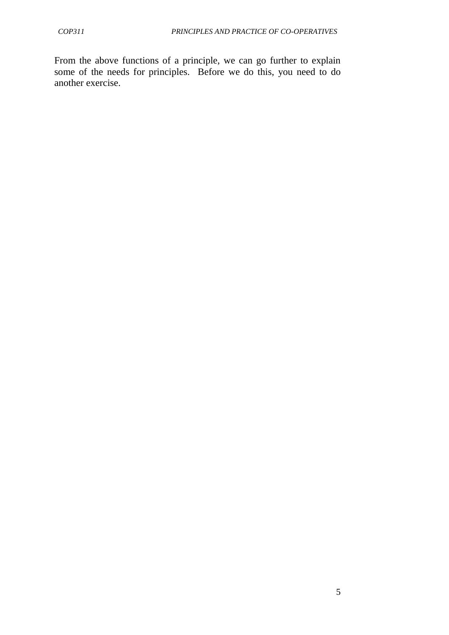From the above functions of a principle, we can go further to explain some of the needs for principles. Before we do this, you need to do another exercise.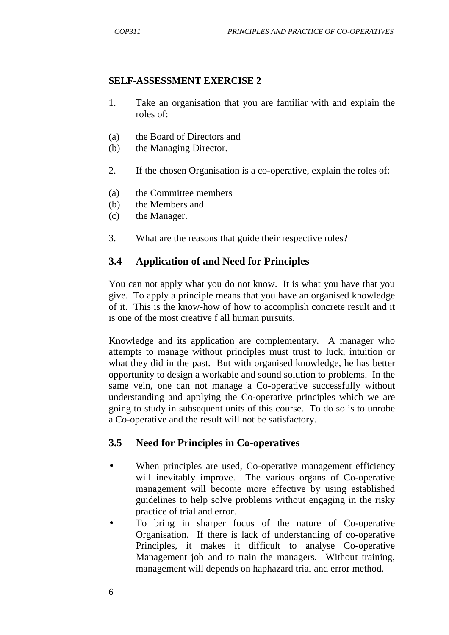#### **SELF-ASSESSMENT EXERCISE 2**

- 1. Take an organisation that you are familiar with and explain the roles of:
- (a) the Board of Directors and
- (b) the Managing Director.
- 2. If the chosen Organisation is a co-operative, explain the roles of:
- (a) the Committee members
- (b) the Members and
- (c) the Manager.
- 3. What are the reasons that guide their respective roles?

## **3.4 Application of and Need for Principles**

You can not apply what you do not know. It is what you have that you give. To apply a principle means that you have an organised knowledge of it. This is the know-how of how to accomplish concrete result and it is one of the most creative f all human pursuits.

Knowledge and its application are complementary. A manager who attempts to manage without principles must trust to luck, intuition or what they did in the past. But with organised knowledge, he has better opportunity to design a workable and sound solution to problems. In the same vein, one can not manage a Co-operative successfully without understanding and applying the Co-operative principles which we are going to study in subsequent units of this course. To do so is to unrobe a Co-operative and the result will not be satisfactory.

## **3.5 Need for Principles in Co-operatives**

- When principles are used, Co-operative management efficiency will inevitably improve. The various organs of Co-operative management will become more effective by using established guidelines to help solve problems without engaging in the risky practice of trial and error.
- To bring in sharper focus of the nature of Co-operative Organisation. If there is lack of understanding of co-operative Principles, it makes it difficult to analyse Co-operative Management job and to train the managers. Without training, management will depends on haphazard trial and error method.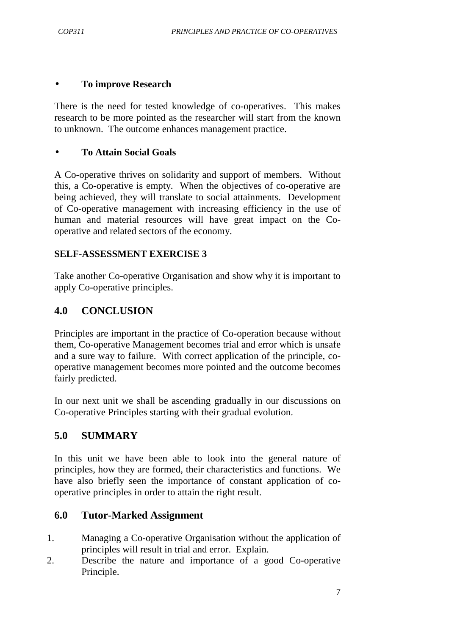### • **To improve Research**

There is the need for tested knowledge of co-operatives. This makes research to be more pointed as the researcher will start from the known to unknown. The outcome enhances management practice.

## • **To Attain Social Goals**

A Co-operative thrives on solidarity and support of members. Without this, a Co-operative is empty. When the objectives of co-operative are being achieved, they will translate to social attainments. Development of Co-operative management with increasing efficiency in the use of human and material resources will have great impact on the Cooperative and related sectors of the economy.

## **SELF-ASSESSMENT EXERCISE 3**

Take another Co-operative Organisation and show why it is important to apply Co-operative principles.

## **4.0 CONCLUSION**

Principles are important in the practice of Co-operation because without them, Co-operative Management becomes trial and error which is unsafe and a sure way to failure. With correct application of the principle, cooperative management becomes more pointed and the outcome becomes fairly predicted.

In our next unit we shall be ascending gradually in our discussions on Co-operative Principles starting with their gradual evolution.

## **5.0 SUMMARY**

In this unit we have been able to look into the general nature of principles, how they are formed, their characteristics and functions. We have also briefly seen the importance of constant application of cooperative principles in order to attain the right result.

## **6.0 Tutor-Marked Assignment**

- 1. Managing a Co-operative Organisation without the application of principles will result in trial and error. Explain.
- 2. Describe the nature and importance of a good Co-operative Principle.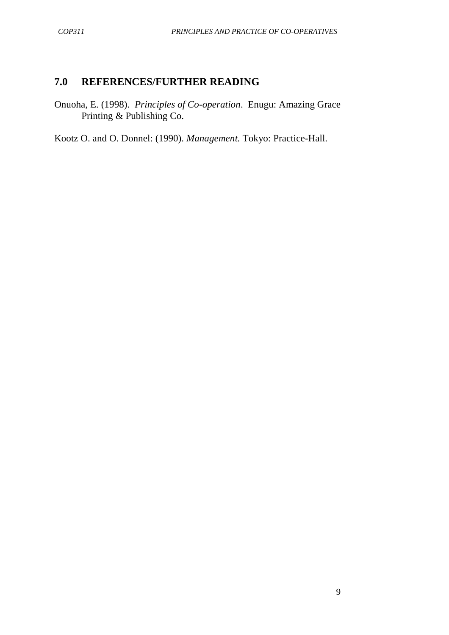# **7.0 REFERENCES/FURTHER READING**

Onuoha, E. (1998). *Principles of Co-operation*. Enugu: Amazing Grace Printing & Publishing Co.

Kootz O. and O. Donnel: (1990). *Management.* Tokyo: Practice-Hall.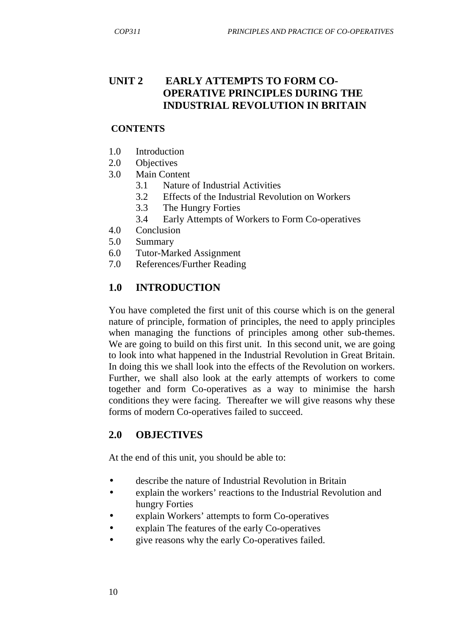## **UNIT 2 EARLY ATTEMPTS TO FORM CO- OPERATIVE PRINCIPLES DURING THE INDUSTRIAL REVOLUTION IN BRITAIN**

### **CONTENTS**

- 1.0 Introduction
- 2.0 Objectives
- 3.0 Main Content
	- 3.1 Nature of Industrial Activities
	- 3.2 Effects of the Industrial Revolution on Workers
	- 3.3 The Hungry Forties
	- 3.4 Early Attempts of Workers to Form Co-operatives
- 4.0 Conclusion
- 5.0 Summary
- 6.0 Tutor-Marked Assignment
- 7.0 References/Further Reading

# **1.0 INTRODUCTION**

You have completed the first unit of this course which is on the general nature of principle, formation of principles, the need to apply principles when managing the functions of principles among other sub-themes. We are going to build on this first unit. In this second unit, we are going to look into what happened in the Industrial Revolution in Great Britain. In doing this we shall look into the effects of the Revolution on workers. Further, we shall also look at the early attempts of workers to come together and form Co-operatives as a way to minimise the harsh conditions they were facing. Thereafter we will give reasons why these forms of modern Co-operatives failed to succeed.

# **2.0 OBJECTIVES**

At the end of this unit, you should be able to:

- describe the nature of Industrial Revolution in Britain
- explain the workers' reactions to the Industrial Revolution and hungry Forties
- explain Workers' attempts to form Co-operatives
- explain The features of the early Co-operatives
- give reasons why the early Co-operatives failed.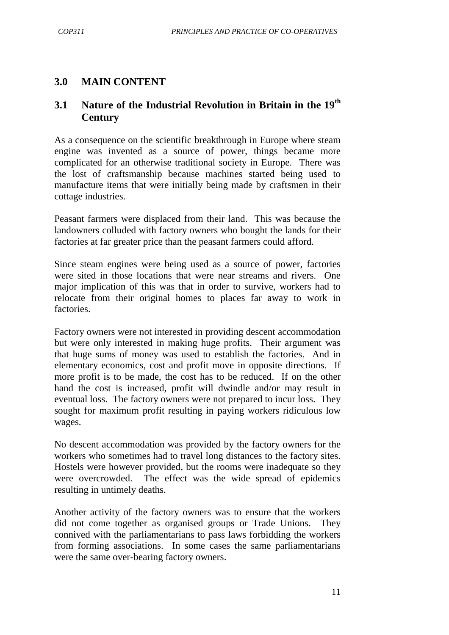## **3.0 MAIN CONTENT**

# **3.1 Nature of the Industrial Revolution in Britain in the 19th Century**

As a consequence on the scientific breakthrough in Europe where steam engine was invented as a source of power, things became more complicated for an otherwise traditional society in Europe. There was the lost of craftsmanship because machines started being used to manufacture items that were initially being made by craftsmen in their cottage industries.

Peasant farmers were displaced from their land. This was because the landowners colluded with factory owners who bought the lands for their factories at far greater price than the peasant farmers could afford.

Since steam engines were being used as a source of power, factories were sited in those locations that were near streams and rivers. One major implication of this was that in order to survive, workers had to relocate from their original homes to places far away to work in factories.

Factory owners were not interested in providing descent accommodation but were only interested in making huge profits. Their argument was that huge sums of money was used to establish the factories. And in elementary economics, cost and profit move in opposite directions. If more profit is to be made, the cost has to be reduced. If on the other hand the cost is increased, profit will dwindle and/or may result in eventual loss. The factory owners were not prepared to incur loss. They sought for maximum profit resulting in paying workers ridiculous low wages.

No descent accommodation was provided by the factory owners for the workers who sometimes had to travel long distances to the factory sites. Hostels were however provided, but the rooms were inadequate so they were overcrowded. The effect was the wide spread of epidemics resulting in untimely deaths.

Another activity of the factory owners was to ensure that the workers did not come together as organised groups or Trade Unions. They connived with the parliamentarians to pass laws forbidding the workers from forming associations. In some cases the same parliamentarians were the same over-bearing factory owners.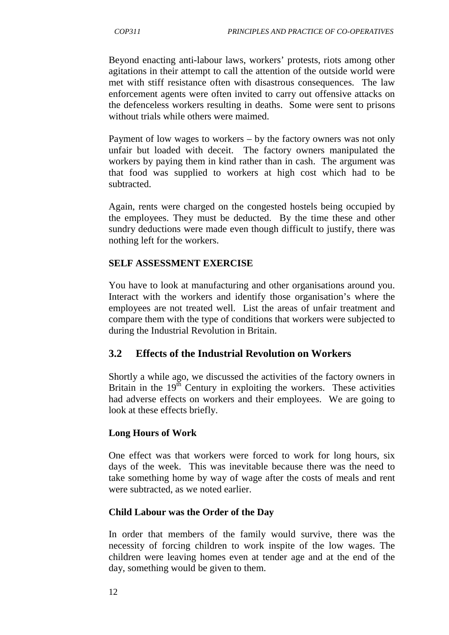Beyond enacting anti-labour laws, workers' protests, riots among other agitations in their attempt to call the attention of the outside world were met with stiff resistance often with disastrous consequences. The law enforcement agents were often invited to carry out offensive attacks on the defenceless workers resulting in deaths. Some were sent to prisons without trials while others were maimed.

Payment of low wages to workers – by the factory owners was not only unfair but loaded with deceit. The factory owners manipulated the workers by paying them in kind rather than in cash. The argument was that food was supplied to workers at high cost which had to be subtracted.

Again, rents were charged on the congested hostels being occupied by the employees. They must be deducted. By the time these and other sundry deductions were made even though difficult to justify, there was nothing left for the workers.

#### **SELF ASSESSMENT EXERCISE**

You have to look at manufacturing and other organisations around you. Interact with the workers and identify those organisation's where the employees are not treated well. List the areas of unfair treatment and compare them with the type of conditions that workers were subjected to during the Industrial Revolution in Britain.

### **3.2 Effects of the Industrial Revolution on Workers**

Shortly a while ago, we discussed the activities of the factory owners in Britain in the  $19<sup>th</sup>$  Century in exploiting the workers. These activities had adverse effects on workers and their employees. We are going to look at these effects briefly.

### **Long Hours of Work**

One effect was that workers were forced to work for long hours, six days of the week. This was inevitable because there was the need to take something home by way of wage after the costs of meals and rent were subtracted, as we noted earlier.

### **Child Labour was the Order of the Day**

In order that members of the family would survive, there was the necessity of forcing children to work inspite of the low wages. The children were leaving homes even at tender age and at the end of the day, something would be given to them.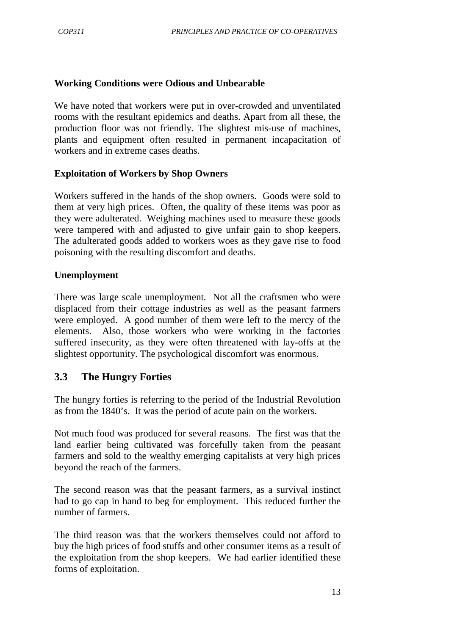#### **Working Conditions were Odious and Unbearable**

We have noted that workers were put in over-crowded and unventilated rooms with the resultant epidemics and deaths. Apart from all these, the production floor was not friendly. The slightest mis-use of machines, plants and equipment often resulted in permanent incapacitation of workers and in extreme cases deaths.

#### **Exploitation of Workers by Shop Owners**

Workers suffered in the hands of the shop owners. Goods were sold to them at very high prices. Often, the quality of these items was poor as they were adulterated. Weighing machines used to measure these goods were tampered with and adjusted to give unfair gain to shop keepers. The adulterated goods added to workers woes as they gave rise to food poisoning with the resulting discomfort and deaths.

#### **Unemployment**

There was large scale unemployment. Not all the craftsmen who were displaced from their cottage industries as well as the peasant farmers were employed. A good number of them were left to the mercy of the elements. Also, those workers who were working in the factories suffered insecurity, as they were often threatened with lay-offs at the slightest opportunity. The psychological discomfort was enormous.

## **3.3 The Hungry Forties**

The hungry forties is referring to the period of the Industrial Revolution as from the 1840's. It was the period of acute pain on the workers.

Not much food was produced for several reasons. The first was that the land earlier being cultivated was forcefully taken from the peasant farmers and sold to the wealthy emerging capitalists at very high prices beyond the reach of the farmers.

The second reason was that the peasant farmers, as a survival instinct had to go cap in hand to beg for employment. This reduced further the number of farmers.

The third reason was that the workers themselves could not afford to buy the high prices of food stuffs and other consumer items as a result of the exploitation from the shop keepers. We had earlier identified these forms of exploitation.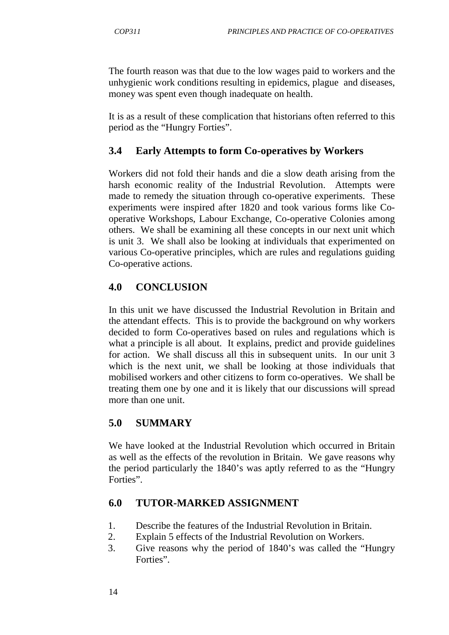The fourth reason was that due to the low wages paid to workers and the unhygienic work conditions resulting in epidemics, plague and diseases, money was spent even though inadequate on health.

It is as a result of these complication that historians often referred to this period as the "Hungry Forties".

# **3.4 Early Attempts to form Co-operatives by Workers**

Workers did not fold their hands and die a slow death arising from the harsh economic reality of the Industrial Revolution. Attempts were made to remedy the situation through co-operative experiments. These experiments were inspired after 1820 and took various forms like Cooperative Workshops, Labour Exchange, Co-operative Colonies among others. We shall be examining all these concepts in our next unit which is unit 3. We shall also be looking at individuals that experimented on various Co-operative principles, which are rules and regulations guiding Co-operative actions.

# **4.0 CONCLUSION**

In this unit we have discussed the Industrial Revolution in Britain and the attendant effects. This is to provide the background on why workers decided to form Co-operatives based on rules and regulations which is what a principle is all about. It explains, predict and provide guidelines for action. We shall discuss all this in subsequent units. In our unit 3 which is the next unit, we shall be looking at those individuals that mobilised workers and other citizens to form co-operatives. We shall be treating them one by one and it is likely that our discussions will spread more than one unit.

# **5.0 SUMMARY**

We have looked at the Industrial Revolution which occurred in Britain as well as the effects of the revolution in Britain. We gave reasons why the period particularly the 1840's was aptly referred to as the "Hungry Forties".

## **6.0 TUTOR-MARKED ASSIGNMENT**

- 1. Describe the features of the Industrial Revolution in Britain.
- 2. Explain 5 effects of the Industrial Revolution on Workers.
- 3. Give reasons why the period of 1840's was called the "Hungry Forties".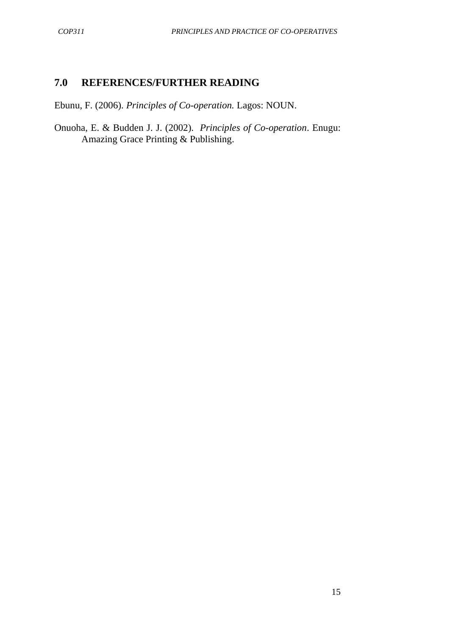## **7.0 REFERENCES/FURTHER READING**

Ebunu, F. (2006). *Principles of Co-operation.* Lagos: NOUN.

Onuoha, E. & Budden J. J. (2002). *Principles of Co-operation*. Enugu: Amazing Grace Printing & Publishing.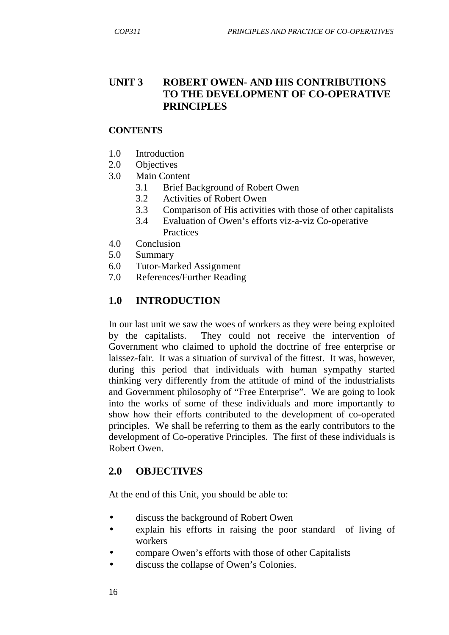## **UNIT 3 ROBERT OWEN- AND HIS CONTRIBUTIONS TO THE DEVELOPMENT OF CO-OPERATIVE PRINCIPLES**

## **CONTENTS**

- 1.0 Introduction
- 2.0 Objectives
- 3.0 Main Content
	- 3.1 Brief Background of Robert Owen
	- 3.2 Activities of Robert Owen
	- 3.3 Comparison of His activities with those of other capitalists
	- 3.4 Evaluation of Owen's efforts viz-a-viz Co-operative **Practices**
- 4.0 Conclusion
- 5.0 Summary
- 6.0 Tutor-Marked Assignment
- 7.0 References/Further Reading

## **1.0 INTRODUCTION**

In our last unit we saw the woes of workers as they were being exploited by the capitalists. They could not receive the intervention of Government who claimed to uphold the doctrine of free enterprise or laissez-fair. It was a situation of survival of the fittest. It was, however, during this period that individuals with human sympathy started thinking very differently from the attitude of mind of the industrialists and Government philosophy of "Free Enterprise". We are going to look into the works of some of these individuals and more importantly to show how their efforts contributed to the development of co-operated principles. We shall be referring to them as the early contributors to the development of Co-operative Principles. The first of these individuals is Robert Owen.

## **2.0 OBJECTIVES**

At the end of this Unit, you should be able to:

- discuss the background of Robert Owen
- explain his efforts in raising the poor standard of living of workers
- compare Owen's efforts with those of other Capitalists
- discuss the collapse of Owen's Colonies.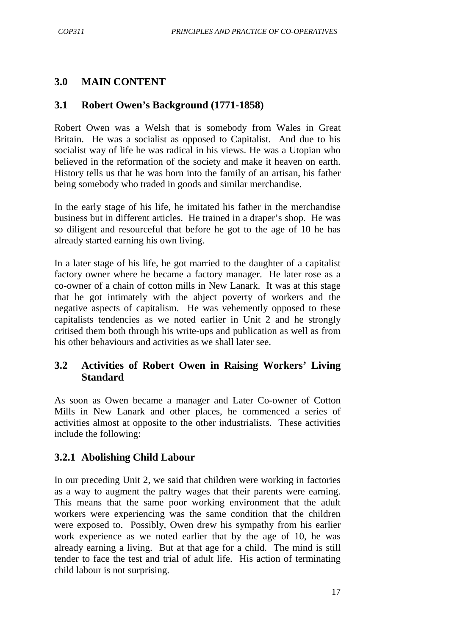## **3.0 MAIN CONTENT**

## **3.1 Robert Owen's Background (1771-1858)**

Robert Owen was a Welsh that is somebody from Wales in Great Britain. He was a socialist as opposed to Capitalist. And due to his socialist way of life he was radical in his views. He was a Utopian who believed in the reformation of the society and make it heaven on earth. History tells us that he was born into the family of an artisan, his father being somebody who traded in goods and similar merchandise.

In the early stage of his life, he imitated his father in the merchandise business but in different articles. He trained in a draper's shop. He was so diligent and resourceful that before he got to the age of 10 he has already started earning his own living.

In a later stage of his life, he got married to the daughter of a capitalist factory owner where he became a factory manager. He later rose as a co-owner of a chain of cotton mills in New Lanark. It was at this stage that he got intimately with the abject poverty of workers and the negative aspects of capitalism. He was vehemently opposed to these capitalists tendencies as we noted earlier in Unit 2 and he strongly critised them both through his write-ups and publication as well as from his other behaviours and activities as we shall later see.

# **3.2 Activities of Robert Owen in Raising Workers' Living Standard**

As soon as Owen became a manager and Later Co-owner of Cotton Mills in New Lanark and other places, he commenced a series of activities almost at opposite to the other industrialists. These activities include the following:

# **3.2.1 Abolishing Child Labour**

In our preceding Unit 2, we said that children were working in factories as a way to augment the paltry wages that their parents were earning. This means that the same poor working environment that the adult workers were experiencing was the same condition that the children were exposed to. Possibly, Owen drew his sympathy from his earlier work experience as we noted earlier that by the age of 10, he was already earning a living. But at that age for a child. The mind is still tender to face the test and trial of adult life. His action of terminating child labour is not surprising.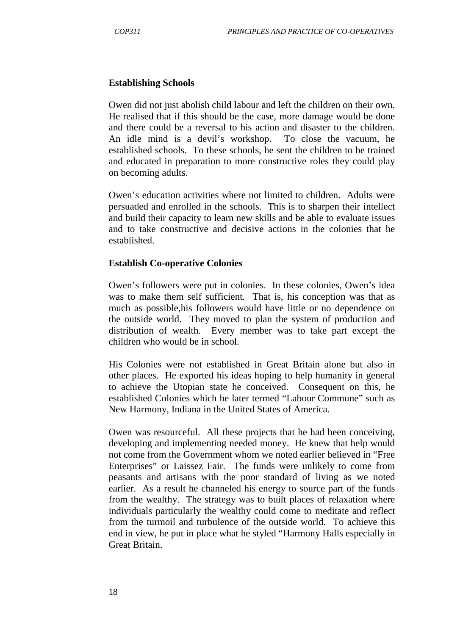#### **Establishing Schools**

Owen did not just abolish child labour and left the children on their own. He realised that if this should be the case, more damage would be done and there could be a reversal to his action and disaster to the children. An idle mind is a devil's workshop. To close the vacuum, he established schools. To these schools, he sent the children to be trained and educated in preparation to more constructive roles they could play on becoming adults.

Owen's education activities where not limited to children. Adults were persuaded and enrolled in the schools. This is to sharpen their intellect and build their capacity to learn new skills and be able to evaluate issues and to take constructive and decisive actions in the colonies that he established.

#### **Establish Co-operative Colonies**

Owen's followers were put in colonies. In these colonies, Owen's idea was to make them self sufficient. That is, his conception was that as much as possible,his followers would have little or no dependence on the outside world. They moved to plan the system of production and distribution of wealth. Every member was to take part except the children who would be in school.

His Colonies were not established in Great Britain alone but also in other places. He exported his ideas hoping to help humanity in general to achieve the Utopian state he conceived. Consequent on this, he established Colonies which he later termed "Labour Commune" such as New Harmony, Indiana in the United States of America.

Owen was resourceful. All these projects that he had been conceiving, developing and implementing needed money. He knew that help would not come from the Government whom we noted earlier believed in "Free Enterprises" or Laissez Fair. The funds were unlikely to come from peasants and artisans with the poor standard of living as we noted earlier. As a result he channeled his energy to source part of the funds from the wealthy. The strategy was to built places of relaxation where individuals particularly the wealthy could come to meditate and reflect from the turmoil and turbulence of the outside world. To achieve this end in view, he put in place what he styled "Harmony Halls especially in Great Britain.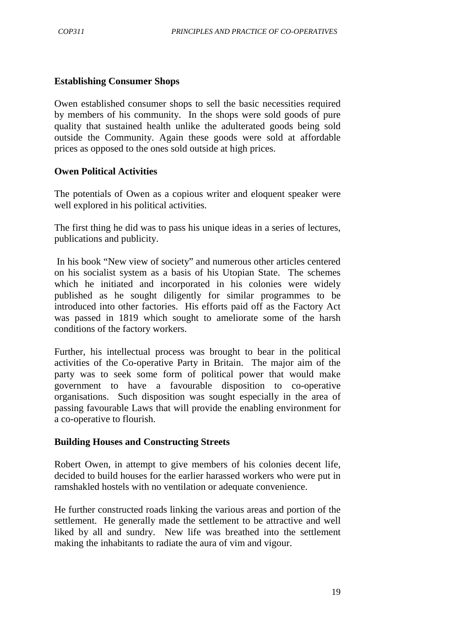#### **Establishing Consumer Shops**

Owen established consumer shops to sell the basic necessities required by members of his community. In the shops were sold goods of pure quality that sustained health unlike the adulterated goods being sold outside the Community. Again these goods were sold at affordable prices as opposed to the ones sold outside at high prices.

#### **Owen Political Activities**

The potentials of Owen as a copious writer and eloquent speaker were well explored in his political activities.

The first thing he did was to pass his unique ideas in a series of lectures, publications and publicity.

 In his book "New view of society" and numerous other articles centered on his socialist system as a basis of his Utopian State. The schemes which he initiated and incorporated in his colonies were widely published as he sought diligently for similar programmes to be introduced into other factories. His efforts paid off as the Factory Act was passed in 1819 which sought to ameliorate some of the harsh conditions of the factory workers.

Further, his intellectual process was brought to bear in the political activities of the Co-operative Party in Britain. The major aim of the party was to seek some form of political power that would make government to have a favourable disposition to co-operative organisations. Such disposition was sought especially in the area of passing favourable Laws that will provide the enabling environment for a co-operative to flourish.

#### **Building Houses and Constructing Streets**

Robert Owen, in attempt to give members of his colonies decent life, decided to build houses for the earlier harassed workers who were put in ramshakled hostels with no ventilation or adequate convenience.

He further constructed roads linking the various areas and portion of the settlement. He generally made the settlement to be attractive and well liked by all and sundry. New life was breathed into the settlement making the inhabitants to radiate the aura of vim and vigour.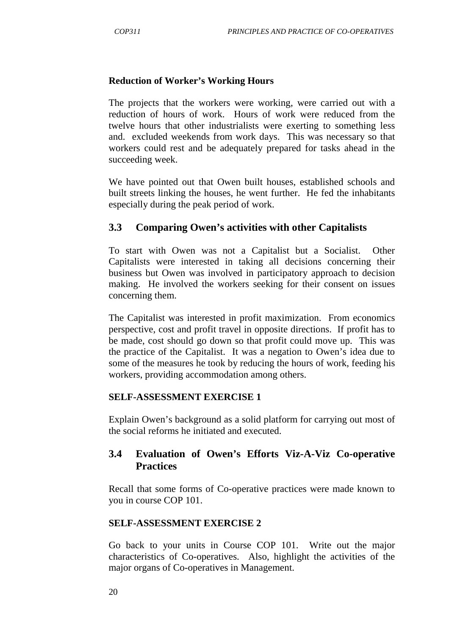#### **Reduction of Worker's Working Hours**

The projects that the workers were working, were carried out with a reduction of hours of work. Hours of work were reduced from the twelve hours that other industrialists were exerting to something less and. excluded weekends from work days. This was necessary so that workers could rest and be adequately prepared for tasks ahead in the succeeding week.

We have pointed out that Owen built houses, established schools and built streets linking the houses, he went further. He fed the inhabitants especially during the peak period of work.

### **3.3 Comparing Owen's activities with other Capitalists**

To start with Owen was not a Capitalist but a Socialist. Other Capitalists were interested in taking all decisions concerning their business but Owen was involved in participatory approach to decision making. He involved the workers seeking for their consent on issues concerning them.

The Capitalist was interested in profit maximization. From economics perspective, cost and profit travel in opposite directions. If profit has to be made, cost should go down so that profit could move up. This was the practice of the Capitalist. It was a negation to Owen's idea due to some of the measures he took by reducing the hours of work, feeding his workers, providing accommodation among others.

#### **SELF-ASSESSMENT EXERCISE 1**

Explain Owen's background as a solid platform for carrying out most of the social reforms he initiated and executed.

## **3.4 Evaluation of Owen's Efforts Viz-A-Viz Co-operative Practices**

Recall that some forms of Co-operative practices were made known to you in course COP 101.

#### **SELF-ASSESSMENT EXERCISE 2**

Go back to your units in Course COP 101. Write out the major characteristics of Co-operatives. Also, highlight the activities of the major organs of Co-operatives in Management.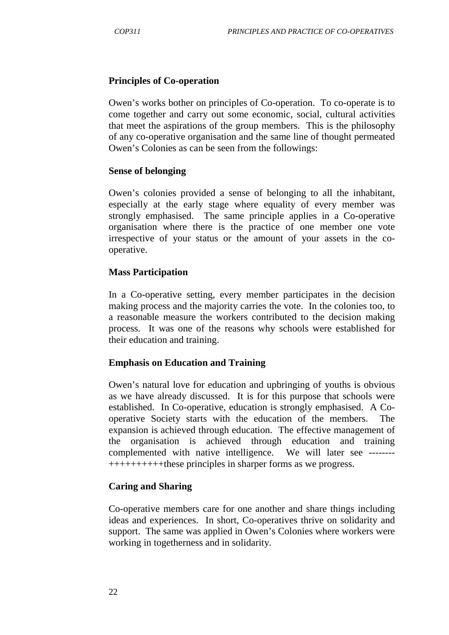#### **Principles of Co-operation**

Owen's works bother on principles of Co-operation. To co-operate is to come together and carry out some economic, social, cultural activities that meet the aspirations of the group members. This is the philosophy of any co-operative organisation and the same line of thought permeated Owen's Colonies as can be seen from the followings:

#### **Sense of belonging**

Owen's colonies provided a sense of belonging to all the inhabitant, especially at the early stage where equality of every member was strongly emphasised. The same principle applies in a Co-operative organisation where there is the practice of one member one vote irrespective of your status or the amount of your assets in the cooperative.

#### **Mass Participation**

In a Co-operative setting, every member participates in the decision making process and the majority carries the vote. In the colonies too, to a reasonable measure the workers contributed to the decision making process. It was one of the reasons why schools were established for their education and training.

#### **Emphasis on Education and Training**

Owen's natural love for education and upbringing of youths is obvious as we have already discussed. It is for this purpose that schools were established. In Co-operative, education is strongly emphasised. A Cooperative Society starts with the education of the members. The expansion is achieved through education. The effective management of the organisation is achieved through education and training complemented with native intelligence. We will later see -------- ++++++++++these principles in sharper forms as we progress.

#### **Caring and Sharing**

Co-operative members care for one another and share things including ideas and experiences. In short, Co-operatives thrive on solidarity and support. The same was applied in Owen's Colonies where workers were working in togetherness and in solidarity.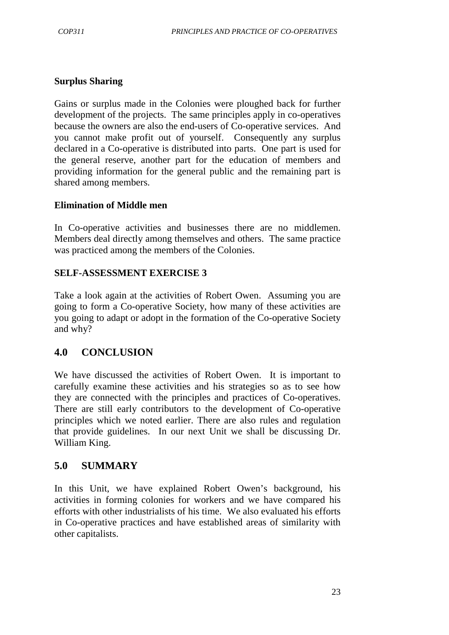#### **Surplus Sharing**

Gains or surplus made in the Colonies were ploughed back for further development of the projects. The same principles apply in co-operatives because the owners are also the end-users of Co-operative services. And you cannot make profit out of yourself. Consequently any surplus declared in a Co-operative is distributed into parts. One part is used for the general reserve, another part for the education of members and providing information for the general public and the remaining part is shared among members.

#### **Elimination of Middle men**

In Co-operative activities and businesses there are no middlemen. Members deal directly among themselves and others. The same practice was practiced among the members of the Colonies.

#### **SELF-ASSESSMENT EXERCISE 3**

Take a look again at the activities of Robert Owen. Assuming you are going to form a Co-operative Society, how many of these activities are you going to adapt or adopt in the formation of the Co-operative Society and why?

### **4.0 CONCLUSION**

We have discussed the activities of Robert Owen. It is important to carefully examine these activities and his strategies so as to see how they are connected with the principles and practices of Co-operatives. There are still early contributors to the development of Co-operative principles which we noted earlier. There are also rules and regulation that provide guidelines. In our next Unit we shall be discussing Dr. William King.

### **5.0 SUMMARY**

In this Unit, we have explained Robert Owen's background, his activities in forming colonies for workers and we have compared his efforts with other industrialists of his time. We also evaluated his efforts in Co-operative practices and have established areas of similarity with other capitalists.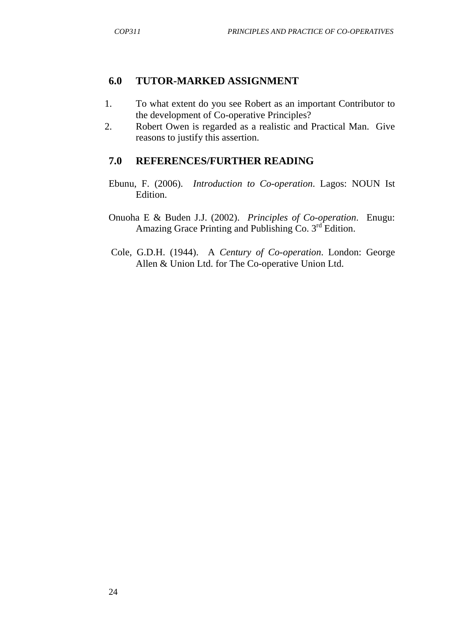#### **6.0 TUTOR-MARKED ASSIGNMENT**

- 1. To what extent do you see Robert as an important Contributor to the development of Co-operative Principles?
- 2. Robert Owen is regarded as a realistic and Practical Man. Give reasons to justify this assertion.

# **7.0 REFERENCES/FURTHER READING**

- Ebunu, F. (2006). *Introduction to Co-operation*. Lagos: NOUN Ist Edition.
- Onuoha E & Buden J.J. (2002). *Principles of Co-operation*. Enugu: Amazing Grace Printing and Publishing Co.  $3<sup>rd</sup>$  Edition.
- Cole, G.D.H. (1944). A *Century of Co-operation*. London: George Allen & Union Ltd. for The Co-operative Union Ltd.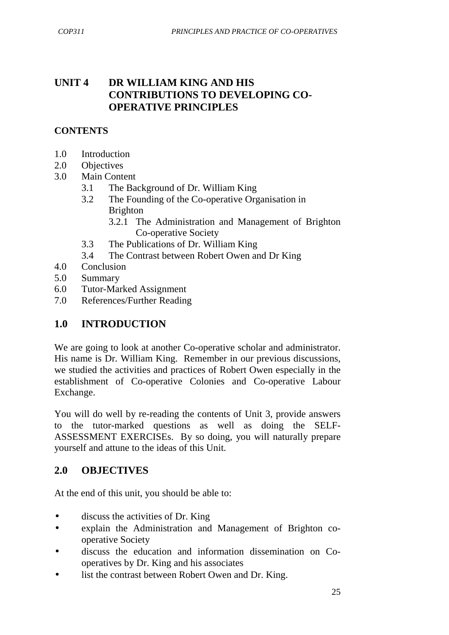# **UNIT 4 DR WILLIAM KING AND HIS CONTRIBUTIONS TO DEVELOPING CO-OPERATIVE PRINCIPLES**

#### **CONTENTS**

- 1.0 Introduction
- 2.0 Objectives
- 3.0 Main Content
	- 3.1 The Background of Dr. William King
	- 3.2 The Founding of the Co-operative Organisation in Brighton
		- 3.2.1 The Administration and Management of Brighton Co-operative Society
	- 3.3 The Publications of Dr. William King
	- 3.4 The Contrast between Robert Owen and Dr King
- 4.0 Conclusion
- 5.0 Summary
- 6.0 Tutor-Marked Assignment
- 7.0 References/Further Reading

# **1.0 INTRODUCTION**

We are going to look at another Co-operative scholar and administrator. His name is Dr. William King. Remember in our previous discussions, we studied the activities and practices of Robert Owen especially in the establishment of Co-operative Colonies and Co-operative Labour Exchange.

You will do well by re-reading the contents of Unit 3, provide answers to the tutor-marked questions as well as doing the SELF-ASSESSMENT EXERCISEs. By so doing, you will naturally prepare yourself and attune to the ideas of this Unit.

# **2.0 OBJECTIVES**

At the end of this unit, you should be able to:

- discuss the activities of Dr. King
- explain the Administration and Management of Brighton cooperative Society
- discuss the education and information dissemination on Cooperatives by Dr. King and his associates
- list the contrast between Robert Owen and Dr. King.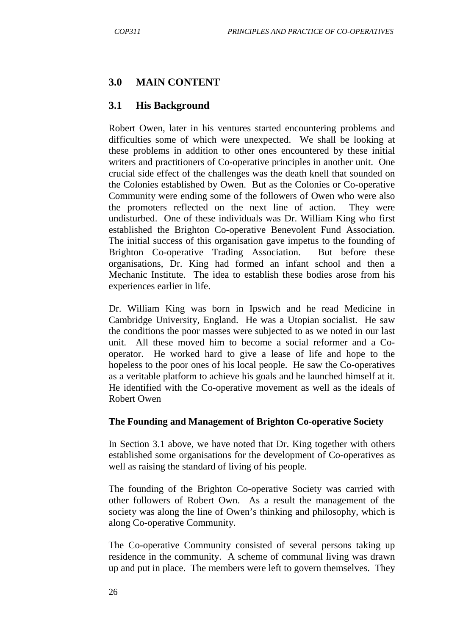### **3.0 MAIN CONTENT**

#### **3.1 His Background**

Robert Owen, later in his ventures started encountering problems and difficulties some of which were unexpected. We shall be looking at these problems in addition to other ones encountered by these initial writers and practitioners of Co-operative principles in another unit. One crucial side effect of the challenges was the death knell that sounded on the Colonies established by Owen. But as the Colonies or Co-operative Community were ending some of the followers of Owen who were also the promoters reflected on the next line of action. They were undisturbed. One of these individuals was Dr. William King who first established the Brighton Co-operative Benevolent Fund Association. The initial success of this organisation gave impetus to the founding of Brighton Co-operative Trading Association. But before these organisations, Dr. King had formed an infant school and then a Mechanic Institute. The idea to establish these bodies arose from his experiences earlier in life.

Dr. William King was born in Ipswich and he read Medicine in Cambridge University, England. He was a Utopian socialist. He saw the conditions the poor masses were subjected to as we noted in our last unit. All these moved him to become a social reformer and a Cooperator. He worked hard to give a lease of life and hope to the hopeless to the poor ones of his local people. He saw the Co-operatives as a veritable platform to achieve his goals and he launched himself at it. He identified with the Co-operative movement as well as the ideals of Robert Owen

#### **The Founding and Management of Brighton Co-operative Society**

In Section 3.1 above, we have noted that Dr. King together with others established some organisations for the development of Co-operatives as well as raising the standard of living of his people.

The founding of the Brighton Co-operative Society was carried with other followers of Robert Own. As a result the management of the society was along the line of Owen's thinking and philosophy, which is along Co-operative Community.

The Co-operative Community consisted of several persons taking up residence in the community. A scheme of communal living was drawn up and put in place. The members were left to govern themselves. They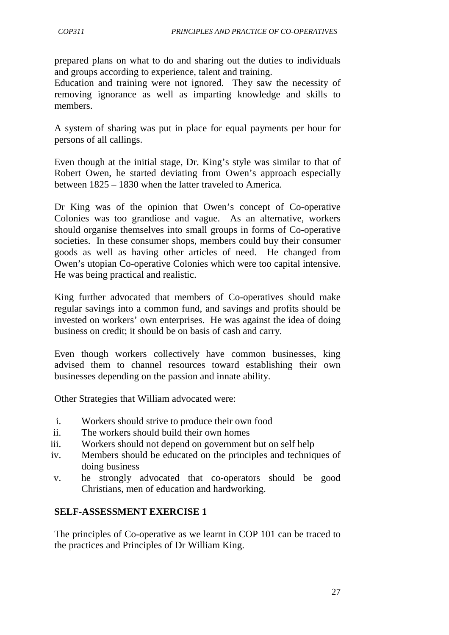prepared plans on what to do and sharing out the duties to individuals and groups according to experience, talent and training.

Education and training were not ignored. They saw the necessity of removing ignorance as well as imparting knowledge and skills to members.

A system of sharing was put in place for equal payments per hour for persons of all callings.

Even though at the initial stage, Dr. King's style was similar to that of Robert Owen, he started deviating from Owen's approach especially between 1825 – 1830 when the latter traveled to America.

Dr King was of the opinion that Owen's concept of Co-operative Colonies was too grandiose and vague. As an alternative, workers should organise themselves into small groups in forms of Co-operative societies. In these consumer shops, members could buy their consumer goods as well as having other articles of need. He changed from Owen's utopian Co-operative Colonies which were too capital intensive. He was being practical and realistic.

King further advocated that members of Co-operatives should make regular savings into a common fund, and savings and profits should be invested on workers' own enterprises. He was against the idea of doing business on credit; it should be on basis of cash and carry.

Even though workers collectively have common businesses, king advised them to channel resources toward establishing their own businesses depending on the passion and innate ability.

Other Strategies that William advocated were:

- i. Workers should strive to produce their own food
- ii. The workers should build their own homes
- iii. Workers should not depend on government but on self help
- iv. Members should be educated on the principles and techniques of doing business
- v. he strongly advocated that co-operators should be good Christians, men of education and hardworking.

#### **SELF-ASSESSMENT EXERCISE 1**

The principles of Co-operative as we learnt in COP 101 can be traced to the practices and Principles of Dr William King.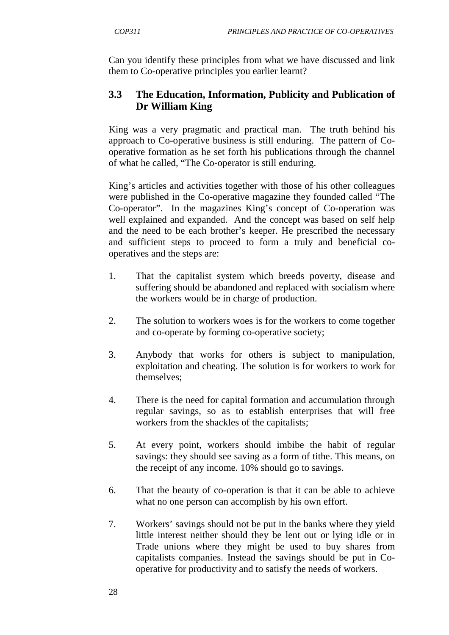Can you identify these principles from what we have discussed and link them to Co-operative principles you earlier learnt?

# **3.3 The Education, Information, Publicity and Publication of Dr William King**

King was a very pragmatic and practical man. The truth behind his approach to Co-operative business is still enduring. The pattern of Cooperative formation as he set forth his publications through the channel of what he called, "The Co-operator is still enduring.

King's articles and activities together with those of his other colleagues were published in the Co-operative magazine they founded called "The Co-operator". In the magazines King's concept of Co-operation was well explained and expanded. And the concept was based on self help and the need to be each brother's keeper. He prescribed the necessary and sufficient steps to proceed to form a truly and beneficial cooperatives and the steps are:

- 1. That the capitalist system which breeds poverty, disease and suffering should be abandoned and replaced with socialism where the workers would be in charge of production.
- 2. The solution to workers woes is for the workers to come together and co-operate by forming co-operative society;
- 3. Anybody that works for others is subject to manipulation, exploitation and cheating. The solution is for workers to work for themselves;
- 4. There is the need for capital formation and accumulation through regular savings, so as to establish enterprises that will free workers from the shackles of the capitalists;
- 5. At every point, workers should imbibe the habit of regular savings: they should see saving as a form of tithe. This means, on the receipt of any income. 10% should go to savings.
- 6. That the beauty of co-operation is that it can be able to achieve what no one person can accomplish by his own effort.
- 7. Workers' savings should not be put in the banks where they yield little interest neither should they be lent out or lying idle or in Trade unions where they might be used to buy shares from capitalists companies. Instead the savings should be put in Cooperative for productivity and to satisfy the needs of workers.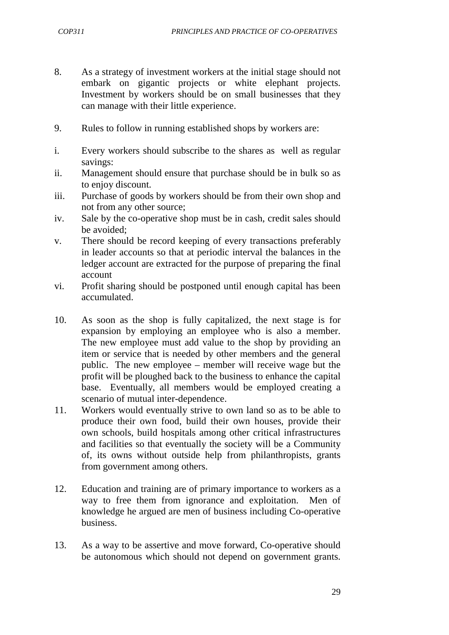- 8. As a strategy of investment workers at the initial stage should not embark on gigantic projects or white elephant projects. Investment by workers should be on small businesses that they can manage with their little experience.
- 9. Rules to follow in running established shops by workers are:
- i. Every workers should subscribe to the shares as well as regular savings:
- ii. Management should ensure that purchase should be in bulk so as to enjoy discount.
- iii. Purchase of goods by workers should be from their own shop and not from any other source;
- iv. Sale by the co-operative shop must be in cash, credit sales should be avoided;
- v. There should be record keeping of every transactions preferably in leader accounts so that at periodic interval the balances in the ledger account are extracted for the purpose of preparing the final account
- vi. Profit sharing should be postponed until enough capital has been accumulated.
- 10. As soon as the shop is fully capitalized, the next stage is for expansion by employing an employee who is also a member. The new employee must add value to the shop by providing an item or service that is needed by other members and the general public. The new employee – member will receive wage but the profit will be ploughed back to the business to enhance the capital base. Eventually, all members would be employed creating a scenario of mutual inter-dependence.
- 11. Workers would eventually strive to own land so as to be able to produce their own food, build their own houses, provide their own schools, build hospitals among other critical infrastructures and facilities so that eventually the society will be a Community of, its owns without outside help from philanthropists, grants from government among others.
- 12. Education and training are of primary importance to workers as a way to free them from ignorance and exploitation. Men of knowledge he argued are men of business including Co-operative business.
- 13. As a way to be assertive and move forward, Co-operative should be autonomous which should not depend on government grants.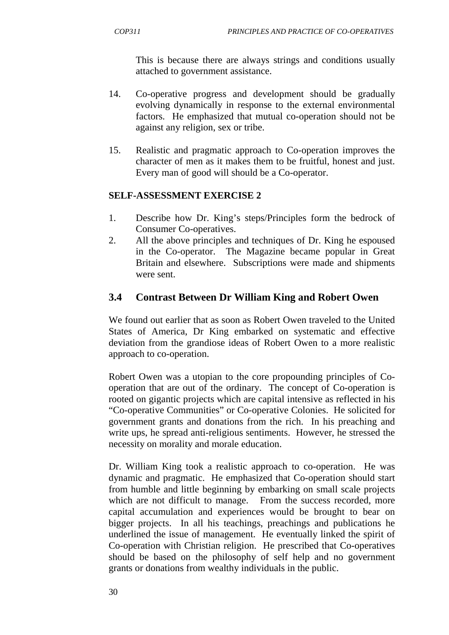This is because there are always strings and conditions usually attached to government assistance.

- 14. Co-operative progress and development should be gradually evolving dynamically in response to the external environmental factors. He emphasized that mutual co-operation should not be against any religion, sex or tribe.
- 15. Realistic and pragmatic approach to Co-operation improves the character of men as it makes them to be fruitful, honest and just. Every man of good will should be a Co-operator.

#### **SELF-ASSESSMENT EXERCISE 2**

- 1. Describe how Dr. King's steps/Principles form the bedrock of Consumer Co-operatives.
- 2. All the above principles and techniques of Dr. King he espoused in the Co-operator. The Magazine became popular in Great Britain and elsewhere. Subscriptions were made and shipments were sent.

### **3.4 Contrast Between Dr William King and Robert Owen**

We found out earlier that as soon as Robert Owen traveled to the United States of America, Dr King embarked on systematic and effective deviation from the grandiose ideas of Robert Owen to a more realistic approach to co-operation.

Robert Owen was a utopian to the core propounding principles of Cooperation that are out of the ordinary. The concept of Co-operation is rooted on gigantic projects which are capital intensive as reflected in his "Co-operative Communities" or Co-operative Colonies. He solicited for government grants and donations from the rich. In his preaching and write ups, he spread anti-religious sentiments. However, he stressed the necessity on morality and morale education.

Dr. William King took a realistic approach to co-operation. He was dynamic and pragmatic. He emphasized that Co-operation should start from humble and little beginning by embarking on small scale projects which are not difficult to manage. From the success recorded, more capital accumulation and experiences would be brought to bear on bigger projects. In all his teachings, preachings and publications he underlined the issue of management. He eventually linked the spirit of Co-operation with Christian religion. He prescribed that Co-operatives should be based on the philosophy of self help and no government grants or donations from wealthy individuals in the public.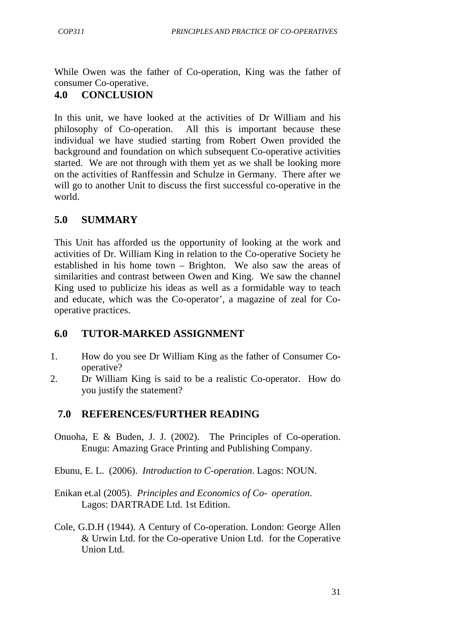While Owen was the father of Co-operation, King was the father of consumer Co-operative.

# **4.0 CONCLUSION**

In this unit, we have looked at the activities of Dr William and his philosophy of Co-operation. All this is important because these individual we have studied starting from Robert Owen provided the background and foundation on which subsequent Co-operative activities started. We are not through with them yet as we shall be looking more on the activities of Ranffessin and Schulze in Germany. There after we will go to another Unit to discuss the first successful co-operative in the world.

# **5.0 SUMMARY**

This Unit has afforded us the opportunity of looking at the work and activities of Dr. William King in relation to the Co-operative Society he established in his home town – Brighton. We also saw the areas of similarities and contrast between Owen and King. We saw the channel King used to publicize his ideas as well as a formidable way to teach and educate, which was the Co-operator', a magazine of zeal for Cooperative practices.

# **6.0 TUTOR-MARKED ASSIGNMENT**

- 1. How do you see Dr William King as the father of Consumer Cooperative?
- 2. Dr William King is said to be a realistic Co-operator. How do you justify the statement?

# **7.0 REFERENCES/FURTHER READING**

- Onuoha, E & Buden, J. J. (2002). The Principles of Co-operation. Enugu: Amazing Grace Printing and Publishing Company.
- Ebunu, E. L. (2006). *Introduction to C-operation*. Lagos: NOUN.
- Enikan et.al (2005). *Principles and Economics of Co- operation*. Lagos: DARTRADE Ltd. 1st Edition.
- Cole, G.D.H (1944). A Century of Co-operation. London: George Allen & Urwin Ltd. for the Co-operative Union Ltd. for the Coperative Union Ltd.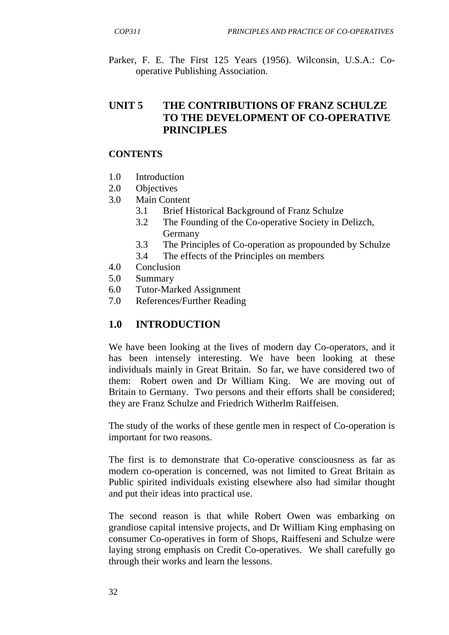Parker, F. E. The First 125 Years (1956). Wilconsin, U.S.A.: Cooperative Publishing Association.

## **UNIT 5 THE CONTRIBUTIONS OF FRANZ SCHULZE TO THE DEVELOPMENT OF CO-OPERATIVE PRINCIPLES**

#### **CONTENTS**

- 1.0 Introduction
- 2.0 Objectives
- 3.0 Main Content
	- 3.1 Brief Historical Background of Franz Schulze
	- 3.2 The Founding of the Co-operative Society in Delizch, Germany
	- 3.3 The Principles of Co-operation as propounded by Schulze
	- 3.4 The effects of the Principles on members
- 4.0 Conclusion
- 5.0 Summary
- 6.0 Tutor-Marked Assignment
- 7.0 References/Further Reading

### **1.0 INTRODUCTION**

We have been looking at the lives of modern day Co-operators, and it has been intensely interesting. We have been looking at these individuals mainly in Great Britain. So far, we have considered two of them: Robert owen and Dr William King. We are moving out of Britain to Germany. Two persons and their efforts shall be considered; they are Franz Schulze and Friedrich Witherlm Raiffeisen.

The study of the works of these gentle men in respect of Co-operation is important for two reasons.

The first is to demonstrate that Co-operative consciousness as far as modern co-operation is concerned, was not limited to Great Britain as Public spirited individuals existing elsewhere also had similar thought and put their ideas into practical use.

The second reason is that while Robert Owen was embarking on grandiose capital intensive projects, and Dr William King emphasing on consumer Co-operatives in form of Shops, Raiffeseni and Schulze were laying strong emphasis on Credit Co-operatives. We shall carefully go through their works and learn the lessons.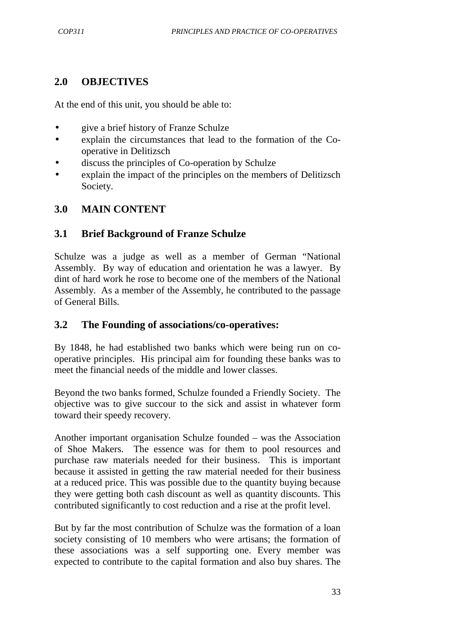## **2.0 OBJECTIVES**

At the end of this unit, you should be able to:

- give a brief history of Franze Schulze
- explain the circumstances that lead to the formation of the Cooperative in Delitizsch
- discuss the principles of Co-operation by Schulze
- explain the impact of the principles on the members of Delitizsch Society.

## **3.0 MAIN CONTENT**

## **3.1 Brief Background of Franze Schulze**

Schulze was a judge as well as a member of German "National Assembly. By way of education and orientation he was a lawyer. By dint of hard work he rose to become one of the members of the National Assembly. As a member of the Assembly, he contributed to the passage of General Bills.

### **3.2 The Founding of associations/co-operatives:**

By 1848, he had established two banks which were being run on cooperative principles. His principal aim for founding these banks was to meet the financial needs of the middle and lower classes.

Beyond the two banks formed, Schulze founded a Friendly Society. The objective was to give succour to the sick and assist in whatever form toward their speedy recovery.

Another important organisation Schulze founded – was the Association of Shoe Makers. The essence was for them to pool resources and purchase raw materials needed for their business. This is important because it assisted in getting the raw material needed for their business at a reduced price. This was possible due to the quantity buying because they were getting both cash discount as well as quantity discounts. This contributed significantly to cost reduction and a rise at the profit level.

But by far the most contribution of Schulze was the formation of a loan society consisting of 10 members who were artisans; the formation of these associations was a self supporting one. Every member was expected to contribute to the capital formation and also buy shares. The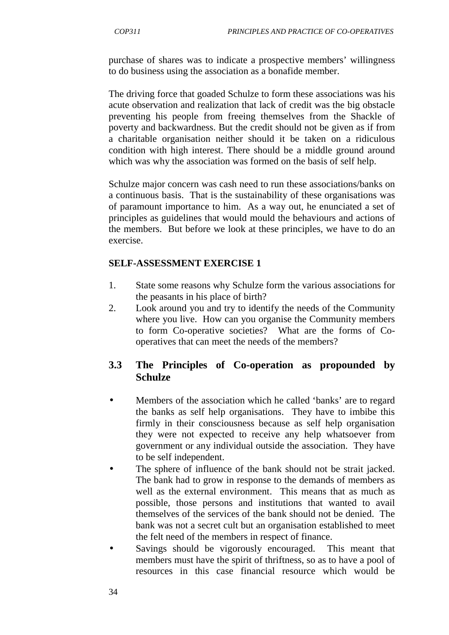purchase of shares was to indicate a prospective members' willingness to do business using the association as a bonafide member.

The driving force that goaded Schulze to form these associations was his acute observation and realization that lack of credit was the big obstacle preventing his people from freeing themselves from the Shackle of poverty and backwardness. But the credit should not be given as if from a charitable organisation neither should it be taken on a ridiculous condition with high interest. There should be a middle ground around which was why the association was formed on the basis of self help.

Schulze major concern was cash need to run these associations/banks on a continuous basis. That is the sustainability of these organisations was of paramount importance to him. As a way out, he enunciated a set of principles as guidelines that would mould the behaviours and actions of the members. But before we look at these principles, we have to do an exercise.

#### **SELF-ASSESSMENT EXERCISE 1**

- 1. State some reasons why Schulze form the various associations for the peasants in his place of birth?
- 2. Look around you and try to identify the needs of the Community where you live. How can you organise the Community members to form Co-operative societies? What are the forms of Cooperatives that can meet the needs of the members?

## **3.3 The Principles of Co-operation as propounded by Schulze**

- Members of the association which he called 'banks' are to regard the banks as self help organisations. They have to imbibe this firmly in their consciousness because as self help organisation they were not expected to receive any help whatsoever from government or any individual outside the association. They have to be self independent.
- The sphere of influence of the bank should not be strait jacked. The bank had to grow in response to the demands of members as well as the external environment. This means that as much as possible, those persons and institutions that wanted to avail themselves of the services of the bank should not be denied. The bank was not a secret cult but an organisation established to meet the felt need of the members in respect of finance.
- Savings should be vigorously encouraged. This meant that members must have the spirit of thriftness, so as to have a pool of resources in this case financial resource which would be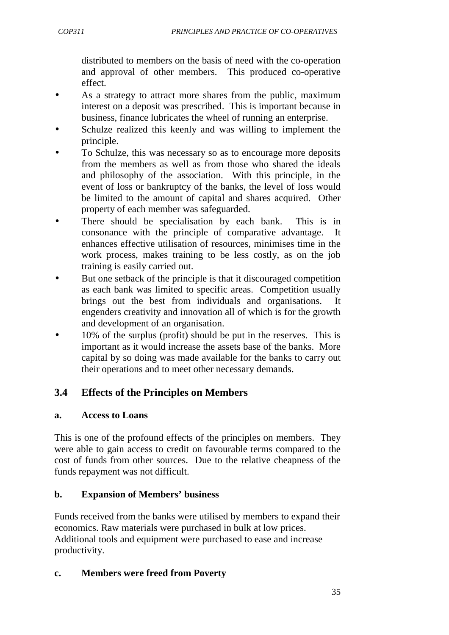distributed to members on the basis of need with the co-operation and approval of other members. This produced co-operative effect.

- As a strategy to attract more shares from the public, maximum interest on a deposit was prescribed. This is important because in business, finance lubricates the wheel of running an enterprise.
- Schulze realized this keenly and was willing to implement the principle.
- To Schulze, this was necessary so as to encourage more deposits from the members as well as from those who shared the ideals and philosophy of the association. With this principle, in the event of loss or bankruptcy of the banks, the level of loss would be limited to the amount of capital and shares acquired. Other property of each member was safeguarded.
- There should be specialisation by each bank. This is in consonance with the principle of comparative advantage. It enhances effective utilisation of resources, minimises time in the work process, makes training to be less costly, as on the job training is easily carried out.
- But one setback of the principle is that it discouraged competition as each bank was limited to specific areas. Competition usually brings out the best from individuals and organisations. It engenders creativity and innovation all of which is for the growth and development of an organisation.
- 10% of the surplus (profit) should be put in the reserves. This is important as it would increase the assets base of the banks. More capital by so doing was made available for the banks to carry out their operations and to meet other necessary demands.

# **3.4 Effects of the Principles on Members**

#### **a. Access to Loans**

This is one of the profound effects of the principles on members. They were able to gain access to credit on favourable terms compared to the cost of funds from other sources. Due to the relative cheapness of the funds repayment was not difficult.

### **b. Expansion of Members' business**

Funds received from the banks were utilised by members to expand their economics. Raw materials were purchased in bulk at low prices. Additional tools and equipment were purchased to ease and increase productivity.

#### **c. Members were freed from Poverty**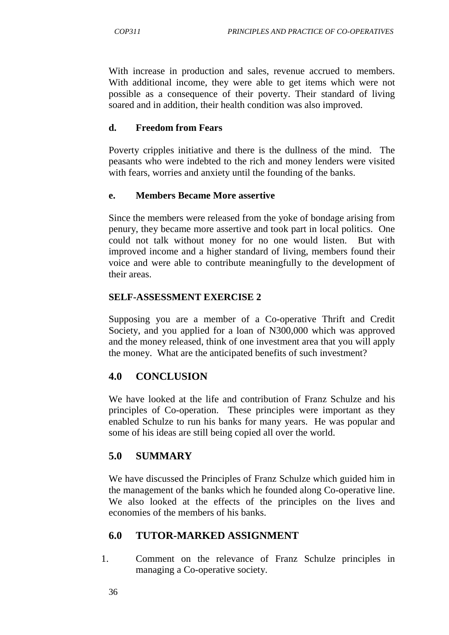With increase in production and sales, revenue accrued to members. With additional income, they were able to get items which were not possible as a consequence of their poverty. Their standard of living soared and in addition, their health condition was also improved.

### **d. Freedom from Fears**

Poverty cripples initiative and there is the dullness of the mind. The peasants who were indebted to the rich and money lenders were visited with fears, worries and anxiety until the founding of the banks.

### **e. Members Became More assertive**

Since the members were released from the yoke of bondage arising from penury, they became more assertive and took part in local politics. One could not talk without money for no one would listen. But with improved income and a higher standard of living, members found their voice and were able to contribute meaningfully to the development of their areas.

## **SELF-ASSESSMENT EXERCISE 2**

Supposing you are a member of a Co-operative Thrift and Credit Society, and you applied for a loan of N300,000 which was approved and the money released, think of one investment area that you will apply the money. What are the anticipated benefits of such investment?

# **4.0 CONCLUSION**

We have looked at the life and contribution of Franz Schulze and his principles of Co-operation. These principles were important as they enabled Schulze to run his banks for many years. He was popular and some of his ideas are still being copied all over the world.

# **5.0 SUMMARY**

We have discussed the Principles of Franz Schulze which guided him in the management of the banks which he founded along Co-operative line. We also looked at the effects of the principles on the lives and economies of the members of his banks.

# **6.0 TUTOR-MARKED ASSIGNMENT**

1. Comment on the relevance of Franz Schulze principles in managing a Co-operative society.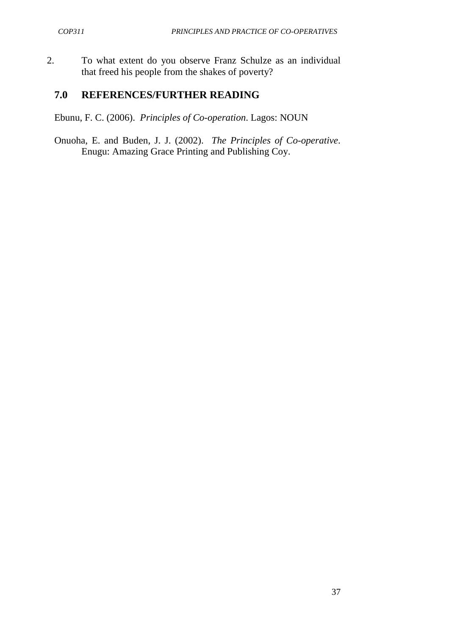2. To what extent do you observe Franz Schulze as an individual that freed his people from the shakes of poverty?

### **7.0 REFERENCES/FURTHER READING**

Ebunu, F. C. (2006). *Principles of Co-operation*. Lagos: NOUN

Onuoha, E. and Buden, J. J. (2002). *The Principles of Co-operative*. Enugu: Amazing Grace Printing and Publishing Coy.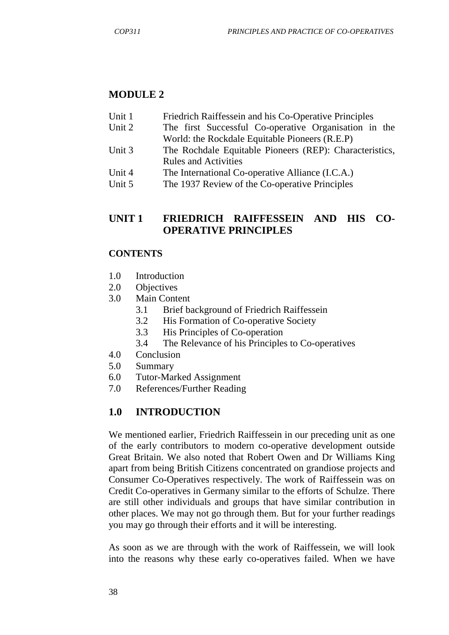## **MODULE 2**

- Unit 1 Friedrich Raiffessein and his Co-Operative Principles
- Unit 2 The first Successful Co-operative Organisation in the World: the Rockdale Equitable Pioneers (R.E.P)
- Unit 3 The Rochdale Equitable Pioneers (REP): Characteristics, Rules and Activities
- Unit 4 The International Co-operative Alliance (I.C.A.)
- Unit 5 The 1937 Review of the Co-operative Principles

## **UNIT 1 FRIEDRICH RAIFFESSEIN AND HIS CO-OPERATIVE PRINCIPLES**

#### **CONTENTS**

- 1.0 Introduction
- 2.0 Objectives
- 3.0 Main Content
	- 3.1 Brief background of Friedrich Raiffessein
	- 3.2 His Formation of Co-operative Society
	- 3.3 His Principles of Co-operation
	- 3.4 The Relevance of his Principles to Co-operatives
- 4.0 Conclusion
- 5.0 Summary
- 6.0 Tutor-Marked Assignment
- 7.0 References/Further Reading

### **1.0 INTRODUCTION**

We mentioned earlier, Friedrich Raiffessein in our preceding unit as one of the early contributors to modern co-operative development outside Great Britain. We also noted that Robert Owen and Dr Williams King apart from being British Citizens concentrated on grandiose projects and Consumer Co-Operatives respectively. The work of Raiffessein was on Credit Co-operatives in Germany similar to the efforts of Schulze. There are still other individuals and groups that have similar contribution in other places. We may not go through them. But for your further readings you may go through their efforts and it will be interesting.

As soon as we are through with the work of Raiffessein, we will look into the reasons why these early co-operatives failed. When we have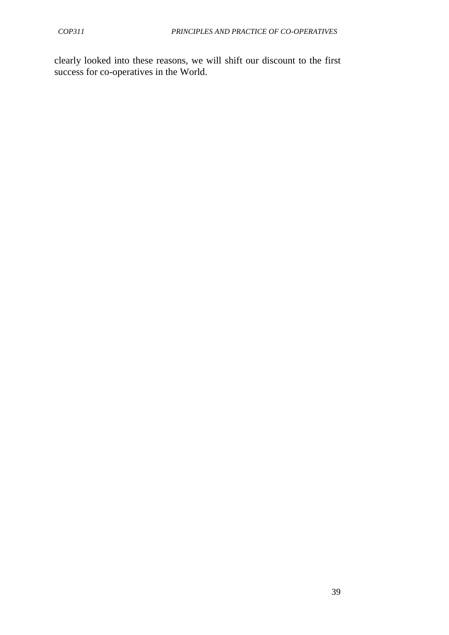clearly looked into these reasons, we will shift our discount to the first success for co-operatives in the World.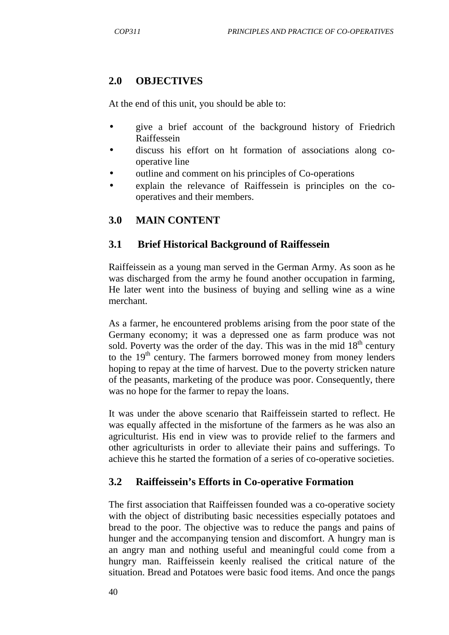#### **2.0 OBJECTIVES**

At the end of this unit, you should be able to:

- give a brief account of the background history of Friedrich Raiffessein
- discuss his effort on ht formation of associations along cooperative line
- outline and comment on his principles of Co-operations
- explain the relevance of Raiffessein is principles on the cooperatives and their members.

#### **3.0 MAIN CONTENT**

#### **3.1 Brief Historical Background of Raiffessein**

Raiffeissein as a young man served in the German Army. As soon as he was discharged from the army he found another occupation in farming, He later went into the business of buying and selling wine as a wine merchant.

As a farmer, he encountered problems arising from the poor state of the Germany economy; it was a depressed one as farm produce was not sold. Poverty was the order of the day. This was in the mid  $18<sup>th</sup>$  century to the  $19<sup>th</sup>$  century. The farmers borrowed money from money lenders hoping to repay at the time of harvest. Due to the poverty stricken nature of the peasants, marketing of the produce was poor. Consequently, there was no hope for the farmer to repay the loans.

It was under the above scenario that Raiffeissein started to reflect. He was equally affected in the misfortune of the farmers as he was also an agriculturist. His end in view was to provide relief to the farmers and other agriculturists in order to alleviate their pains and sufferings. To achieve this he started the formation of a series of co-operative societies.

#### **3.2 Raiffeissein's Efforts in Co-operative Formation**

The first association that Raiffeissen founded was a co-operative society with the object of distributing basic necessities especially potatoes and bread to the poor. The objective was to reduce the pangs and pains of hunger and the accompanying tension and discomfort. A hungry man is an angry man and nothing useful and meaningful could come from a hungry man. Raiffeissein keenly realised the critical nature of the situation. Bread and Potatoes were basic food items. And once the pangs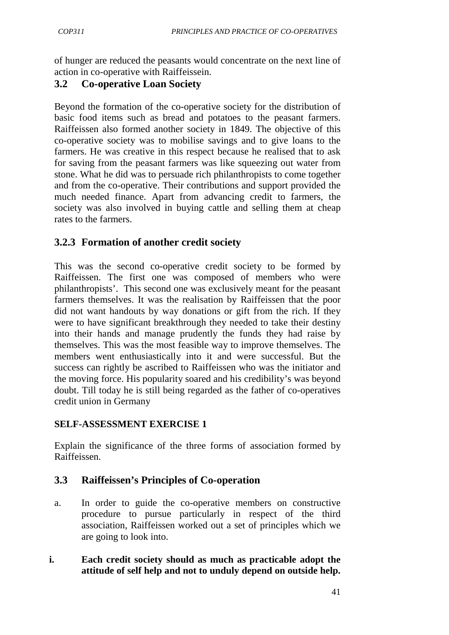of hunger are reduced the peasants would concentrate on the next line of action in co-operative with Raiffeissein.

### **3.2 Co-operative Loan Society**

Beyond the formation of the co-operative society for the distribution of basic food items such as bread and potatoes to the peasant farmers. Raiffeissen also formed another society in 1849. The objective of this co-operative society was to mobilise savings and to give loans to the farmers. He was creative in this respect because he realised that to ask for saving from the peasant farmers was like squeezing out water from stone. What he did was to persuade rich philanthropists to come together and from the co-operative. Their contributions and support provided the much needed finance. Apart from advancing credit to farmers, the society was also involved in buying cattle and selling them at cheap rates to the farmers.

# **3.2.3 Formation of another credit society**

This was the second co-operative credit society to be formed by Raiffeissen. The first one was composed of members who were philanthropists'. This second one was exclusively meant for the peasant farmers themselves. It was the realisation by Raiffeissen that the poor did not want handouts by way donations or gift from the rich. If they were to have significant breakthrough they needed to take their destiny into their hands and manage prudently the funds they had raise by themselves. This was the most feasible way to improve themselves. The members went enthusiastically into it and were successful. But the success can rightly be ascribed to Raiffeissen who was the initiator and the moving force. His popularity soared and his credibility's was beyond doubt. Till today he is still being regarded as the father of co-operatives credit union in Germany

#### **SELF-ASSESSMENT EXERCISE 1**

Explain the significance of the three forms of association formed by Raiffeissen.

### **3.3 Raiffeissen's Principles of Co-operation**

- a. In order to guide the co-operative members on constructive procedure to pursue particularly in respect of the third association, Raiffeissen worked out a set of principles which we are going to look into.
- **i. Each credit society should as much as practicable adopt the attitude of self help and not to unduly depend on outside help.**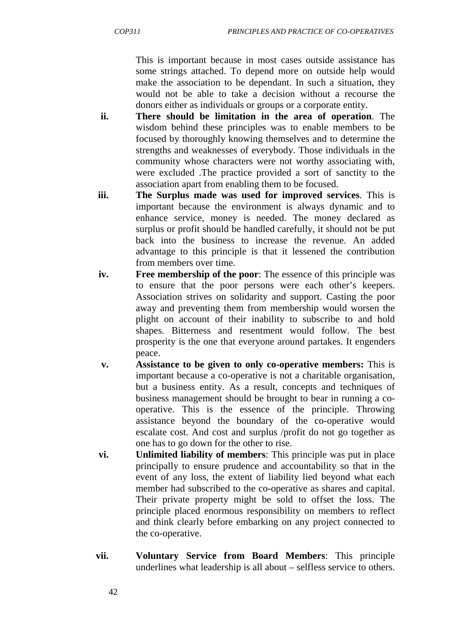This is important because in most cases outside assistance has some strings attached. To depend more on outside help would make the association to be dependant. In such a situation, they would not be able to take a decision without a recourse the donors either as individuals or groups or a corporate entity.

- **ii. There should be limitation in the area of operation**. The wisdom behind these principles was to enable members to be focused by thoroughly knowing themselves and to determine the strengths and weaknesses of everybody. Those individuals in the community whose characters were not worthy associating with, were excluded .The practice provided a sort of sanctity to the association apart from enabling them to be focused.
- **iii. The Surplus made was used for improved services**. This is important because the environment is always dynamic and to enhance service, money is needed. The money declared as surplus or profit should be handled carefully, it should not be put back into the business to increase the revenue. An added advantage to this principle is that it lessened the contribution from members over time.
- **iv. Free membership of the poor**: The essence of this principle was to ensure that the poor persons were each other's keepers. Association strives on solidarity and support. Casting the poor away and preventing them from membership would worsen the plight on account of their inability to subscribe to and hold shapes. Bitterness and resentment would follow. The best prosperity is the one that everyone around partakes. It engenders peace.
- **v. Assistance to be given to only co-operative members:** This is important because a co-operative is not a charitable organisation, but a business entity. As a result, concepts and techniques of business management should be brought to bear in running a cooperative. This is the essence of the principle. Throwing assistance beyond the boundary of the co-operative would escalate cost. And cost and surplus /profit do not go together as one has to go down for the other to rise.
- **vi. Unlimited liability of members**: This principle was put in place principally to ensure prudence and accountability so that in the event of any loss, the extent of liability lied beyond what each member had subscribed to the co-operative as shares and capital. Their private property might be sold to offset the loss. The principle placed enormous responsibility on members to reflect and think clearly before embarking on any project connected to the co-operative.
- **vii. Voluntary Service from Board Members**: This principle underlines what leadership is all about – selfless service to others.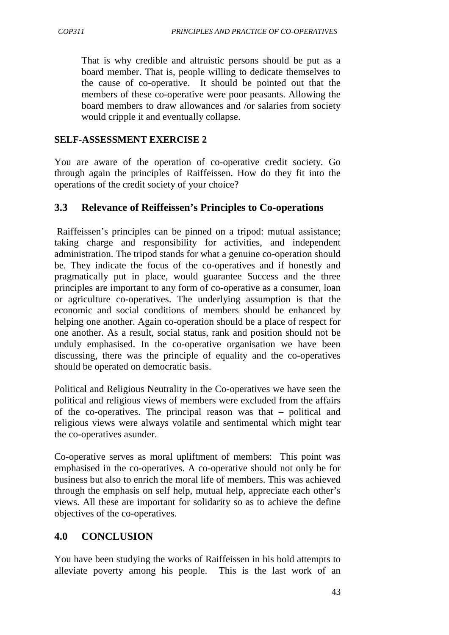That is why credible and altruistic persons should be put as a board member. That is, people willing to dedicate themselves to the cause of co-operative. It should be pointed out that the members of these co-operative were poor peasants. Allowing the board members to draw allowances and /or salaries from society would cripple it and eventually collapse.

#### **SELF-ASSESSMENT EXERCISE 2**

You are aware of the operation of co-operative credit society. Go through again the principles of Raiffeissen. How do they fit into the operations of the credit society of your choice?

### **3.3 Relevance of Reiffeissen's Principles to Co-operations**

 Raiffeissen's principles can be pinned on a tripod: mutual assistance; taking charge and responsibility for activities, and independent administration. The tripod stands for what a genuine co-operation should be. They indicate the focus of the co-operatives and if honestly and pragmatically put in place, would guarantee Success and the three principles are important to any form of co-operative as a consumer, loan or agriculture co-operatives. The underlying assumption is that the economic and social conditions of members should be enhanced by helping one another. Again co-operation should be a place of respect for one another. As a result, social status, rank and position should not be unduly emphasised. In the co-operative organisation we have been discussing, there was the principle of equality and the co-operatives should be operated on democratic basis.

Political and Religious Neutrality in the Co-operatives we have seen the political and religious views of members were excluded from the affairs of the co-operatives. The principal reason was that – political and religious views were always volatile and sentimental which might tear the co-operatives asunder.

Co-operative serves as moral upliftment of members: This point was emphasised in the co-operatives. A co-operative should not only be for business but also to enrich the moral life of members. This was achieved through the emphasis on self help, mutual help, appreciate each other's views. All these are important for solidarity so as to achieve the define objectives of the co-operatives.

### **4.0 CONCLUSION**

You have been studying the works of Raiffeissen in his bold attempts to alleviate poverty among his people. This is the last work of an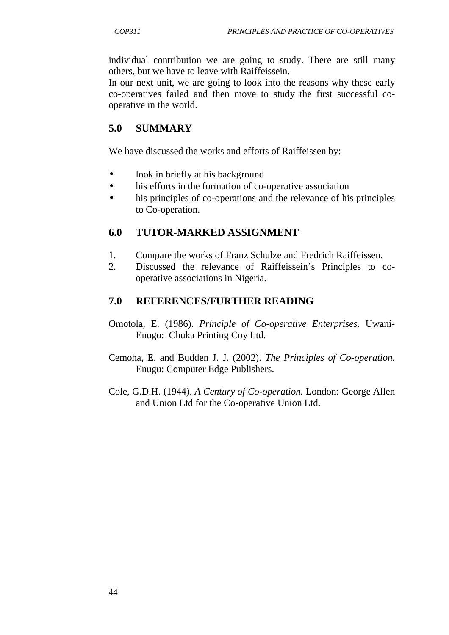individual contribution we are going to study. There are still many others, but we have to leave with Raiffeissein.

In our next unit, we are going to look into the reasons why these early co-operatives failed and then move to study the first successful cooperative in the world.

### **5.0 SUMMARY**

We have discussed the works and efforts of Raiffeissen by:

- look in briefly at his background
- his efforts in the formation of co-operative association
- his principles of co-operations and the relevance of his principles to Co-operation.

### **6.0 TUTOR-MARKED ASSIGNMENT**

- 1. Compare the works of Franz Schulze and Fredrich Raiffeissen.
- 2. Discussed the relevance of Raiffeissein's Principles to cooperative associations in Nigeria.

#### **7.0 REFERENCES/FURTHER READING**

- Omotola, E. (1986). *Principle of Co-operative Enterprises*. Uwani-Enugu: Chuka Printing Coy Ltd.
- Cemoha, E. and Budden J. J. (2002). *The Principles of Co-operation.*  Enugu: Computer Edge Publishers.
- Cole, G.D.H. (1944). *A Century of Co-operation.* London: George Allen and Union Ltd for the Co-operative Union Ltd.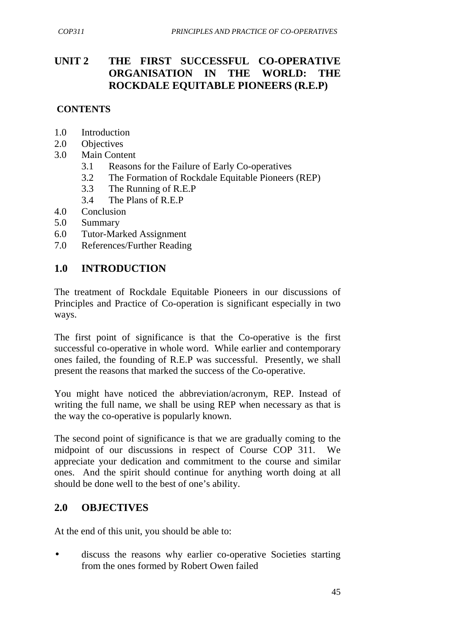# **UNIT 2 THE FIRST SUCCESSFUL CO-OPERATIVE ORGANISATION IN THE WORLD: THE ROCKDALE EQUITABLE PIONEERS (R.E.P)**

### **CONTENTS**

- 1.0 Introduction
- 2.0 Objectives
- 3.0 Main Content
	- 3.1 Reasons for the Failure of Early Co-operatives
	- 3.2 The Formation of Rockdale Equitable Pioneers (REP)
	- 3.3 The Running of R.E.P
	- 3.4 The Plans of R.E.P
- 4.0 Conclusion
- 5.0 Summary
- 6.0 Tutor-Marked Assignment
- 7.0 References/Further Reading

## **1.0 INTRODUCTION**

The treatment of Rockdale Equitable Pioneers in our discussions of Principles and Practice of Co-operation is significant especially in two ways.

The first point of significance is that the Co-operative is the first successful co-operative in whole word. While earlier and contemporary ones failed, the founding of R.E.P was successful. Presently, we shall present the reasons that marked the success of the Co-operative.

You might have noticed the abbreviation/acronym, REP. Instead of writing the full name, we shall be using REP when necessary as that is the way the co-operative is popularly known.

The second point of significance is that we are gradually coming to the midpoint of our discussions in respect of Course COP 311. We appreciate your dedication and commitment to the course and similar ones. And the spirit should continue for anything worth doing at all should be done well to the best of one's ability.

# **2.0 OBJECTIVES**

At the end of this unit, you should be able to:

• discuss the reasons why earlier co-operative Societies starting from the ones formed by Robert Owen failed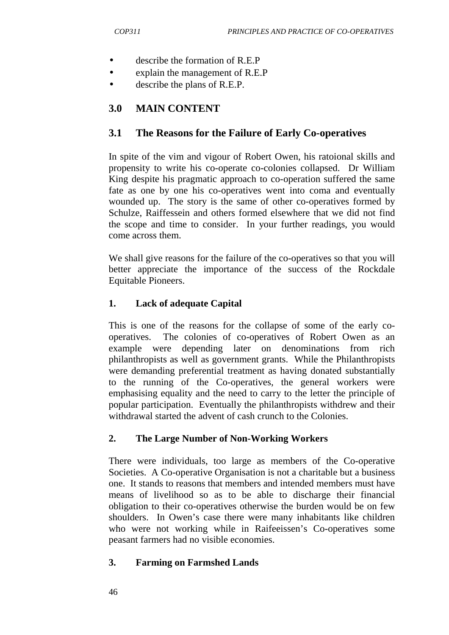- describe the formation of R.E.P
- explain the management of R.E.P
- describe the plans of R.E.P.

## **3.0 MAIN CONTENT**

### **3.1 The Reasons for the Failure of Early Co-operatives**

In spite of the vim and vigour of Robert Owen, his ratoional skills and propensity to write his co-operate co-colonies collapsed. Dr William King despite his pragmatic approach to co-operation suffered the same fate as one by one his co-operatives went into coma and eventually wounded up. The story is the same of other co-operatives formed by Schulze, Raiffessein and others formed elsewhere that we did not find the scope and time to consider. In your further readings, you would come across them.

We shall give reasons for the failure of the co-operatives so that you will better appreciate the importance of the success of the Rockdale Equitable Pioneers.

### **1. Lack of adequate Capital**

This is one of the reasons for the collapse of some of the early cooperatives. The colonies of co-operatives of Robert Owen as an example were depending later on denominations from rich philanthropists as well as government grants. While the Philanthropists were demanding preferential treatment as having donated substantially to the running of the Co-operatives, the general workers were emphasising equality and the need to carry to the letter the principle of popular participation. Eventually the philanthropists withdrew and their withdrawal started the advent of cash crunch to the Colonies.

#### **2. The Large Number of Non-Working Workers**

There were individuals, too large as members of the Co-operative Societies. A Co-operative Organisation is not a charitable but a business one. It stands to reasons that members and intended members must have means of livelihood so as to be able to discharge their financial obligation to their co-operatives otherwise the burden would be on few shoulders. In Owen's case there were many inhabitants like children who were not working while in Raifeeissen's Co-operatives some peasant farmers had no visible economies.

#### **3. Farming on Farmshed Lands**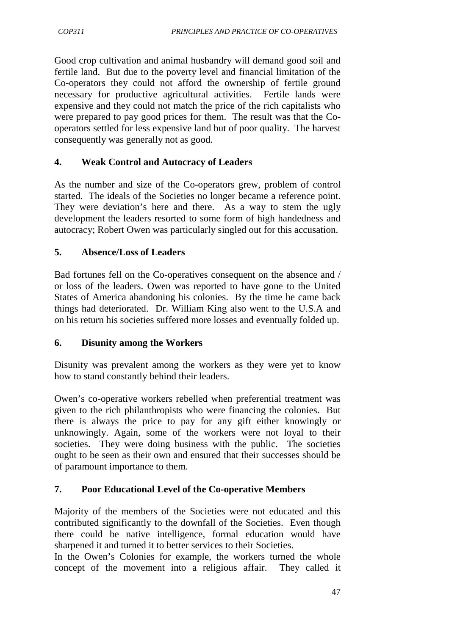Good crop cultivation and animal husbandry will demand good soil and fertile land. But due to the poverty level and financial limitation of the Co-operators they could not afford the ownership of fertile ground necessary for productive agricultural activities. Fertile lands were expensive and they could not match the price of the rich capitalists who were prepared to pay good prices for them. The result was that the Cooperators settled for less expensive land but of poor quality. The harvest consequently was generally not as good.

### **4. Weak Control and Autocracy of Leaders**

As the number and size of the Co-operators grew, problem of control started. The ideals of the Societies no longer became a reference point. They were deviation's here and there. As a way to stem the ugly development the leaders resorted to some form of high handedness and autocracy; Robert Owen was particularly singled out for this accusation.

### **5. Absence/Loss of Leaders**

Bad fortunes fell on the Co-operatives consequent on the absence and / or loss of the leaders. Owen was reported to have gone to the United States of America abandoning his colonies. By the time he came back things had deteriorated. Dr. William King also went to the U.S.A and on his return his societies suffered more losses and eventually folded up.

### **6. Disunity among the Workers**

Disunity was prevalent among the workers as they were yet to know how to stand constantly behind their leaders.

Owen's co-operative workers rebelled when preferential treatment was given to the rich philanthropists who were financing the colonies. But there is always the price to pay for any gift either knowingly or unknowingly. Again, some of the workers were not loyal to their societies. They were doing business with the public. The societies ought to be seen as their own and ensured that their successes should be of paramount importance to them.

### **7. Poor Educational Level of the Co-operative Members**

Majority of the members of the Societies were not educated and this contributed significantly to the downfall of the Societies. Even though there could be native intelligence, formal education would have sharpened it and turned it to better services to their Societies.

In the Owen's Colonies for example, the workers turned the whole concept of the movement into a religious affair. They called it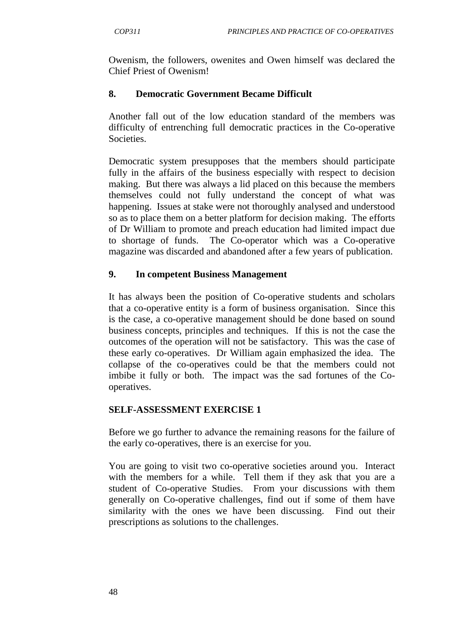Owenism, the followers, owenites and Owen himself was declared the Chief Priest of Owenism!

#### **8. Democratic Government Became Difficult**

Another fall out of the low education standard of the members was difficulty of entrenching full democratic practices in the Co-operative Societies.

Democratic system presupposes that the members should participate fully in the affairs of the business especially with respect to decision making. But there was always a lid placed on this because the members themselves could not fully understand the concept of what was happening. Issues at stake were not thoroughly analysed and understood so as to place them on a better platform for decision making. The efforts of Dr William to promote and preach education had limited impact due to shortage of funds. The Co-operator which was a Co-operative magazine was discarded and abandoned after a few years of publication.

#### **9. In competent Business Management**

It has always been the position of Co-operative students and scholars that a co-operative entity is a form of business organisation. Since this is the case, a co-operative management should be done based on sound business concepts, principles and techniques. If this is not the case the outcomes of the operation will not be satisfactory. This was the case of these early co-operatives. Dr William again emphasized the idea. The collapse of the co-operatives could be that the members could not imbibe it fully or both. The impact was the sad fortunes of the Cooperatives.

#### **SELF-ASSESSMENT EXERCISE 1**

Before we go further to advance the remaining reasons for the failure of the early co-operatives, there is an exercise for you.

You are going to visit two co-operative societies around you. Interact with the members for a while. Tell them if they ask that you are a student of Co-operative Studies. From your discussions with them generally on Co-operative challenges, find out if some of them have similarity with the ones we have been discussing. Find out their prescriptions as solutions to the challenges.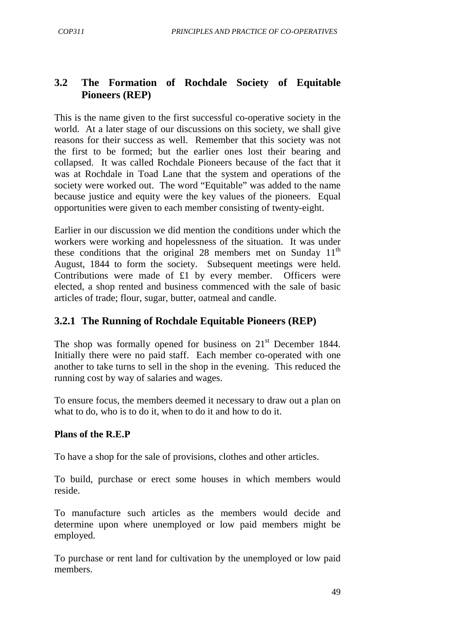# **3.2 The Formation of Rochdale Society of Equitable Pioneers (REP)**

This is the name given to the first successful co-operative society in the world. At a later stage of our discussions on this society, we shall give reasons for their success as well. Remember that this society was not the first to be formed; but the earlier ones lost their bearing and collapsed. It was called Rochdale Pioneers because of the fact that it was at Rochdale in Toad Lane that the system and operations of the society were worked out. The word "Equitable" was added to the name because justice and equity were the key values of the pioneers. Equal opportunities were given to each member consisting of twenty-eight.

Earlier in our discussion we did mention the conditions under which the workers were working and hopelessness of the situation. It was under these conditions that the original 28 members met on Sunday  $11<sup>th</sup>$ August, 1844 to form the society. Subsequent meetings were held. Contributions were made of £1 by every member. Officers were elected, a shop rented and business commenced with the sale of basic articles of trade; flour, sugar, butter, oatmeal and candle.

## **3.2.1 The Running of Rochdale Equitable Pioneers (REP)**

The shop was formally opened for business on  $21<sup>st</sup>$  December 1844. Initially there were no paid staff. Each member co-operated with one another to take turns to sell in the shop in the evening. This reduced the running cost by way of salaries and wages.

To ensure focus, the members deemed it necessary to draw out a plan on what to do, who is to do it, when to do it and how to do it.

#### **Plans of the R.E.P**

To have a shop for the sale of provisions, clothes and other articles.

To build, purchase or erect some houses in which members would reside.

To manufacture such articles as the members would decide and determine upon where unemployed or low paid members might be employed.

To purchase or rent land for cultivation by the unemployed or low paid members.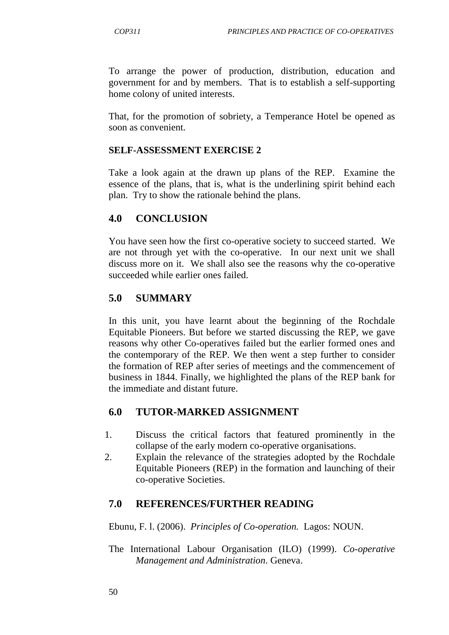To arrange the power of production, distribution, education and government for and by members. That is to establish a self-supporting home colony of united interests.

That, for the promotion of sobriety, a Temperance Hotel be opened as soon as convenient.

#### **SELF-ASSESSMENT EXERCISE 2**

Take a look again at the drawn up plans of the REP. Examine the essence of the plans, that is, what is the underlining spirit behind each plan. Try to show the rationale behind the plans.

## **4.0 CONCLUSION**

You have seen how the first co-operative society to succeed started. We are not through yet with the co-operative. In our next unit we shall discuss more on it. We shall also see the reasons why the co-operative succeeded while earlier ones failed.

## **5.0 SUMMARY**

In this unit, you have learnt about the beginning of the Rochdale Equitable Pioneers. But before we started discussing the REP, we gave reasons why other Co-operatives failed but the earlier formed ones and the contemporary of the REP. We then went a step further to consider the formation of REP after series of meetings and the commencement of business in 1844. Finally, we highlighted the plans of the REP bank for the immediate and distant future.

### **6.0 TUTOR-MARKED ASSIGNMENT**

- 1. Discuss the critical factors that featured prominently in the collapse of the early modern co-operative organisations.
- 2. Explain the relevance of the strategies adopted by the Rochdale Equitable Pioneers (REP) in the formation and launching of their co-operative Societies.

### **7.0 REFERENCES/FURTHER READING**

Ebunu, F. l. (2006). *Principles of Co-operation.* Lagos: NOUN.

The International Labour Organisation (ILO) (1999). *Co-operative Management and Administration*. Geneva.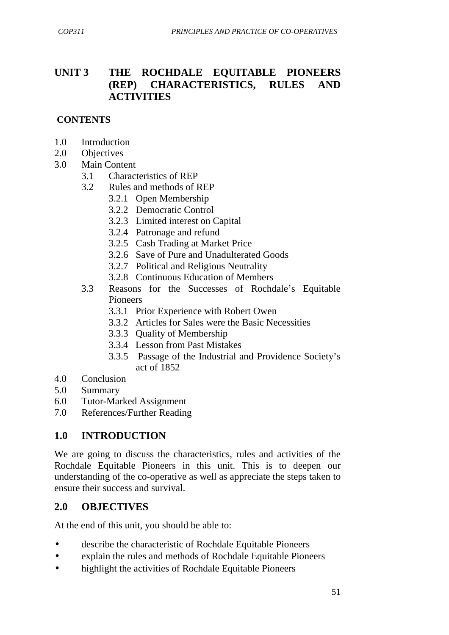## **UNIT 3 THE ROCHDALE EQUITABLE PIONEERS (REP) CHARACTERISTICS, RULES AND ACTIVITIES**

#### **CONTENTS**

- 1.0 Introduction
- 2.0 Objectives
- 3.0 Main Content
	- 3.1 Characteristics of REP
	- 3.2 Rules and methods of REP
		- 3.2.1 Open Membership
		- 3.2.2 Democratic Control
		- 3.2.3 Limited interest on Capital
		- 3.2.4 Patronage and refund
		- 3.2.5 Cash Trading at Market Price
		- 3.2.6 Save of Pure and Unadulterated Goods
		- 3.2.7 Political and Religious Neutrality
		- 3.2.8 Continuous Education of Members
	- 3.3 Reasons for the Successes of Rochdale's Equitable Pioneers
		- 3.3.1 Prior Experience with Robert Owen
		- 3.3.2 Articles for Sales were the Basic Necessities
		- 3.3.3 Quality of Membership
		- 3.3.4 Lesson from Past Mistakes
		- 3.3.5 Passage of the Industrial and Providence Society's act of 1852
- 4.0 Conclusion
- 5.0 Summary
- 6.0 Tutor-Marked Assignment
- 7.0 References/Further Reading

### **1.0 INTRODUCTION**

We are going to discuss the characteristics, rules and activities of the Rochdale Equitable Pioneers in this unit. This is to deepen our understanding of the co-operative as well as appreciate the steps taken to ensure their success and survival.

### **2.0 OBJECTIVES**

At the end of this unit, you should be able to:

- describe the characteristic of Rochdale Equitable Pioneers
- explain the rules and methods of Rochdale Equitable Pioneers
- highlight the activities of Rochdale Equitable Pioneers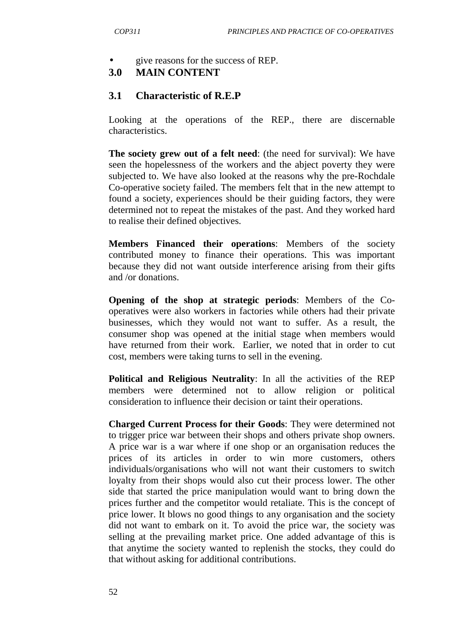#### • give reasons for the success of REP.

### **3.0 MAIN CONTENT**

#### **3.1 Characteristic of R.E.P**

Looking at the operations of the REP., there are discernable characteristics.

**The society grew out of a felt need**: (the need for survival): We have seen the hopelessness of the workers and the abject poverty they were subjected to. We have also looked at the reasons why the pre-Rochdale Co-operative society failed. The members felt that in the new attempt to found a society, experiences should be their guiding factors, they were determined not to repeat the mistakes of the past. And they worked hard to realise their defined objectives.

**Members Financed their operations**: Members of the society contributed money to finance their operations. This was important because they did not want outside interference arising from their gifts and /or donations.

**Opening of the shop at strategic periods**: Members of the Cooperatives were also workers in factories while others had their private businesses, which they would not want to suffer. As a result, the consumer shop was opened at the initial stage when members would have returned from their work. Earlier, we noted that in order to cut cost, members were taking turns to sell in the evening.

**Political and Religious Neutrality**: In all the activities of the REP members were determined not to allow religion or political consideration to influence their decision or taint their operations.

**Charged Current Process for their Goods**: They were determined not to trigger price war between their shops and others private shop owners. A price war is a war where if one shop or an organisation reduces the prices of its articles in order to win more customers, others individuals/organisations who will not want their customers to switch loyalty from their shops would also cut their process lower. The other side that started the price manipulation would want to bring down the prices further and the competitor would retaliate. This is the concept of price lower. It blows no good things to any organisation and the society did not want to embark on it. To avoid the price war, the society was selling at the prevailing market price. One added advantage of this is that anytime the society wanted to replenish the stocks, they could do that without asking for additional contributions.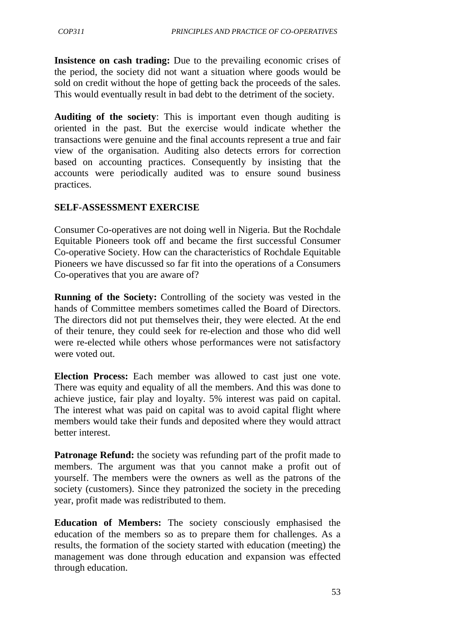**Insistence on cash trading:** Due to the prevailing economic crises of the period, the society did not want a situation where goods would be sold on credit without the hope of getting back the proceeds of the sales. This would eventually result in bad debt to the detriment of the society.

**Auditing of the society**: This is important even though auditing is oriented in the past. But the exercise would indicate whether the transactions were genuine and the final accounts represent a true and fair view of the organisation. Auditing also detects errors for correction based on accounting practices. Consequently by insisting that the accounts were periodically audited was to ensure sound business practices.

#### **SELF-ASSESSMENT EXERCISE**

Consumer Co-operatives are not doing well in Nigeria. But the Rochdale Equitable Pioneers took off and became the first successful Consumer Co-operative Society. How can the characteristics of Rochdale Equitable Pioneers we have discussed so far fit into the operations of a Consumers Co-operatives that you are aware of?

**Running of the Society:** Controlling of the society was vested in the hands of Committee members sometimes called the Board of Directors. The directors did not put themselves their, they were elected. At the end of their tenure, they could seek for re-election and those who did well were re-elected while others whose performances were not satisfactory were voted out.

**Election Process:** Each member was allowed to cast just one vote. There was equity and equality of all the members. And this was done to achieve justice, fair play and loyalty. 5% interest was paid on capital. The interest what was paid on capital was to avoid capital flight where members would take their funds and deposited where they would attract better interest.

**Patronage Refund:** the society was refunding part of the profit made to members. The argument was that you cannot make a profit out of yourself. The members were the owners as well as the patrons of the society (customers). Since they patronized the society in the preceding year, profit made was redistributed to them.

**Education of Members:** The society consciously emphasised the education of the members so as to prepare them for challenges. As a results, the formation of the society started with education (meeting) the management was done through education and expansion was effected through education.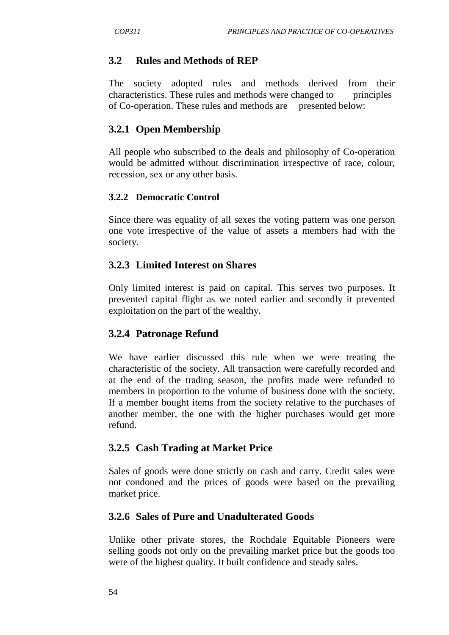### **3.2 Rules and Methods of REP**

The society adopted rules and methods derived from their characteristics. These rules and methods were changed to principles of Co-operation. These rules and methods are presented below:

## **3.2.1 Open Membership**

All people who subscribed to the deals and philosophy of Co-operation would be admitted without discrimination irrespective of race, colour, recession, sex or any other basis.

#### **3.2.2 Democratic Control**

Since there was equality of all sexes the voting pattern was one person one vote irrespective of the value of assets a members had with the society.

### **3.2.3 Limited Interest on Shares**

Only limited interest is paid on capital. This serves two purposes. It prevented capital flight as we noted earlier and secondly it prevented exploitation on the part of the wealthy.

### **3.2.4 Patronage Refund**

We have earlier discussed this rule when we were treating the characteristic of the society. All transaction were carefully recorded and at the end of the trading season, the profits made were refunded to members in proportion to the volume of business done with the society. If a member bought items from the society relative to the purchases of another member, the one with the higher purchases would get more refund.

### **3.2.5 Cash Trading at Market Price**

Sales of goods were done strictly on cash and carry. Credit sales were not condoned and the prices of goods were based on the prevailing market price.

### **3.2.6 Sales of Pure and Unadulterated Goods**

Unlike other private stores, the Rochdale Equitable Pioneers were selling goods not only on the prevailing market price but the goods too were of the highest quality. It built confidence and steady sales.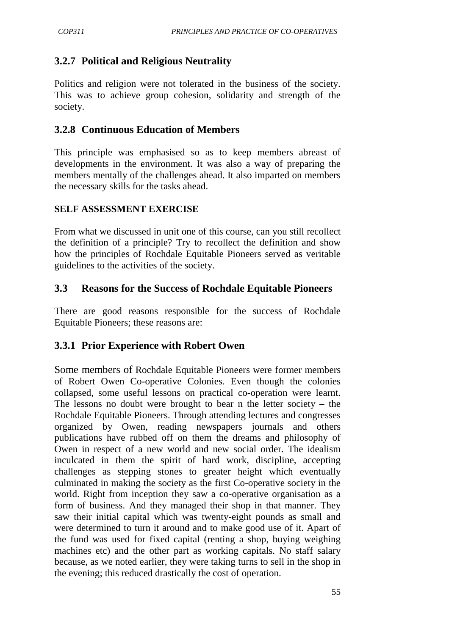# **3.2.7 Political and Religious Neutrality**

Politics and religion were not tolerated in the business of the society. This was to achieve group cohesion, solidarity and strength of the society.

### **3.2.8 Continuous Education of Members**

This principle was emphasised so as to keep members abreast of developments in the environment. It was also a way of preparing the members mentally of the challenges ahead. It also imparted on members the necessary skills for the tasks ahead.

### **SELF ASSESSMENT EXERCISE**

From what we discussed in unit one of this course, can you still recollect the definition of a principle? Try to recollect the definition and show how the principles of Rochdale Equitable Pioneers served as veritable guidelines to the activities of the society.

### **3.3 Reasons for the Success of Rochdale Equitable Pioneers**

There are good reasons responsible for the success of Rochdale Equitable Pioneers; these reasons are:

### **3.3.1 Prior Experience with Robert Owen**

Some members of Rochdale Equitable Pioneers were former members of Robert Owen Co-operative Colonies. Even though the colonies collapsed, some useful lessons on practical co-operation were learnt. The lessons no doubt were brought to bear n the letter society  $-$  the Rochdale Equitable Pioneers. Through attending lectures and congresses organized by Owen, reading newspapers journals and others publications have rubbed off on them the dreams and philosophy of Owen in respect of a new world and new social order. The idealism inculcated in them the spirit of hard work, discipline, accepting challenges as stepping stones to greater height which eventually culminated in making the society as the first Co-operative society in the world. Right from inception they saw a co-operative organisation as a form of business. And they managed their shop in that manner. They saw their initial capital which was twenty-eight pounds as small and were determined to turn it around and to make good use of it. Apart of the fund was used for fixed capital (renting a shop, buying weighing machines etc) and the other part as working capitals. No staff salary because, as we noted earlier, they were taking turns to sell in the shop in the evening; this reduced drastically the cost of operation.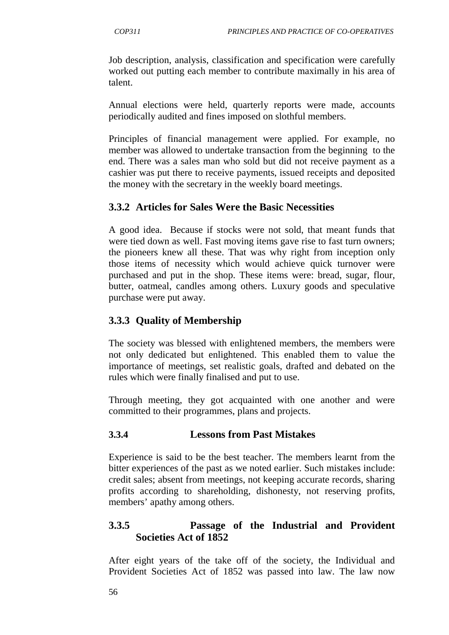Job description, analysis, classification and specification were carefully worked out putting each member to contribute maximally in his area of talent.

Annual elections were held, quarterly reports were made, accounts periodically audited and fines imposed on slothful members.

Principles of financial management were applied. For example, no member was allowed to undertake transaction from the beginning to the end. There was a sales man who sold but did not receive payment as a cashier was put there to receive payments, issued receipts and deposited the money with the secretary in the weekly board meetings.

# **3.3.2 Articles for Sales Were the Basic Necessities**

A good idea. Because if stocks were not sold, that meant funds that were tied down as well. Fast moving items gave rise to fast turn owners; the pioneers knew all these. That was why right from inception only those items of necessity which would achieve quick turnover were purchased and put in the shop. These items were: bread, sugar, flour, butter, oatmeal, candles among others. Luxury goods and speculative purchase were put away.

## **3.3.3 Quality of Membership**

The society was blessed with enlightened members, the members were not only dedicated but enlightened. This enabled them to value the importance of meetings, set realistic goals, drafted and debated on the rules which were finally finalised and put to use.

Through meeting, they got acquainted with one another and were committed to their programmes, plans and projects.

#### **3.3.4 Lessons from Past Mistakes**

Experience is said to be the best teacher. The members learnt from the bitter experiences of the past as we noted earlier. Such mistakes include: credit sales; absent from meetings, not keeping accurate records, sharing profits according to shareholding, dishonesty, not reserving profits, members' apathy among others.

## **3.3.5 Passage of the Industrial and Provident Societies Act of 1852**

After eight years of the take off of the society, the Individual and Provident Societies Act of 1852 was passed into law. The law now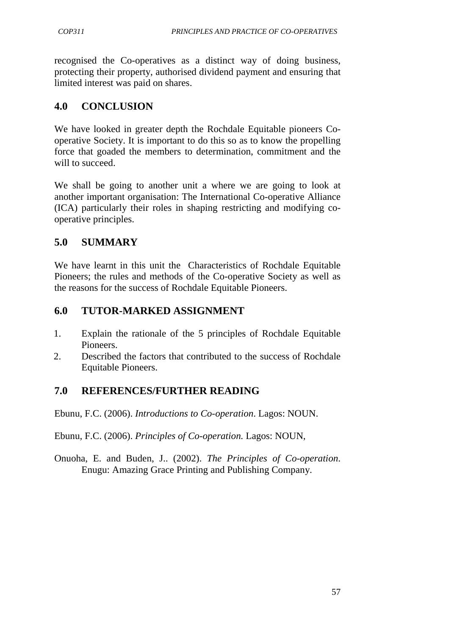recognised the Co-operatives as a distinct way of doing business, protecting their property, authorised dividend payment and ensuring that limited interest was paid on shares.

## **4.0 CONCLUSION**

We have looked in greater depth the Rochdale Equitable pioneers Cooperative Society. It is important to do this so as to know the propelling force that goaded the members to determination, commitment and the will to succeed.

We shall be going to another unit a where we are going to look at another important organisation: The International Co-operative Alliance (ICA) particularly their roles in shaping restricting and modifying cooperative principles.

# **5.0 SUMMARY**

We have learnt in this unit the Characteristics of Rochdale Equitable Pioneers; the rules and methods of the Co-operative Society as well as the reasons for the success of Rochdale Equitable Pioneers.

## **6.0 TUTOR-MARKED ASSIGNMENT**

- 1. Explain the rationale of the 5 principles of Rochdale Equitable Pioneers.
- 2. Described the factors that contributed to the success of Rochdale Equitable Pioneers.

## **7.0 REFERENCES/FURTHER READING**

Ebunu, F.C. (2006). *Introductions to Co-operation*. Lagos: NOUN.

Ebunu, F.C. (2006). *Principles of Co-operation.* Lagos: NOUN,

Onuoha, E. and Buden, J.. (2002). *The Principles of Co-operation*. Enugu: Amazing Grace Printing and Publishing Company.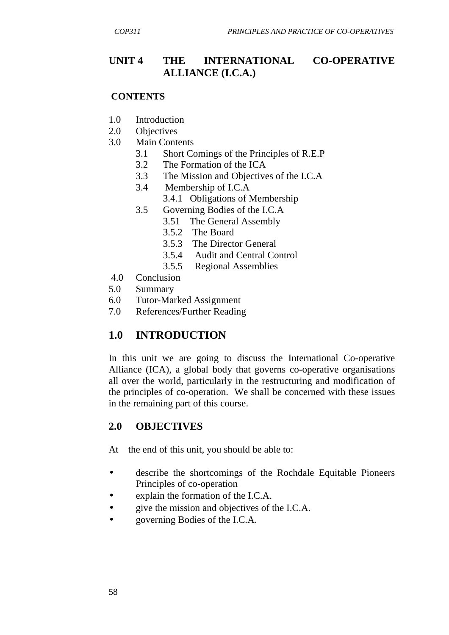## **UNIT 4 THE INTERNATIONAL CO-OPERATIVE ALLIANCE (I.C.A.)**

#### **CONTENTS**

- 1.0 Introduction
- 2.0 Objectives
- 3.0 Main Contents
	- 3.1 Short Comings of the Principles of R.E.P
	- 3.2 The Formation of the ICA
	- 3.3 The Mission and Objectives of the I.C.A
	- 3.4 Membership of I.C.A
		- 3.4.1 Obligations of Membership
	- 3.5 Governing Bodies of the I.C.A
		- 3.51 The General Assembly
			- 3.5.2 The Board
			- 3.5.3 The Director General
			- 3.5.4 Audit and Central Control
			- 3.5.5 Regional Assemblies
- 4.0 Conclusion
- 5.0 Summary
- 6.0 Tutor-Marked Assignment
- 7.0 References/Further Reading

# **1.0 INTRODUCTION**

In this unit we are going to discuss the International Co-operative Alliance (ICA), a global body that governs co-operative organisations all over the world, particularly in the restructuring and modification of the principles of co-operation. We shall be concerned with these issues in the remaining part of this course.

## **2.0 OBJECTIVES**

At the end of this unit, you should be able to:

- describe the shortcomings of the Rochdale Equitable Pioneers Principles of co-operation
- explain the formation of the I.C.A.
- give the mission and objectives of the I.C.A.
- governing Bodies of the I.C.A.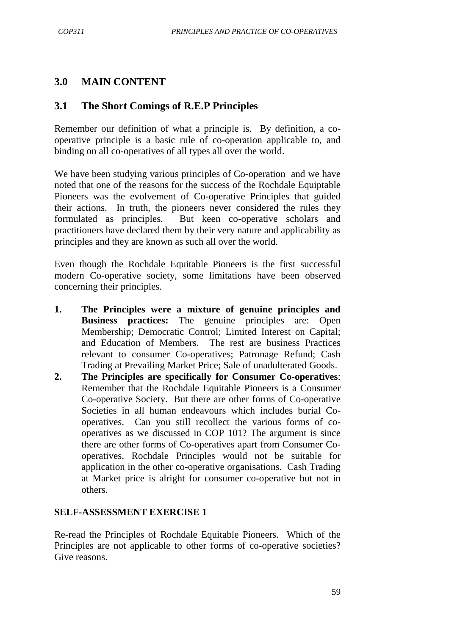### **3.0 MAIN CONTENT**

### **3.1 The Short Comings of R.E.P Principles**

Remember our definition of what a principle is. By definition, a cooperative principle is a basic rule of co-operation applicable to, and binding on all co-operatives of all types all over the world.

We have been studying various principles of Co-operation and we have noted that one of the reasons for the success of the Rochdale Equiptable Pioneers was the evolvement of Co-operative Principles that guided their actions. In truth, the pioneers never considered the rules they formulated as principles. But keen co-operative scholars and practitioners have declared them by their very nature and applicability as principles and they are known as such all over the world.

Even though the Rochdale Equitable Pioneers is the first successful modern Co-operative society, some limitations have been observed concerning their principles.

- **1. The Principles were a mixture of genuine principles and Business practices:** The genuine principles are: Open Membership; Democratic Control; Limited Interest on Capital; and Education of Members. The rest are business Practices relevant to consumer Co-operatives; Patronage Refund; Cash Trading at Prevailing Market Price; Sale of unadulterated Goods.
- **2. The Principles are specifically for Consumer Co-operatives**: Remember that the Rochdale Equitable Pioneers is a Consumer Co-operative Society. But there are other forms of Co-operative Societies in all human endeavours which includes burial Cooperatives. Can you still recollect the various forms of cooperatives as we discussed in COP 101? The argument is since there are other forms of Co-operatives apart from Consumer Cooperatives, Rochdale Principles would not be suitable for application in the other co-operative organisations. Cash Trading at Market price is alright for consumer co-operative but not in others.

#### **SELF-ASSESSMENT EXERCISE 1**

Re-read the Principles of Rochdale Equitable Pioneers. Which of the Principles are not applicable to other forms of co-operative societies? Give reasons.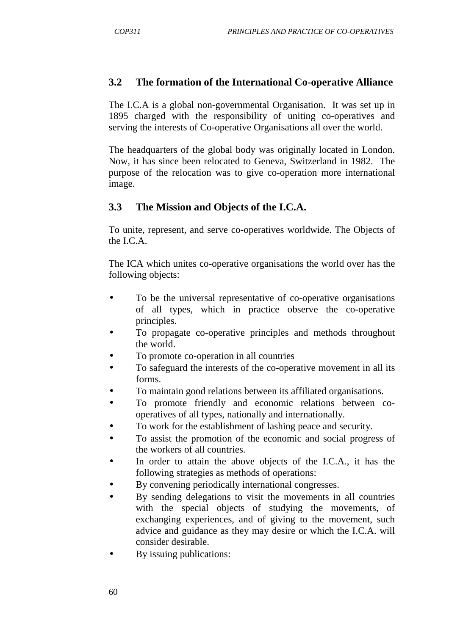#### **3.2 The formation of the International Co-operative Alliance**

The I.C.A is a global non-governmental Organisation. It was set up in 1895 charged with the responsibility of uniting co-operatives and serving the interests of Co-operative Organisations all over the world.

The headquarters of the global body was originally located in London. Now, it has since been relocated to Geneva, Switzerland in 1982. The purpose of the relocation was to give co-operation more international image.

### **3.3 The Mission and Objects of the I.C.A.**

To unite, represent, and serve co-operatives worldwide. The Objects of the I.C.A.

The ICA which unites co-operative organisations the world over has the following objects:

- To be the universal representative of co-operative organisations of all types, which in practice observe the co-operative principles.
- To propagate co-operative principles and methods throughout the world.
- To promote co-operation in all countries
- To safeguard the interests of the co-operative movement in all its forms.
- To maintain good relations between its affiliated organisations.
- To promote friendly and economic relations between co operatives of all types, nationally and internationally.
- To work for the establishment of lashing peace and security.
- To assist the promotion of the economic and social progress of the workers of all countries.
- In order to attain the above objects of the I.C.A., it has the following strategies as methods of operations:
- By convening periodically international congresses.
- By sending delegations to visit the movements in all countries with the special objects of studying the movements, of exchanging experiences, and of giving to the movement, such advice and guidance as they may desire or which the I.C.A. will consider desirable.
- By issuing publications: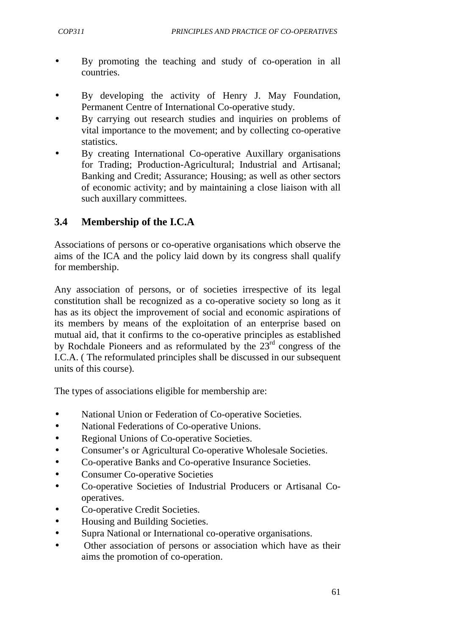- By promoting the teaching and study of co-operation in all countries.
- By developing the activity of Henry J. May Foundation, Permanent Centre of International Co-operative study.
- By carrying out research studies and inquiries on problems of vital importance to the movement; and by collecting co-operative statistics.
- By creating International Co-operative Auxillary organisations for Trading; Production-Agricultural; Industrial and Artisanal; Banking and Credit; Assurance; Housing; as well as other sectors of economic activity; and by maintaining a close liaison with all such auxillary committees.

# **3.4 Membership of the I.C.A**

Associations of persons or co-operative organisations which observe the aims of the ICA and the policy laid down by its congress shall qualify for membership.

Any association of persons, or of societies irrespective of its legal constitution shall be recognized as a co-operative society so long as it has as its object the improvement of social and economic aspirations of its members by means of the exploitation of an enterprise based on mutual aid, that it confirms to the co-operative principles as established by Rochdale Pioneers and as reformulated by the  $23<sup>rd</sup>$  congress of the I.C.A. ( The reformulated principles shall be discussed in our subsequent units of this course).

The types of associations eligible for membership are:

- National Union or Federation of Co-operative Societies.
- National Federations of Co-operative Unions.
- Regional Unions of Co-operative Societies.
- Consumer's or Agricultural Co-operative Wholesale Societies.
- Co-operative Banks and Co-operative Insurance Societies.
- Consumer Co-operative Societies
- Co-operative Societies of Industrial Producers or Artisanal Cooperatives.
- Co-operative Credit Societies.
- Housing and Building Societies.
- Supra National or International co-operative organisations.
- Other association of persons or association which have as their aims the promotion of co-operation.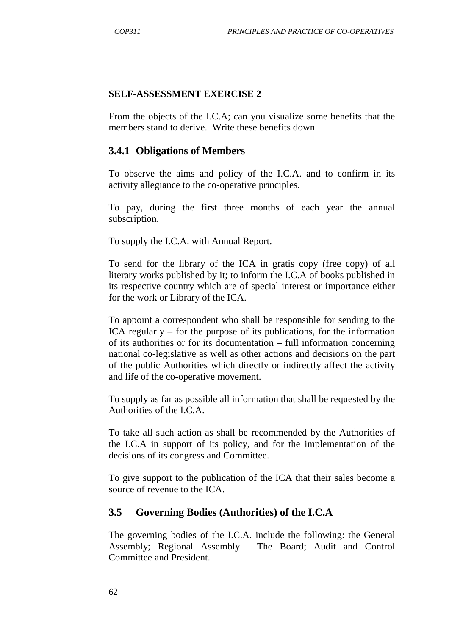#### **SELF-ASSESSMENT EXERCISE 2**

From the objects of the I.C.A; can you visualize some benefits that the members stand to derive. Write these benefits down.

#### **3.4.1 Obligations of Members**

To observe the aims and policy of the I.C.A. and to confirm in its activity allegiance to the co-operative principles.

To pay, during the first three months of each year the annual subscription.

To supply the I.C.A. with Annual Report.

To send for the library of the ICA in gratis copy (free copy) of all literary works published by it; to inform the I.C.A of books published in its respective country which are of special interest or importance either for the work or Library of the ICA.

To appoint a correspondent who shall be responsible for sending to the ICA regularly – for the purpose of its publications, for the information of its authorities or for its documentation – full information concerning national co-legislative as well as other actions and decisions on the part of the public Authorities which directly or indirectly affect the activity and life of the co-operative movement.

To supply as far as possible all information that shall be requested by the Authorities of the I.C.A.

To take all such action as shall be recommended by the Authorities of the I.C.A in support of its policy, and for the implementation of the decisions of its congress and Committee.

To give support to the publication of the ICA that their sales become a source of revenue to the ICA.

#### **3.5 Governing Bodies (Authorities) of the I.C.A**

The governing bodies of the I.C.A. include the following: the General Assembly; Regional Assembly. The Board; Audit and Control Committee and President.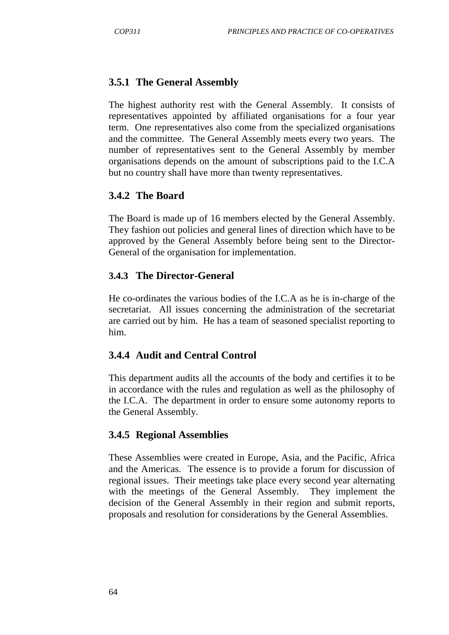## **3.5.1 The General Assembly**

The highest authority rest with the General Assembly. It consists of representatives appointed by affiliated organisations for a four year term. One representatives also come from the specialized organisations and the committee. The General Assembly meets every two years. The number of representatives sent to the General Assembly by member organisations depends on the amount of subscriptions paid to the I.C.A but no country shall have more than twenty representatives.

### **3.4.2 The Board**

The Board is made up of 16 members elected by the General Assembly. They fashion out policies and general lines of direction which have to be approved by the General Assembly before being sent to the Director-General of the organisation for implementation.

### **3.4.3 The Director-General**

He co-ordinates the various bodies of the I.C.A as he is in-charge of the secretariat. All issues concerning the administration of the secretariat are carried out by him. He has a team of seasoned specialist reporting to him.

### **3.4.4 Audit and Central Control**

This department audits all the accounts of the body and certifies it to be in accordance with the rules and regulation as well as the philosophy of the I.C.A. The department in order to ensure some autonomy reports to the General Assembly.

#### **3.4.5 Regional Assemblies**

These Assemblies were created in Europe, Asia, and the Pacific, Africa and the Americas. The essence is to provide a forum for discussion of regional issues. Their meetings take place every second year alternating with the meetings of the General Assembly. They implement the decision of the General Assembly in their region and submit reports, proposals and resolution for considerations by the General Assemblies.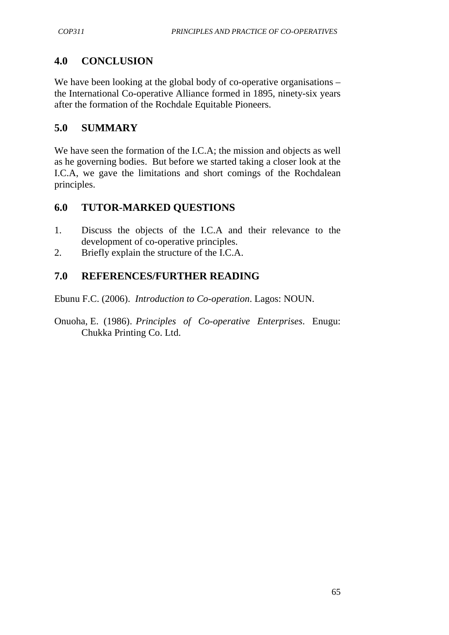# **4.0 CONCLUSION**

We have been looking at the global body of co-operative organisations – the International Co-operative Alliance formed in 1895, ninety-six years after the formation of the Rochdale Equitable Pioneers.

## **5.0 SUMMARY**

We have seen the formation of the I.C.A; the mission and objects as well as he governing bodies. But before we started taking a closer look at the I.C.A, we gave the limitations and short comings of the Rochdalean principles.

## **6.0 TUTOR-MARKED QUESTIONS**

- 1. Discuss the objects of the I.C.A and their relevance to the development of co-operative principles.
- 2. Briefly explain the structure of the I.C.A.

## **7.0 REFERENCES/FURTHER READING**

Ebunu F.C. (2006). *Introduction to Co-operation*. Lagos: NOUN.

Onuoha, E. (1986). *Principles of Co-operative Enterprises*. Enugu: Chukka Printing Co. Ltd.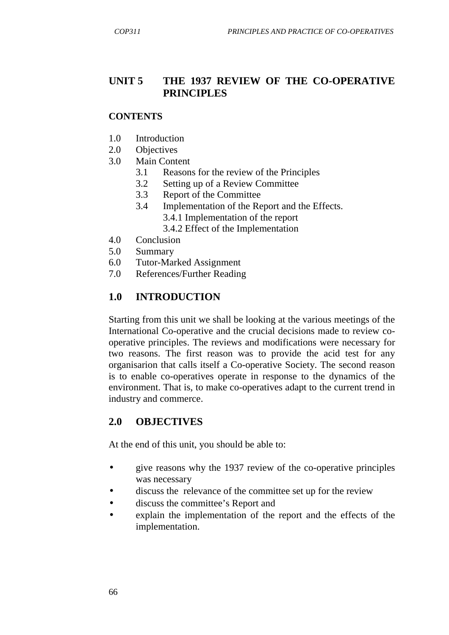### **UNIT 5 THE 1937 REVIEW OF THE CO-OPERATIVE PRINCIPLES**

#### **CONTENTS**

- 1.0 Introduction
- 2.0 Objectives
- 3.0 Main Content
	- 3.1 Reasons for the review of the Principles
	- 3.2 Setting up of a Review Committee
	- 3.3 Report of the Committee
	- 3.4 Implementation of the Report and the Effects.
		- 3.4.1 Implementation of the report
		- 3.4.2 Effect of the Implementation
- 4.0 Conclusion
- 5.0 Summary
- 6.0 Tutor-Marked Assignment
- 7.0 References/Further Reading

### **1.0 INTRODUCTION**

Starting from this unit we shall be looking at the various meetings of the International Co-operative and the crucial decisions made to review cooperative principles. The reviews and modifications were necessary for two reasons. The first reason was to provide the acid test for any organisarion that calls itself a Co-operative Society. The second reason is to enable co-operatives operate in response to the dynamics of the environment. That is, to make co-operatives adapt to the current trend in industry and commerce.

### **2.0 OBJECTIVES**

At the end of this unit, you should be able to:

- give reasons why the 1937 review of the co-operative principles was necessary
- discuss the relevance of the committee set up for the review
- discuss the committee's Report and
- explain the implementation of the report and the effects of the implementation.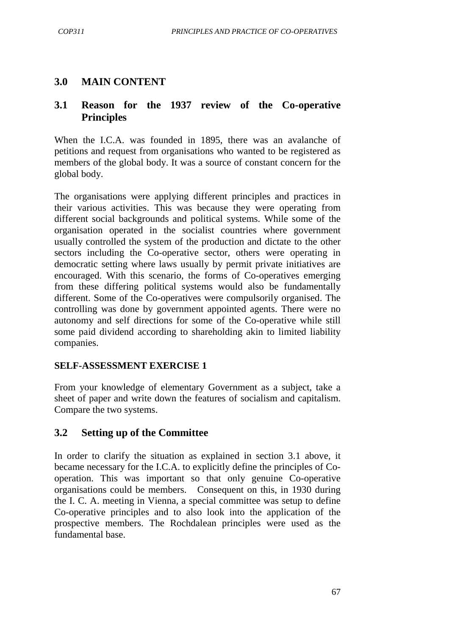### **3.0 MAIN CONTENT**

### **3.1 Reason for the 1937 review of the Co-operative Principles**

When the I.C.A. was founded in 1895, there was an avalanche of petitions and request from organisations who wanted to be registered as members of the global body. It was a source of constant concern for the global body.

The organisations were applying different principles and practices in their various activities. This was because they were operating from different social backgrounds and political systems. While some of the organisation operated in the socialist countries where government usually controlled the system of the production and dictate to the other sectors including the Co-operative sector, others were operating in democratic setting where laws usually by permit private initiatives are encouraged. With this scenario, the forms of Co-operatives emerging from these differing political systems would also be fundamentally different. Some of the Co-operatives were compulsorily organised. The controlling was done by government appointed agents. There were no autonomy and self directions for some of the Co-operative while still some paid dividend according to shareholding akin to limited liability companies.

#### **SELF-ASSESSMENT EXERCISE 1**

From your knowledge of elementary Government as a subject, take a sheet of paper and write down the features of socialism and capitalism. Compare the two systems.

#### **3.2 Setting up of the Committee**

In order to clarify the situation as explained in section 3.1 above, it became necessary for the I.C.A. to explicitly define the principles of Cooperation. This was important so that only genuine Co-operative organisations could be members. Consequent on this, in 1930 during the I. C. A. meeting in Vienna, a special committee was setup to define Co-operative principles and to also look into the application of the prospective members. The Rochdalean principles were used as the fundamental base.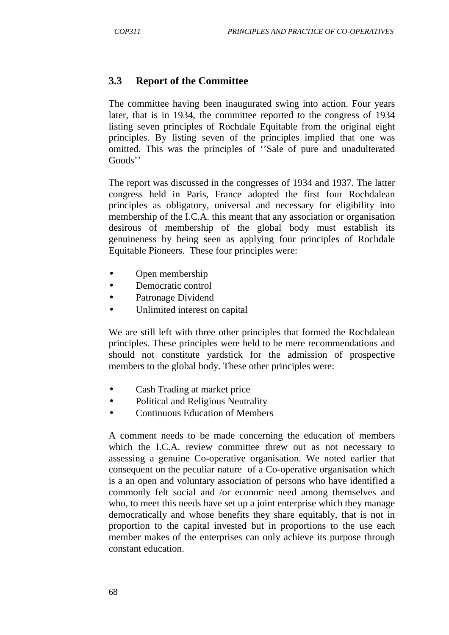### **3.3 Report of the Committee**

The committee having been inaugurated swing into action. Four years later, that is in 1934, the committee reported to the congress of 1934 listing seven principles of Rochdale Equitable from the original eight principles. By listing seven of the principles implied that one was omitted. This was the principles of ''Sale of pure and unadulterated Goods''

The report was discussed in the congresses of 1934 and 1937. The latter congress held in Paris, France adopted the first four Rochdalean principles as obligatory, universal and necessary for eligibility into membership of the I.C.A. this meant that any association or organisation desirous of membership of the global body must establish its genuineness by being seen as applying four principles of Rochdale Equitable Pioneers. These four principles were:

- Open membership
- Democratic control
- Patronage Dividend
- Unlimited interest on capital

We are still left with three other principles that formed the Rochdalean principles. These principles were held to be mere recommendations and should not constitute yardstick for the admission of prospective members to the global body. These other principles were:

- Cash Trading at market price
- Political and Religious Neutrality
- Continuous Education of Members

A comment needs to be made concerning the education of members which the I.C.A. review committee threw out as not necessary to assessing a genuine Co-operative organisation. We noted earlier that consequent on the peculiar nature of a Co-operative organisation which is a an open and voluntary association of persons who have identified a commonly felt social and /or economic need among themselves and who, to meet this needs have set up a joint enterprise which they manage democratically and whose benefits they share equitably, that is not in proportion to the capital invested but in proportions to the use each member makes of the enterprises can only achieve its purpose through constant education.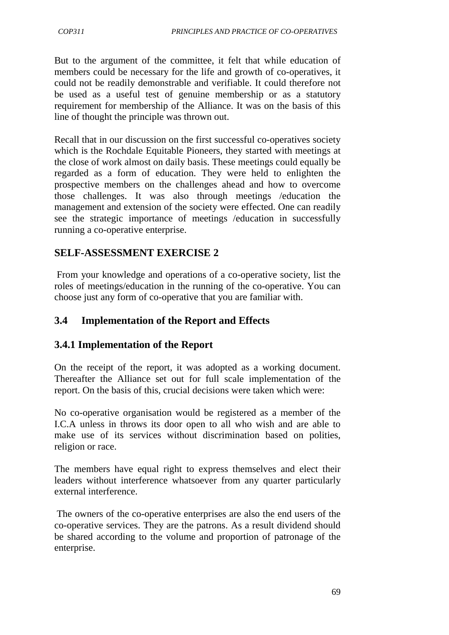But to the argument of the committee, it felt that while education of members could be necessary for the life and growth of co-operatives, it could not be readily demonstrable and verifiable. It could therefore not be used as a useful test of genuine membership or as a statutory requirement for membership of the Alliance. It was on the basis of this line of thought the principle was thrown out.

Recall that in our discussion on the first successful co-operatives society which is the Rochdale Equitable Pioneers, they started with meetings at the close of work almost on daily basis. These meetings could equally be regarded as a form of education. They were held to enlighten the prospective members on the challenges ahead and how to overcome those challenges. It was also through meetings /education the management and extension of the society were effected. One can readily see the strategic importance of meetings /education in successfully running a co-operative enterprise.

## **SELF-ASSESSMENT EXERCISE 2**

 From your knowledge and operations of a co-operative society, list the roles of meetings/education in the running of the co-operative. You can choose just any form of co-operative that you are familiar with.

## **3.4 Implementation of the Report and Effects**

### **3.4.1 Implementation of the Report**

On the receipt of the report, it was adopted as a working document. Thereafter the Alliance set out for full scale implementation of the report. On the basis of this, crucial decisions were taken which were:

No co-operative organisation would be registered as a member of the I.C.A unless in throws its door open to all who wish and are able to make use of its services without discrimination based on polities, religion or race.

The members have equal right to express themselves and elect their leaders without interference whatsoever from any quarter particularly external interference.

 The owners of the co-operative enterprises are also the end users of the co-operative services. They are the patrons. As a result dividend should be shared according to the volume and proportion of patronage of the enterprise.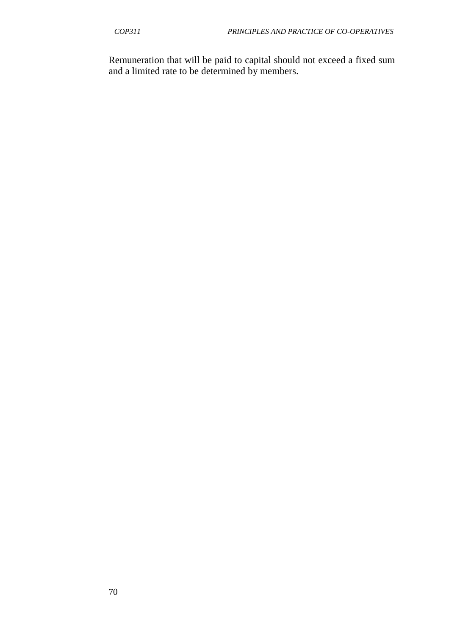Remuneration that will be paid to capital should not exceed a fixed sum and a limited rate to be determined by members.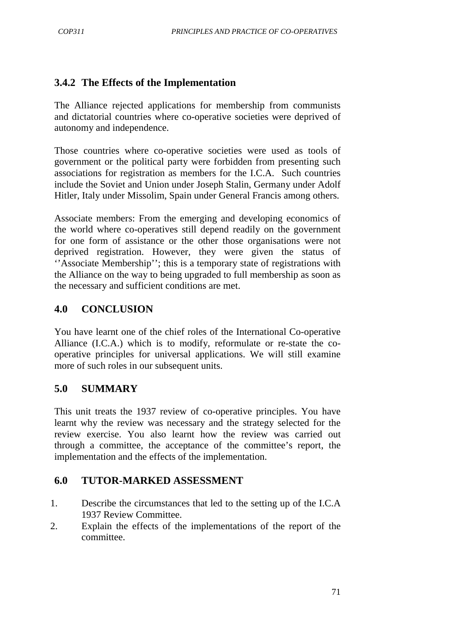## **3.4.2 The Effects of the Implementation**

The Alliance rejected applications for membership from communists and dictatorial countries where co-operative societies were deprived of autonomy and independence.

Those countries where co-operative societies were used as tools of government or the political party were forbidden from presenting such associations for registration as members for the I.C.A. Such countries include the Soviet and Union under Joseph Stalin, Germany under Adolf Hitler, Italy under Missolim, Spain under General Francis among others.

Associate members: From the emerging and developing economics of the world where co-operatives still depend readily on the government for one form of assistance or the other those organisations were not deprived registration. However, they were given the status of ''Associate Membership''; this is a temporary state of registrations with the Alliance on the way to being upgraded to full membership as soon as the necessary and sufficient conditions are met.

## **4.0 CONCLUSION**

You have learnt one of the chief roles of the International Co-operative Alliance (I.C.A.) which is to modify, reformulate or re-state the cooperative principles for universal applications. We will still examine more of such roles in our subsequent units.

### **5.0 SUMMARY**

This unit treats the 1937 review of co-operative principles. You have learnt why the review was necessary and the strategy selected for the review exercise. You also learnt how the review was carried out through a committee, the acceptance of the committee's report, the implementation and the effects of the implementation.

### **6.0 TUTOR-MARKED ASSESSMENT**

- 1. Describe the circumstances that led to the setting up of the I.C.A 1937 Review Committee.
- 2. Explain the effects of the implementations of the report of the committee.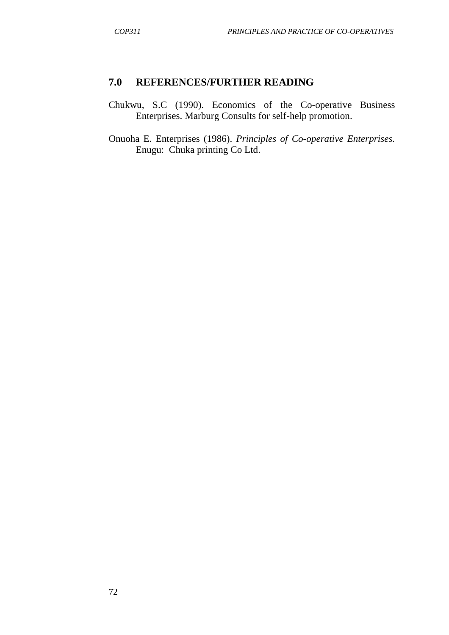#### **7.0 REFERENCES/FURTHER READING**

- Chukwu, S.C (1990). Economics of the Co-operative Business Enterprises. Marburg Consults for self-help promotion.
- Onuoha E. Enterprises (1986). *Principles of Co-operative Enterprises.*  Enugu: Chuka printing Co Ltd.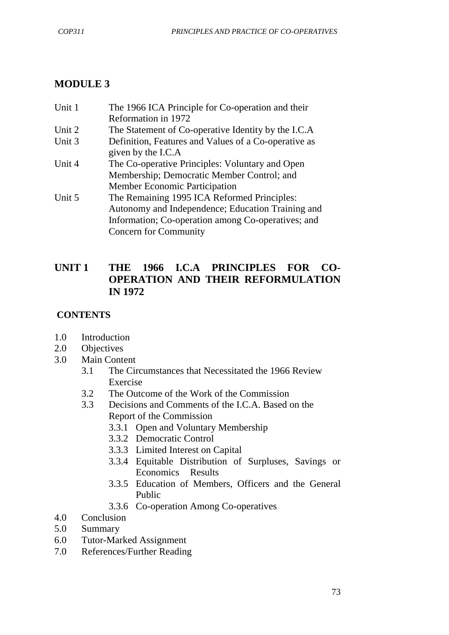# **MODULE 3**

| Unit 1 | The 1966 ICA Principle for Co-operation and their    |
|--------|------------------------------------------------------|
|        | Reformation in 1972                                  |
| Unit 2 | The Statement of Co-operative Identity by the I.C.A  |
| Unit 3 | Definition, Features and Values of a Co-operative as |
|        | given by the I.C.A                                   |
| Unit 4 | The Co-operative Principles: Voluntary and Open      |
|        | Membership; Democratic Member Control; and           |
|        | <b>Member Economic Participation</b>                 |
| Unit 5 | The Remaining 1995 ICA Reformed Principles:          |
|        | Autonomy and Independence; Education Training and    |
|        | Information; Co-operation among Co-operatives; and   |
|        | <b>Concern for Community</b>                         |

## **UNIT 1 THE 1966 I.C.A PRINCIPLES FOR CO-OPERATION AND THEIR REFORMULATION IN 1972**

## **CONTENTS**

- 1.0 Introduction
- 2.0 Objectives
- 3.0 Main Content
	- 3.1 The Circumstances that Necessitated the 1966 Review Exercise
	- 3.2 The Outcome of the Work of the Commission
	- 3.3 Decisions and Comments of the I.C.A. Based on the Report of the Commission
		- 3.3.1 Open and Voluntary Membership
		- 3.3.2 Democratic Control
		- 3.3.3 Limited Interest on Capital
		- 3.3.4 Equitable Distribution of Surpluses, Savings or Economics Results
		- 3.3.5 Education of Members, Officers and the General Public
		- 3.3.6 Co-operation Among Co-operatives
- 4.0 Conclusion
- 5.0 Summary
- 6.0 Tutor-Marked Assignment
- 7.0 References/Further Reading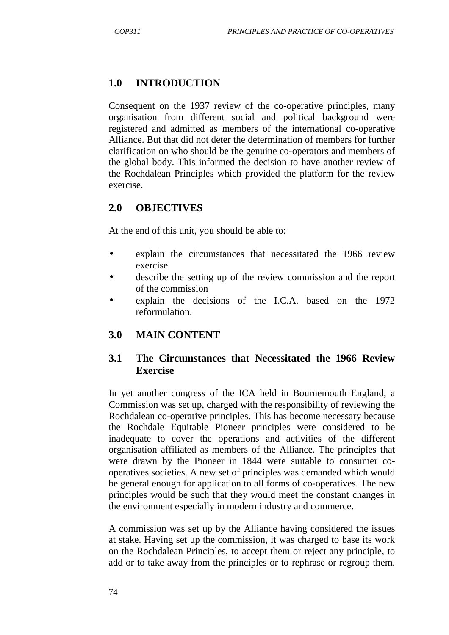## **1.0 INTRODUCTION**

Consequent on the 1937 review of the co-operative principles, many organisation from different social and political background were registered and admitted as members of the international co-operative Alliance. But that did not deter the determination of members for further clarification on who should be the genuine co-operators and members of the global body. This informed the decision to have another review of the Rochdalean Principles which provided the platform for the review exercise.

### **2.0 OBJECTIVES**

At the end of this unit, you should be able to:

- explain the circumstances that necessitated the 1966 review exercise
- describe the setting up of the review commission and the report of the commission
- explain the decisions of the I.C.A. based on the 1972 reformulation.

#### **3.0 MAIN CONTENT**

### **3.1 The Circumstances that Necessitated the 1966 Review Exercise**

In yet another congress of the ICA held in Bournemouth England, a Commission was set up, charged with the responsibility of reviewing the Rochdalean co-operative principles. This has become necessary because the Rochdale Equitable Pioneer principles were considered to be inadequate to cover the operations and activities of the different organisation affiliated as members of the Alliance. The principles that were drawn by the Pioneer in 1844 were suitable to consumer cooperatives societies. A new set of principles was demanded which would be general enough for application to all forms of co-operatives. The new principles would be such that they would meet the constant changes in the environment especially in modern industry and commerce.

A commission was set up by the Alliance having considered the issues at stake. Having set up the commission, it was charged to base its work on the Rochdalean Principles, to accept them or reject any principle, to add or to take away from the principles or to rephrase or regroup them.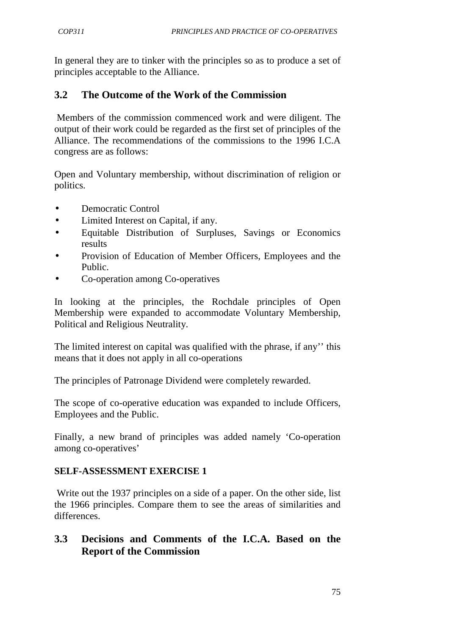In general they are to tinker with the principles so as to produce a set of principles acceptable to the Alliance.

## **3.2 The Outcome of the Work of the Commission**

 Members of the commission commenced work and were diligent. The output of their work could be regarded as the first set of principles of the Alliance. The recommendations of the commissions to the 1996 I.C.A congress are as follows:

Open and Voluntary membership, without discrimination of religion or politics.

- Democratic Control
- Limited Interest on Capital, if any.
- Equitable Distribution of Surpluses, Savings or Economics results
- Provision of Education of Member Officers, Employees and the Public.
- Co-operation among Co-operatives

In looking at the principles, the Rochdale principles of Open Membership were expanded to accommodate Voluntary Membership, Political and Religious Neutrality.

The limited interest on capital was qualified with the phrase, if any'' this means that it does not apply in all co-operations

The principles of Patronage Dividend were completely rewarded.

The scope of co-operative education was expanded to include Officers, Employees and the Public.

Finally, a new brand of principles was added namely 'Co-operation among co-operatives'

### **SELF-ASSESSMENT EXERCISE 1**

 Write out the 1937 principles on a side of a paper. On the other side, list the 1966 principles. Compare them to see the areas of similarities and differences.

## **3.3 Decisions and Comments of the I.C.A. Based on the Report of the Commission**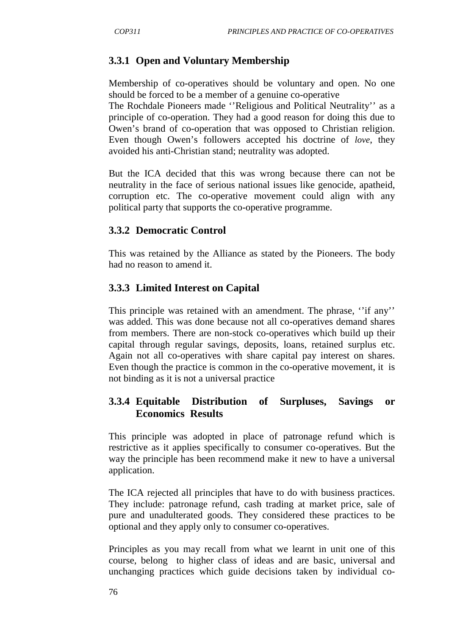# **3.3.1 Open and Voluntary Membership**

Membership of co-operatives should be voluntary and open. No one should be forced to be a member of a genuine co-operative

The Rochdale Pioneers made ''Religious and Political Neutrality'' as a principle of co-operation. They had a good reason for doing this due to Owen's brand of co-operation that was opposed to Christian religion. Even though Owen's followers accepted his doctrine of *love*, they avoided his anti-Christian stand; neutrality was adopted.

But the ICA decided that this was wrong because there can not be neutrality in the face of serious national issues like genocide, apatheid, corruption etc. The co-operative movement could align with any political party that supports the co-operative programme.

## **3.3.2 Democratic Control**

This was retained by the Alliance as stated by the Pioneers. The body had no reason to amend it.

## **3.3.3 Limited Interest on Capital**

This principle was retained with an amendment. The phrase, "if any" was added. This was done because not all co-operatives demand shares from members. There are non-stock co-operatives which build up their capital through regular savings, deposits, loans, retained surplus etc. Again not all co-operatives with share capital pay interest on shares. Even though the practice is common in the co-operative movement, it is not binding as it is not a universal practice

## **3.3.4 Equitable Distribution of Surpluses, Savings or Economics Results**

This principle was adopted in place of patronage refund which is restrictive as it applies specifically to consumer co-operatives. But the way the principle has been recommend make it new to have a universal application.

The ICA rejected all principles that have to do with business practices. They include: patronage refund, cash trading at market price, sale of pure and unadulterated goods. They considered these practices to be optional and they apply only to consumer co-operatives.

Principles as you may recall from what we learnt in unit one of this course, belong to higher class of ideas and are basic, universal and unchanging practices which guide decisions taken by individual co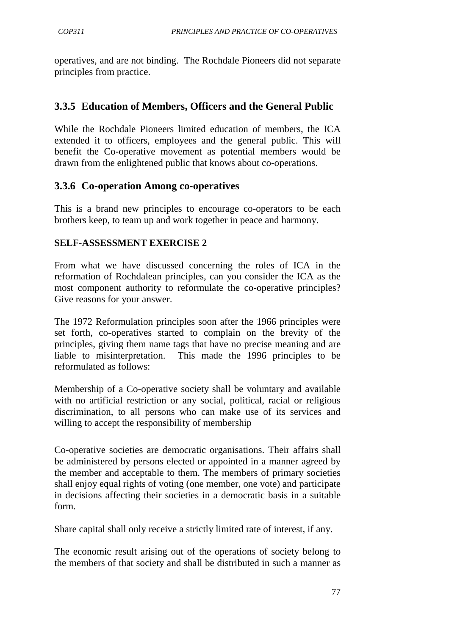operatives, and are not binding. The Rochdale Pioneers did not separate principles from practice.

## **3.3.5 Education of Members, Officers and the General Public**

While the Rochdale Pioneers limited education of members, the ICA extended it to officers, employees and the general public. This will benefit the Co-operative movement as potential members would be drawn from the enlightened public that knows about co-operations.

### **3.3.6 Co-operation Among co-operatives**

This is a brand new principles to encourage co-operators to be each brothers keep, to team up and work together in peace and harmony.

### **SELF-ASSESSMENT EXERCISE 2**

From what we have discussed concerning the roles of ICA in the reformation of Rochdalean principles, can you consider the ICA as the most component authority to reformulate the co-operative principles? Give reasons for your answer.

The 1972 Reformulation principles soon after the 1966 principles were set forth, co-operatives started to complain on the brevity of the principles, giving them name tags that have no precise meaning and are liable to misinterpretation. This made the 1996 principles to be reformulated as follows:

Membership of a Co-operative society shall be voluntary and available with no artificial restriction or any social, political, racial or religious discrimination, to all persons who can make use of its services and willing to accept the responsibility of membership

Co-operative societies are democratic organisations. Their affairs shall be administered by persons elected or appointed in a manner agreed by the member and acceptable to them. The members of primary societies shall enjoy equal rights of voting (one member, one vote) and participate in decisions affecting their societies in a democratic basis in a suitable form.

Share capital shall only receive a strictly limited rate of interest, if any.

The economic result arising out of the operations of society belong to the members of that society and shall be distributed in such a manner as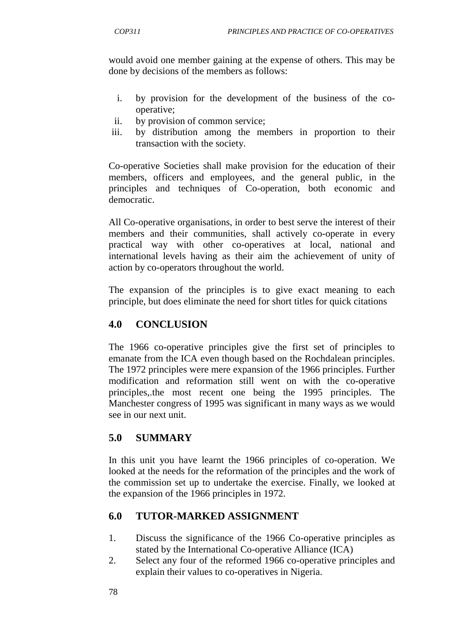would avoid one member gaining at the expense of others. This may be done by decisions of the members as follows:

- i. by provision for the development of the business of the cooperative;
- ii. by provision of common service;
- iii. by distribution among the members in proportion to their transaction with the society.

Co-operative Societies shall make provision for the education of their members, officers and employees, and the general public, in the principles and techniques of Co-operation, both economic and democratic.

All Co-operative organisations, in order to best serve the interest of their members and their communities, shall actively co-operate in every practical way with other co-operatives at local, national and international levels having as their aim the achievement of unity of action by co-operators throughout the world.

The expansion of the principles is to give exact meaning to each principle, but does eliminate the need for short titles for quick citations

## **4.0 CONCLUSION**

The 1966 co-operative principles give the first set of principles to emanate from the ICA even though based on the Rochdalean principles. The 1972 principles were mere expansion of the 1966 principles. Further modification and reformation still went on with the co-operative principles,.the most recent one being the 1995 principles. The Manchester congress of 1995 was significant in many ways as we would see in our next unit.

## **5.0 SUMMARY**

In this unit you have learnt the 1966 principles of co-operation. We looked at the needs for the reformation of the principles and the work of the commission set up to undertake the exercise. Finally, we looked at the expansion of the 1966 principles in 1972.

## **6.0 TUTOR-MARKED ASSIGNMENT**

- 1. Discuss the significance of the 1966 Co-operative principles as stated by the International Co-operative Alliance (ICA)
- 2. Select any four of the reformed 1966 co-operative principles and explain their values to co-operatives in Nigeria.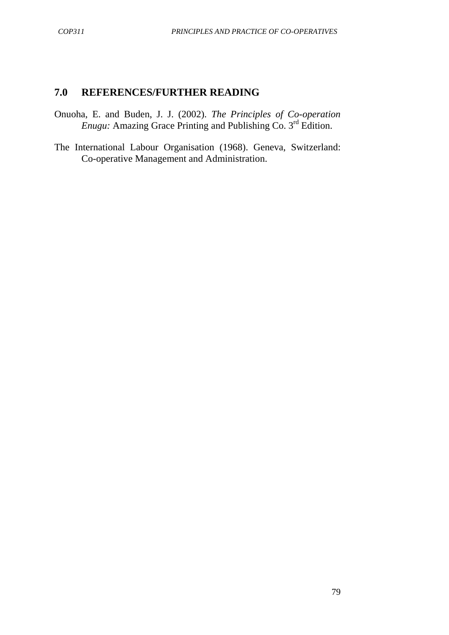### **7.0 REFERENCES/FURTHER READING**

- Onuoha, E. and Buden, J. J. (2002). *The Principles of Co-operation Enugu:* Amazing Grace Printing and Publishing Co. 3<sup>rd</sup> Edition.
- The International Labour Organisation (1968). Geneva, Switzerland: Co-operative Management and Administration.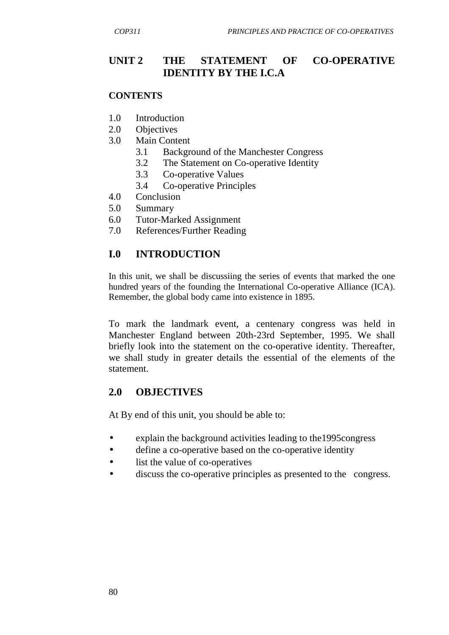## **UNIT 2 THE STATEMENT OF CO-OPERATIVE IDENTITY BY THE I.C.A**

#### **CONTENTS**

- 1.0 Introduction
- 2.0 Objectives
- 3.0 Main Content
	- 3.1 Background of the Manchester Congress
	- 3.2 The Statement on Co-operative Identity
	- 3.3 Co-operative Values
	- 3.4 Co-operative Principles
- 4.0 Conclusion
- 5.0 Summary
- 6.0 Tutor-Marked Assignment
- 7.0 References/Further Reading

#### **I.0 INTRODUCTION**

In this unit, we shall be discussiing the series of events that marked the one hundred years of the founding the International Co-operative Alliance (ICA). Remember, the global body came into existence in 1895.

To mark the landmark event, a centenary congress was held in Manchester England between 20th-23rd September, 1995. We shall briefly look into the statement on the co-operative identity. Thereafter, we shall study in greater details the essential of the elements of the statement.

#### **2.0 OBJECTIVES**

At By end of this unit, you should be able to:

- explain the background activities leading to the 1995 congress
- define a co-operative based on the co-operative identity
- list the value of co-operatives
- discuss the co-operative principles as presented to the congress.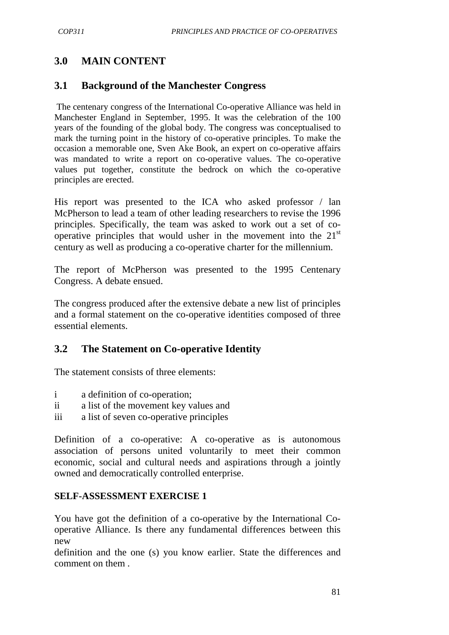## **3.0 MAIN CONTENT**

### **3.1 Background of the Manchester Congress**

 The centenary congress of the International Co-operative Alliance was held in Manchester England in September, 1995. It was the celebration of the 100 years of the founding of the global body. The congress was conceptualised to mark the turning point in the history of co-operative principles. To make the occasion a memorable one, Sven Ake Book, an expert on co-operative affairs was mandated to write a report on co-operative values. The co-operative values put together, constitute the bedrock on which the co-operative principles are erected.

His report was presented to the ICA who asked professor / lan McPherson to lead a team of other leading researchers to revise the 1996 principles. Specifically, the team was asked to work out a set of cooperative principles that would usher in the movement into the  $21<sup>st</sup>$ century as well as producing a co-operative charter for the millennium.

The report of McPherson was presented to the 1995 Centenary Congress. A debate ensued.

The congress produced after the extensive debate a new list of principles and a formal statement on the co-operative identities composed of three essential elements.

### **3.2 The Statement on Co-operative Identity**

The statement consists of three elements:

- i a definition of co-operation;
- ii a list of the movement key values and
- iii a list of seven co-operative principles

Definition of a co-operative: A co-operative as is autonomous association of persons united voluntarily to meet their common economic, social and cultural needs and aspirations through a jointly owned and democratically controlled enterprise.

#### **SELF-ASSESSMENT EXERCISE 1**

You have got the definition of a co-operative by the International Cooperative Alliance. Is there any fundamental differences between this new

definition and the one (s) you know earlier. State the differences and comment on them .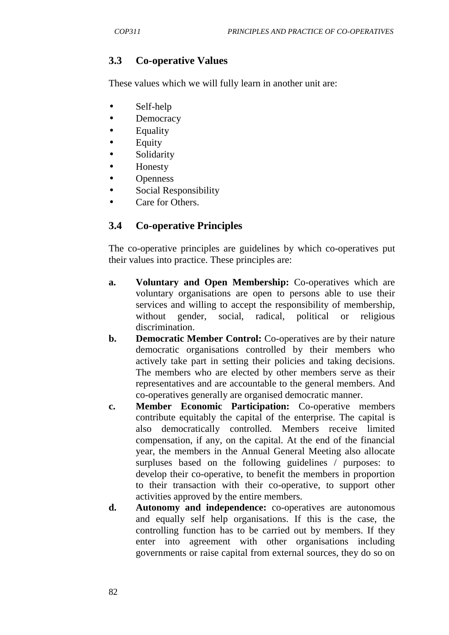## **3.3 Co-operative Values**

These values which we will fully learn in another unit are:

- Self-help
- Democracy
- Equality
- Equity
- **Solidarity**
- Honesty
- **Openness**
- Social Responsibility
- Care for Others.

## **3.4 Co-operative Principles**

The co-operative principles are guidelines by which co-operatives put their values into practice. These principles are:

- **a. Voluntary and Open Membership:** Co-operatives which are voluntary organisations are open to persons able to use their services and willing to accept the responsibility of membership, without gender, social, radical, political or religious discrimination.
- **b. Democratic Member Control:** Co-operatives are by their nature democratic organisations controlled by their members who actively take part in setting their policies and taking decisions. The members who are elected by other members serve as their representatives and are accountable to the general members. And co-operatives generally are organised democratic manner.
- **c. Member Economic Participation:** Co-operative members contribute equitably the capital of the enterprise. The capital is also democratically controlled. Members receive limited compensation, if any, on the capital. At the end of the financial year, the members in the Annual General Meeting also allocate surpluses based on the following guidelines / purposes: to develop their co-operative, to benefit the members in proportion to their transaction with their co-operative, to support other activities approved by the entire members.
- **d. Autonomy and independence:** co-operatives are autonomous and equally self help organisations. If this is the case, the controlling function has to be carried out by members. If they enter into agreement with other organisations including governments or raise capital from external sources, they do so on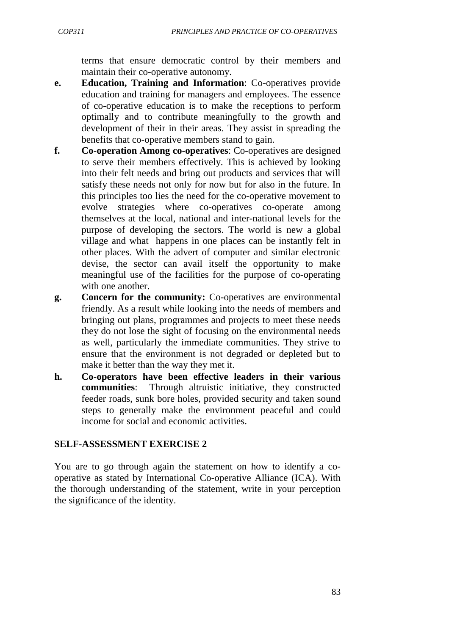terms that ensure democratic control by their members and maintain their co-operative autonomy.

- **e. Education, Training and Information**: Co-operatives provide education and training for managers and employees. The essence of co-operative education is to make the receptions to perform optimally and to contribute meaningfully to the growth and development of their in their areas. They assist in spreading the benefits that co-operative members stand to gain.
- **f. Co-operation Among co-operatives**: Co-operatives are designed to serve their members effectively. This is achieved by looking into their felt needs and bring out products and services that will satisfy these needs not only for now but for also in the future. In this principles too lies the need for the co-operative movement to evolve strategies where co-operatives co-operate among themselves at the local, national and inter-national levels for the purpose of developing the sectors. The world is new a global village and what happens in one places can be instantly felt in other places. With the advert of computer and similar electronic devise, the sector can avail itself the opportunity to make meaningful use of the facilities for the purpose of co-operating with one another.
- **g. Concern for the community:** Co-operatives are environmental friendly. As a result while looking into the needs of members and bringing out plans, programmes and projects to meet these needs they do not lose the sight of focusing on the environmental needs as well, particularly the immediate communities. They strive to ensure that the environment is not degraded or depleted but to make it better than the way they met it.
- **h. Co-operators have been effective leaders in their various communities**: Through altruistic initiative, they constructed feeder roads, sunk bore holes, provided security and taken sound steps to generally make the environment peaceful and could income for social and economic activities.

#### **SELF-ASSESSMENT EXERCISE 2**

You are to go through again the statement on how to identify a cooperative as stated by International Co-operative Alliance (ICA). With the thorough understanding of the statement, write in your perception the significance of the identity.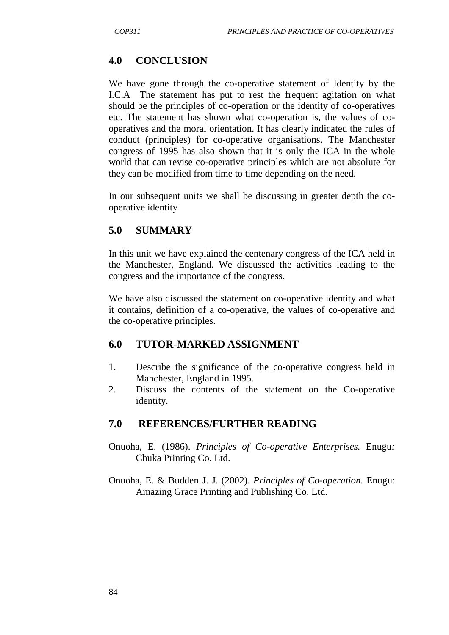## **4.0 CONCLUSION**

We have gone through the co-operative statement of Identity by the I.C.A The statement has put to rest the frequent agitation on what should be the principles of co-operation or the identity of co-operatives etc. The statement has shown what co-operation is, the values of cooperatives and the moral orientation. It has clearly indicated the rules of conduct (principles) for co-operative organisations. The Manchester congress of 1995 has also shown that it is only the ICA in the whole world that can revise co-operative principles which are not absolute for they can be modified from time to time depending on the need.

In our subsequent units we shall be discussing in greater depth the cooperative identity

## **5.0 SUMMARY**

In this unit we have explained the centenary congress of the ICA held in the Manchester, England. We discussed the activities leading to the congress and the importance of the congress.

We have also discussed the statement on co-operative identity and what it contains, definition of a co-operative, the values of co-operative and the co-operative principles.

### **6.0 TUTOR-MARKED ASSIGNMENT**

- 1. Describe the significance of the co-operative congress held in Manchester, England in 1995.
- 2. Discuss the contents of the statement on the Co-operative identity.

### **7.0 REFERENCES/FURTHER READING**

- Onuoha, E. (1986). *Principles of Co-operative Enterprises.* Enugu*:*  Chuka Printing Co. Ltd.
- Onuoha, E. & Budden J. J. (2002). *Principles of Co-operation.* Enugu: Amazing Grace Printing and Publishing Co. Ltd.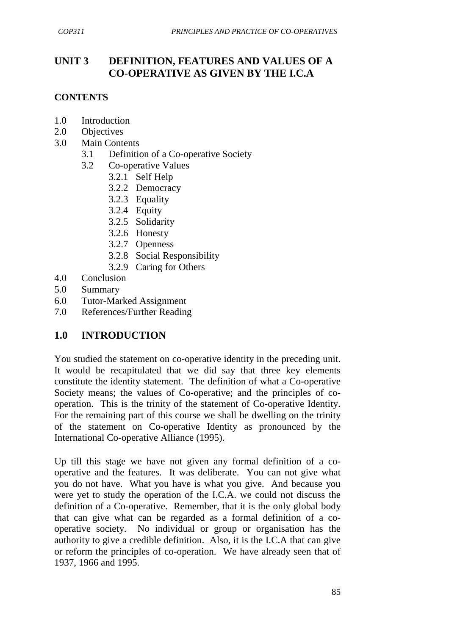# **UNIT 3 DEFINITION, FEATURES AND VALUES OF A CO-OPERATIVE AS GIVEN BY THE I.C.A**

### **CONTENTS**

- 1.0 Introduction
- 2.0 Objectives
- 3.0 Main Contents
	- 3.1 Definition of a Co-operative Society
	- 3.2 Co-operative Values
		- 3.2.1 Self Help
		- 3.2.2 Democracy
		- 3.2.3 Equality
		- 3.2.4 Equity
		- 3.2.5 Solidarity
		- 3.2.6 Honesty
		- 3.2.7 Openness
		- 3.2.8 Social Responsibility
		- 3.2.9 Caring for Others
- 4.0 Conclusion
- 5.0 Summary
- 6.0 Tutor-Marked Assignment
- 7.0 References/Further Reading

### **1.0 INTRODUCTION**

You studied the statement on co-operative identity in the preceding unit. It would be recapitulated that we did say that three key elements constitute the identity statement. The definition of what a Co-operative Society means; the values of Co-operative; and the principles of cooperation. This is the trinity of the statement of Co-operative Identity. For the remaining part of this course we shall be dwelling on the trinity of the statement on Co-operative Identity as pronounced by the International Co-operative Alliance (1995).

Up till this stage we have not given any formal definition of a cooperative and the features. It was deliberate. You can not give what you do not have. What you have is what you give. And because you were yet to study the operation of the I.C.A. we could not discuss the definition of a Co-operative. Remember, that it is the only global body that can give what can be regarded as a formal definition of a cooperative society. No individual or group or organisation has the authority to give a credible definition. Also, it is the I.C.A that can give or reform the principles of co-operation. We have already seen that of 1937, 1966 and 1995.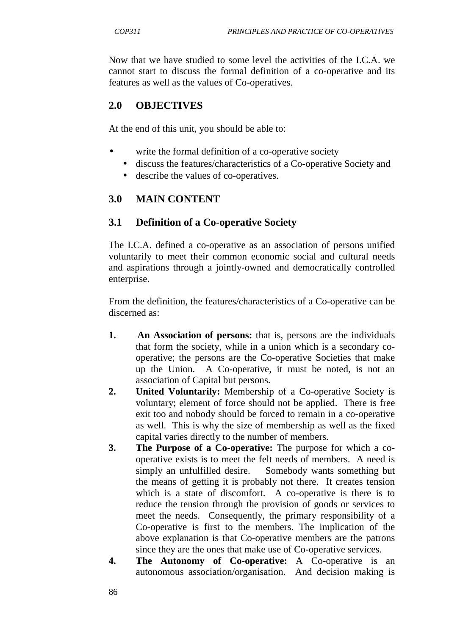Now that we have studied to some level the activities of the I.C.A. we cannot start to discuss the formal definition of a co-operative and its features as well as the values of Co-operatives.

## **2.0 OBJECTIVES**

At the end of this unit, you should be able to:

- write the formal definition of a co-operative society
	- discuss the features/characteristics of a Co-operative Society and
	- describe the values of co-operatives.

## **3.0 MAIN CONTENT**

### **3.1 Definition of a Co-operative Society**

The I.C.A. defined a co-operative as an association of persons unified voluntarily to meet their common economic social and cultural needs and aspirations through a jointly-owned and democratically controlled enterprise.

From the definition, the features/characteristics of a Co-operative can be discerned as:

- **1. An Association of persons:** that is, persons are the individuals that form the society, while in a union which is a secondary cooperative; the persons are the Co-operative Societies that make up the Union. A Co-operative, it must be noted, is not an association of Capital but persons.
- **2. United Voluntarily:** Membership of a Co-operative Society is voluntary; element of force should not be applied. There is free exit too and nobody should be forced to remain in a co-operative as well. This is why the size of membership as well as the fixed capital varies directly to the number of members.
- **3. The Purpose of a Co-operative:** The purpose for which a cooperative exists is to meet the felt needs of members. A need is simply an unfulfilled desire. Somebody wants something but the means of getting it is probably not there. It creates tension which is a state of discomfort. A co-operative is there is to reduce the tension through the provision of goods or services to meet the needs. Consequently, the primary responsibility of a Co-operative is first to the members. The implication of the above explanation is that Co-operative members are the patrons since they are the ones that make use of Co-operative services.
- **4. The Autonomy of Co-operative:** A Co-operative is an autonomous association/organisation. And decision making is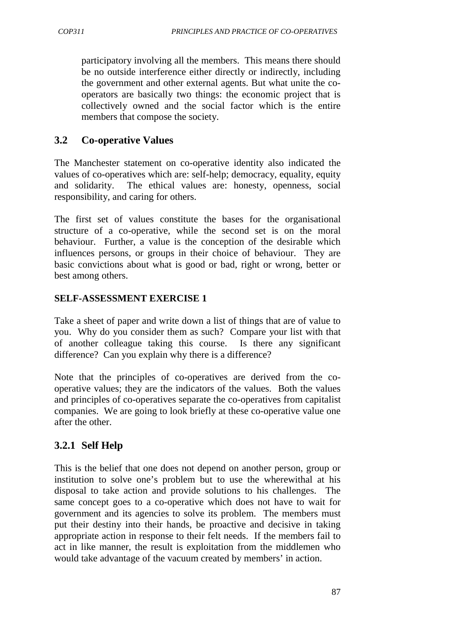participatory involving all the members. This means there should be no outside interference either directly or indirectly, including the government and other external agents. But what unite the cooperators are basically two things: the economic project that is collectively owned and the social factor which is the entire members that compose the society.

### **3.2 Co-operative Values**

The Manchester statement on co-operative identity also indicated the values of co-operatives which are: self-help; democracy, equality, equity and solidarity. The ethical values are: honesty, openness, social responsibility, and caring for others.

The first set of values constitute the bases for the organisational structure of a co-operative, while the second set is on the moral behaviour. Further, a value is the conception of the desirable which influences persons, or groups in their choice of behaviour. They are basic convictions about what is good or bad, right or wrong, better or best among others.

### **SELF-ASSESSMENT EXERCISE 1**

Take a sheet of paper and write down a list of things that are of value to you. Why do you consider them as such? Compare your list with that of another colleague taking this course. Is there any significant difference? Can you explain why there is a difference?

Note that the principles of co-operatives are derived from the cooperative values; they are the indicators of the values. Both the values and principles of co-operatives separate the co-operatives from capitalist companies. We are going to look briefly at these co-operative value one after the other.

## **3.2.1 Self Help**

This is the belief that one does not depend on another person, group or institution to solve one's problem but to use the wherewithal at his disposal to take action and provide solutions to his challenges. The same concept goes to a co-operative which does not have to wait for government and its agencies to solve its problem. The members must put their destiny into their hands, be proactive and decisive in taking appropriate action in response to their felt needs. If the members fail to act in like manner, the result is exploitation from the middlemen who would take advantage of the vacuum created by members' in action.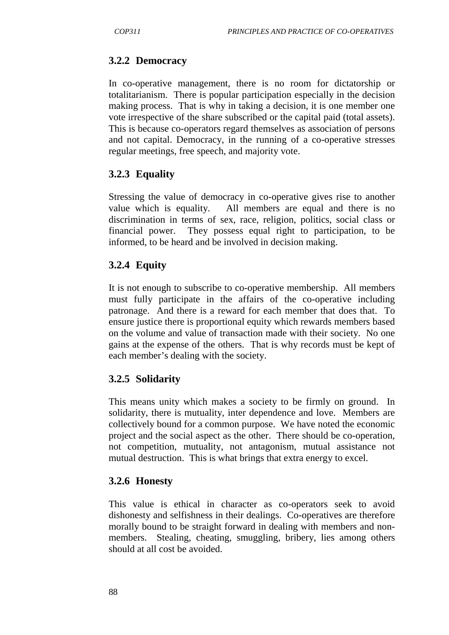#### **3.2.2 Democracy**

In co-operative management, there is no room for dictatorship or totalitarianism. There is popular participation especially in the decision making process. That is why in taking a decision, it is one member one vote irrespective of the share subscribed or the capital paid (total assets). This is because co-operators regard themselves as association of persons and not capital. Democracy, in the running of a co-operative stresses regular meetings, free speech, and majority vote.

#### **3.2.3 Equality**

Stressing the value of democracy in co-operative gives rise to another value which is equality. All members are equal and there is no discrimination in terms of sex, race, religion, politics, social class or financial power. They possess equal right to participation, to be informed, to be heard and be involved in decision making.

#### **3.2.4 Equity**

It is not enough to subscribe to co-operative membership. All members must fully participate in the affairs of the co-operative including patronage. And there is a reward for each member that does that. To ensure justice there is proportional equity which rewards members based on the volume and value of transaction made with their society. No one gains at the expense of the others. That is why records must be kept of each member's dealing with the society.

#### **3.2.5 Solidarity**

This means unity which makes a society to be firmly on ground. In solidarity, there is mutuality, inter dependence and love. Members are collectively bound for a common purpose. We have noted the economic project and the social aspect as the other. There should be co-operation, not competition, mutuality, not antagonism, mutual assistance not mutual destruction. This is what brings that extra energy to excel.

#### **3.2.6 Honesty**

This value is ethical in character as co-operators seek to avoid dishonesty and selfishness in their dealings. Co-operatives are therefore morally bound to be straight forward in dealing with members and nonmembers. Stealing, cheating, smuggling, bribery, lies among others should at all cost be avoided.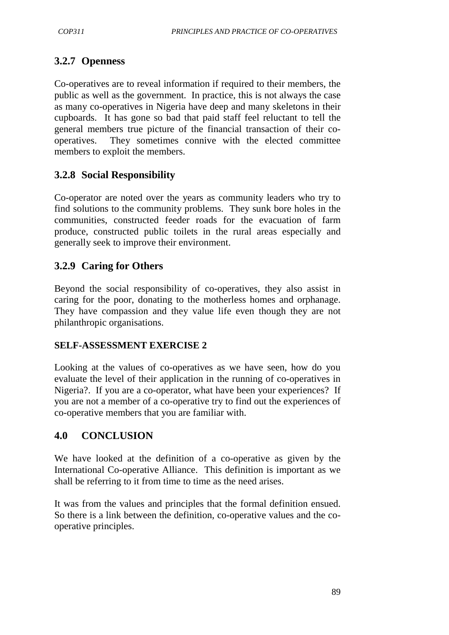# **3.2.7 Openness**

Co-operatives are to reveal information if required to their members, the public as well as the government. In practice, this is not always the case as many co-operatives in Nigeria have deep and many skeletons in their cupboards. It has gone so bad that paid staff feel reluctant to tell the general members true picture of the financial transaction of their cooperatives. They sometimes connive with the elected committee members to exploit the members.

## **3.2.8 Social Responsibility**

Co-operator are noted over the years as community leaders who try to find solutions to the community problems. They sunk bore holes in the communities, constructed feeder roads for the evacuation of farm produce, constructed public toilets in the rural areas especially and generally seek to improve their environment.

## **3.2.9 Caring for Others**

Beyond the social responsibility of co-operatives, they also assist in caring for the poor, donating to the motherless homes and orphanage. They have compassion and they value life even though they are not philanthropic organisations.

#### **SELF-ASSESSMENT EXERCISE 2**

Looking at the values of co-operatives as we have seen, how do you evaluate the level of their application in the running of co-operatives in Nigeria?. If you are a co-operator, what have been your experiences? If you are not a member of a co-operative try to find out the experiences of co-operative members that you are familiar with.

### **4.0 CONCLUSION**

We have looked at the definition of a co-operative as given by the International Co-operative Alliance. This definition is important as we shall be referring to it from time to time as the need arises.

It was from the values and principles that the formal definition ensued. So there is a link between the definition, co-operative values and the cooperative principles.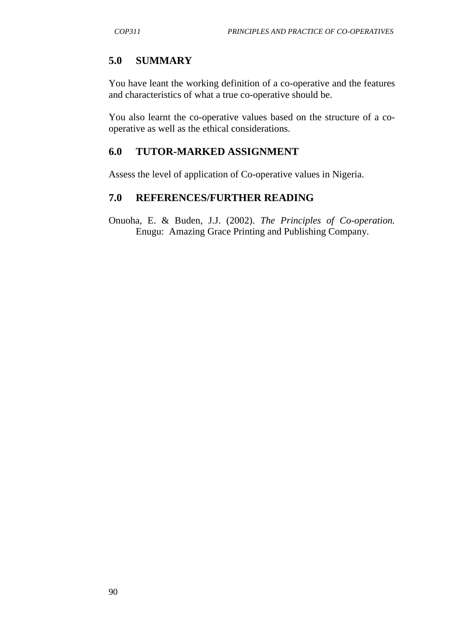## **5.0 SUMMARY**

You have leant the working definition of a co-operative and the features and characteristics of what a true co-operative should be.

You also learnt the co-operative values based on the structure of a cooperative as well as the ethical considerations.

## **6.0 TUTOR-MARKED ASSIGNMENT**

Assess the level of application of Co-operative values in Nigeria.

### **7.0 REFERENCES/FURTHER READING**

Onuoha, E. & Buden, J.J. (2002). *The Principles of Co-operation.* Enugu: Amazing Grace Printing and Publishing Company.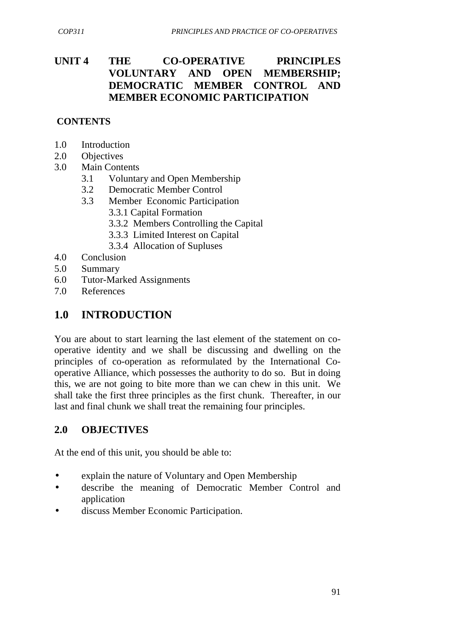## **UNIT 4 THE CO-OPERATIVE PRINCIPLES VOLUNTARY AND OPEN MEMBERSHIP; DEMOCRATIC MEMBER CONTROL AND MEMBER ECONOMIC PARTICIPATION**

### **CONTENTS**

- 1.0 Introduction
- 2.0 Objectives
- 3.0 Main Contents
	- 3.1 Voluntary and Open Membership
	- 3.2 Democratic Member Control
	- 3.3 Member Economic Participation
		- 3.3.1 Capital Formation
		- 3.3.2 Members Controlling the Capital
		- 3.3.3 Limited Interest on Capital
		- 3.3.4 Allocation of Supluses
- 4.0 Conclusion
- 5.0 Summary
- 6.0 Tutor-Marked Assignments
- 7.0 References

# **1.0 INTRODUCTION**

You are about to start learning the last element of the statement on cooperative identity and we shall be discussing and dwelling on the principles of co-operation as reformulated by the International Cooperative Alliance, which possesses the authority to do so. But in doing this, we are not going to bite more than we can chew in this unit. We shall take the first three principles as the first chunk. Thereafter, in our last and final chunk we shall treat the remaining four principles.

## **2.0 OBJECTIVES**

At the end of this unit, you should be able to:

- explain the nature of Voluntary and Open Membership
- describe the meaning of Democratic Member Control and application
- discuss Member Economic Participation.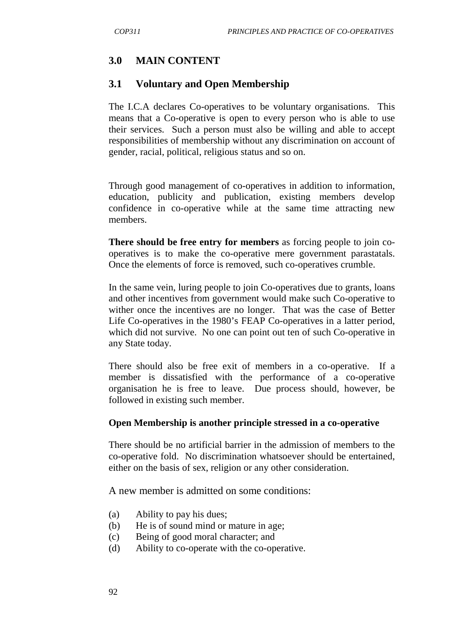## **3.0 MAIN CONTENT**

#### **3.1 Voluntary and Open Membership**

The I.C.A declares Co-operatives to be voluntary organisations. This means that a Co-operative is open to every person who is able to use their services. Such a person must also be willing and able to accept responsibilities of membership without any discrimination on account of gender, racial, political, religious status and so on.

Through good management of co-operatives in addition to information, education, publicity and publication, existing members develop confidence in co-operative while at the same time attracting new members.

**There should be free entry for members** as forcing people to join cooperatives is to make the co-operative mere government parastatals. Once the elements of force is removed, such co-operatives crumble.

In the same vein, luring people to join Co-operatives due to grants, loans and other incentives from government would make such Co-operative to wither once the incentives are no longer. That was the case of Better Life Co-operatives in the 1980's FEAP Co-operatives in a latter period, which did not survive. No one can point out ten of such Co-operative in any State today.

There should also be free exit of members in a co-operative. If a member is dissatisfied with the performance of a co-operative organisation he is free to leave. Due process should, however, be followed in existing such member.

#### **Open Membership is another principle stressed in a co-operative**

There should be no artificial barrier in the admission of members to the co-operative fold. No discrimination whatsoever should be entertained, either on the basis of sex, religion or any other consideration.

A new member is admitted on some conditions:

- (a) Ability to pay his dues;
- (b) He is of sound mind or mature in age;
- (c) Being of good moral character; and
- (d) Ability to co-operate with the co-operative.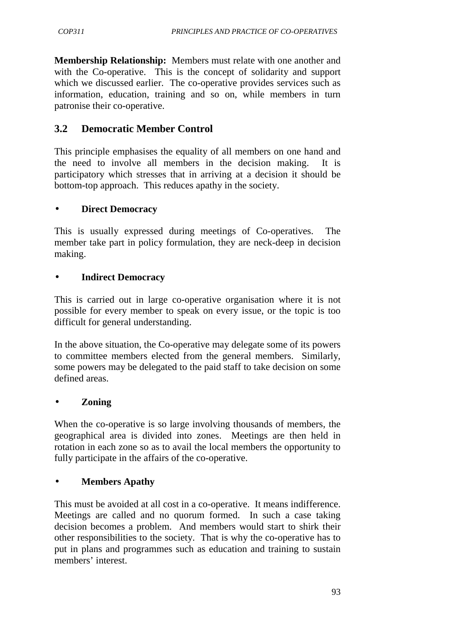**Membership Relationship:** Members must relate with one another and with the Co-operative. This is the concept of solidarity and support which we discussed earlier. The co-operative provides services such as information, education, training and so on, while members in turn patronise their co-operative.

# **3.2 Democratic Member Control**

This principle emphasises the equality of all members on one hand and the need to involve all members in the decision making. It is participatory which stresses that in arriving at a decision it should be bottom-top approach. This reduces apathy in the society.

### • **Direct Democracy**

This is usually expressed during meetings of Co-operatives. The member take part in policy formulation, they are neck-deep in decision making.

### • **Indirect Democracy**

This is carried out in large co-operative organisation where it is not possible for every member to speak on every issue, or the topic is too difficult for general understanding.

In the above situation, the Co-operative may delegate some of its powers to committee members elected from the general members. Similarly, some powers may be delegated to the paid staff to take decision on some defined areas.

#### • **Zoning**

When the co-operative is so large involving thousands of members, the geographical area is divided into zones. Meetings are then held in rotation in each zone so as to avail the local members the opportunity to fully participate in the affairs of the co-operative.

## • **Members Apathy**

This must be avoided at all cost in a co-operative. It means indifference. Meetings are called and no quorum formed. In such a case taking decision becomes a problem. And members would start to shirk their other responsibilities to the society. That is why the co-operative has to put in plans and programmes such as education and training to sustain members' interest.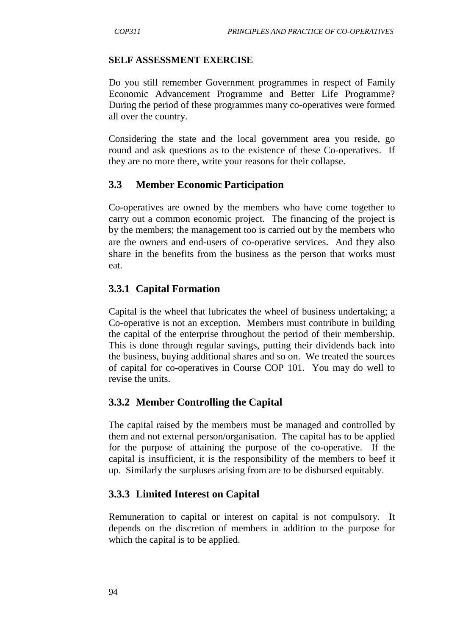#### **SELF ASSESSMENT EXERCISE**

Do you still remember Government programmes in respect of Family Economic Advancement Programme and Better Life Programme? During the period of these programmes many co-operatives were formed all over the country.

Considering the state and the local government area you reside, go round and ask questions as to the existence of these Co-operatives. If they are no more there, write your reasons for their collapse.

# **3.3 Member Economic Participation**

Co-operatives are owned by the members who have come together to carry out a common economic project. The financing of the project is by the members; the management too is carried out by the members who are the owners and end-users of co-operative services. And they also share in the benefits from the business as the person that works must eat.

# **3.3.1 Capital Formation**

Capital is the wheel that lubricates the wheel of business undertaking; a Co-operative is not an exception. Members must contribute in building the capital of the enterprise throughout the period of their membership. This is done through regular savings, putting their dividends back into the business, buying additional shares and so on. We treated the sources of capital for co-operatives in Course COP 101. You may do well to revise the units.

## **3.3.2 Member Controlling the Capital**

The capital raised by the members must be managed and controlled by them and not external person/organisation. The capital has to be applied for the purpose of attaining the purpose of the co-operative. If the capital is insufficient, it is the responsibility of the members to beef it up. Similarly the surpluses arising from are to be disbursed equitably.

# **3.3.3 Limited Interest on Capital**

Remuneration to capital or interest on capital is not compulsory. It depends on the discretion of members in addition to the purpose for which the capital is to be applied.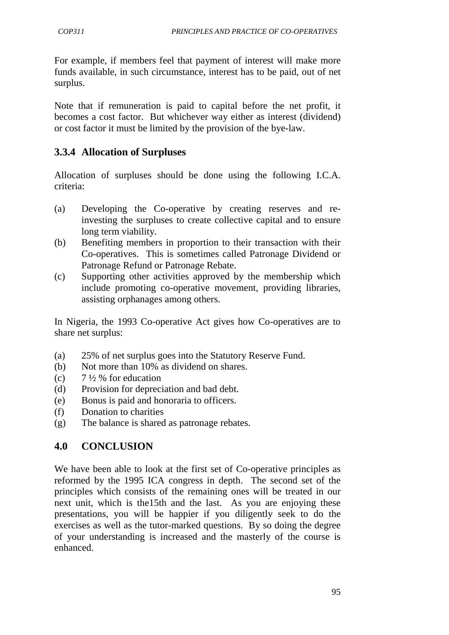For example, if members feel that payment of interest will make more funds available, in such circumstance, interest has to be paid, out of net surplus.

Note that if remuneration is paid to capital before the net profit, it becomes a cost factor. But whichever way either as interest (dividend) or cost factor it must be limited by the provision of the bye-law.

# **3.3.4 Allocation of Surpluses**

Allocation of surpluses should be done using the following I.C.A. criteria:

- (a) Developing the Co-operative by creating reserves and reinvesting the surpluses to create collective capital and to ensure long term viability.
- (b) Benefiting members in proportion to their transaction with their Co-operatives. This is sometimes called Patronage Dividend or Patronage Refund or Patronage Rebate.
- (c) Supporting other activities approved by the membership which include promoting co-operative movement, providing libraries, assisting orphanages among others.

In Nigeria, the 1993 Co-operative Act gives how Co-operatives are to share net surplus:

- (a) 25% of net surplus goes into the Statutory Reserve Fund.
- (b) Not more than 10% as dividend on shares.
- (c)  $7\frac{1}{2}$  % for education
- (d) Provision for depreciation and bad debt.
- (e) Bonus is paid and honoraria to officers.
- (f) Donation to charities
- (g) The balance is shared as patronage rebates.

## **4.0 CONCLUSION**

We have been able to look at the first set of Co-operative principles as reformed by the 1995 ICA congress in depth. The second set of the principles which consists of the remaining ones will be treated in our next unit, which is the15th and the last. As you are enjoying these presentations, you will be happier if you diligently seek to do the exercises as well as the tutor-marked questions. By so doing the degree of your understanding is increased and the masterly of the course is enhanced.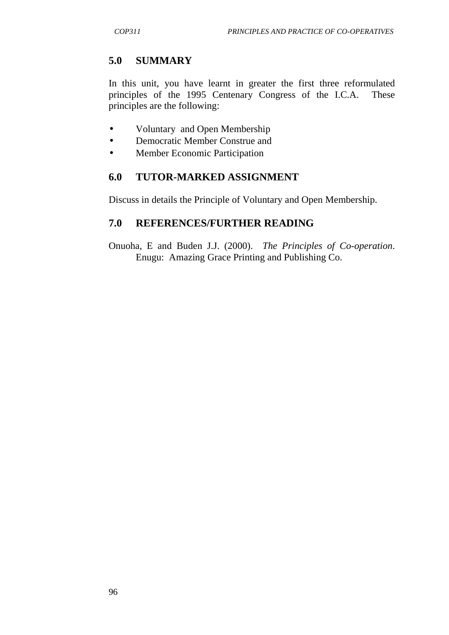# **5.0 SUMMARY**

In this unit, you have learnt in greater the first three reformulated principles of the 1995 Centenary Congress of the I.C.A. These principles are the following:

- Voluntary and Open Membership
- Democratic Member Construe and
- Member Economic Participation

# **6.0 TUTOR-MARKED ASSIGNMENT**

Discuss in details the Principle of Voluntary and Open Membership.

# **7.0 REFERENCES/FURTHER READING**

Onuoha, E and Buden J.J. (2000). *The Principles of Co-operation*. Enugu: Amazing Grace Printing and Publishing Co.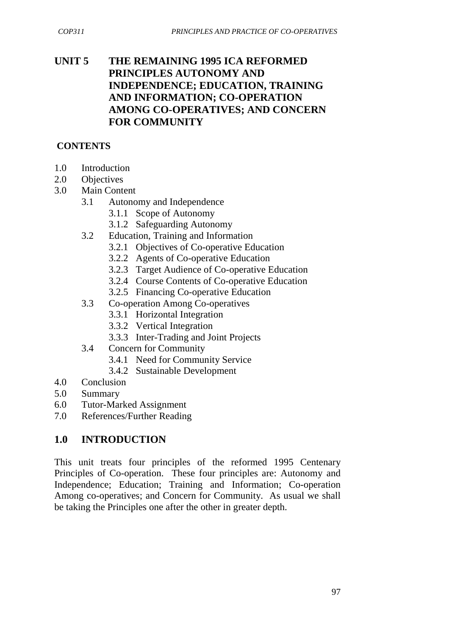# **UNIT 5 THE REMAINING 1995 ICA REFORMED PRINCIPLES AUTONOMY AND INDEPENDENCE; EDUCATION, TRAINING AND INFORMATION; CO-OPERATION AMONG CO-OPERATIVES; AND CONCERN FOR COMMUNITY**

### **CONTENTS**

- 1.0 Introduction
- 2.0 Objectives
- 3.0 Main Content
	- 3.1 Autonomy and Independence
		- 3.1.1 Scope of Autonomy
		- 3.1.2 Safeguarding Autonomy
	- 3.2 Education, Training and Information
		- 3.2.1 Objectives of Co-operative Education
		- 3.2.2 Agents of Co-operative Education
		- 3.2.3 Target Audience of Co-operative Education
		- 3.2.4 Course Contents of Co-operative Education
		- 3.2.5 Financing Co-operative Education
	- 3.3 Co-operation Among Co-operatives
		- 3.3.1 Horizontal Integration
		- 3.3.2 Vertical Integration
		- 3.3.3 Inter-Trading and Joint Projects
	- 3.4 Concern for Community
		- 3.4.1 Need for Community Service
		- 3.4.2 Sustainable Development
- 4.0 Conclusion
- 5.0 Summary
- 6.0 Tutor-Marked Assignment
- 7.0 References/Further Reading

## **1.0 INTRODUCTION**

This unit treats four principles of the reformed 1995 Centenary Principles of Co-operation. These four principles are: Autonomy and Independence; Education; Training and Information; Co-operation Among co-operatives; and Concern for Community. As usual we shall be taking the Principles one after the other in greater depth.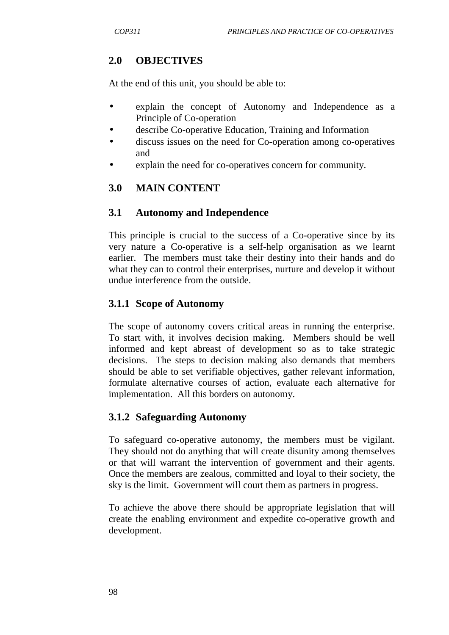# **2.0 OBJECTIVES**

At the end of this unit, you should be able to:

- explain the concept of Autonomy and Independence as a Principle of Co-operation
- describe Co-operative Education, Training and Information
- discuss issues on the need for Co-operation among co-operatives and
- explain the need for co-operatives concern for community.

# **3.0 MAIN CONTENT**

## **3.1 Autonomy and Independence**

This principle is crucial to the success of a Co-operative since by its very nature a Co-operative is a self-help organisation as we learnt earlier. The members must take their destiny into their hands and do what they can to control their enterprises, nurture and develop it without undue interference from the outside.

## **3.1.1 Scope of Autonomy**

The scope of autonomy covers critical areas in running the enterprise. To start with, it involves decision making. Members should be well informed and kept abreast of development so as to take strategic decisions. The steps to decision making also demands that members should be able to set verifiable objectives, gather relevant information, formulate alternative courses of action, evaluate each alternative for implementation. All this borders on autonomy.

## **3.1.2 Safeguarding Autonomy**

To safeguard co-operative autonomy, the members must be vigilant. They should not do anything that will create disunity among themselves or that will warrant the intervention of government and their agents. Once the members are zealous, committed and loyal to their society, the sky is the limit. Government will court them as partners in progress.

To achieve the above there should be appropriate legislation that will create the enabling environment and expedite co-operative growth and development.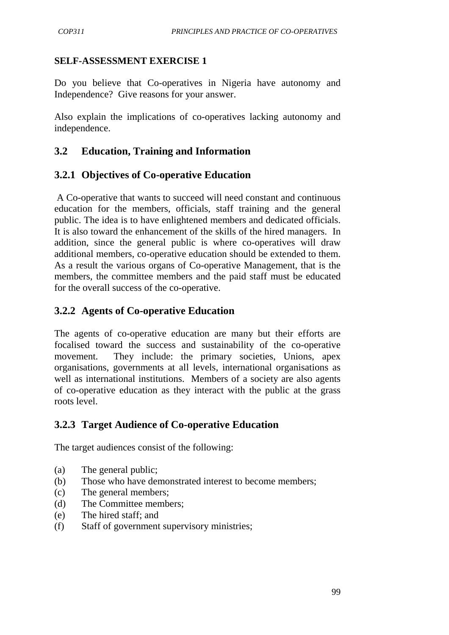#### **SELF-ASSESSMENT EXERCISE 1**

Do you believe that Co-operatives in Nigeria have autonomy and Independence? Give reasons for your answer.

Also explain the implications of co-operatives lacking autonomy and independence.

# **3.2 Education, Training and Information**

## **3.2.1 Objectives of Co-operative Education**

 A Co-operative that wants to succeed will need constant and continuous education for the members, officials, staff training and the general public. The idea is to have enlightened members and dedicated officials. It is also toward the enhancement of the skills of the hired managers. In addition, since the general public is where co-operatives will draw additional members, co-operative education should be extended to them. As a result the various organs of Co-operative Management, that is the members, the committee members and the paid staff must be educated for the overall success of the co-operative.

## **3.2.2 Agents of Co-operative Education**

The agents of co-operative education are many but their efforts are focalised toward the success and sustainability of the co-operative movement. They include: the primary societies, Unions, apex organisations, governments at all levels, international organisations as well as international institutions. Members of a society are also agents of co-operative education as they interact with the public at the grass roots level.

## **3.2.3 Target Audience of Co-operative Education**

The target audiences consist of the following:

- (a) The general public;
- (b) Those who have demonstrated interest to become members;
- (c) The general members;
- (d) The Committee members;
- (e) The hired staff; and
- (f) Staff of government supervisory ministries;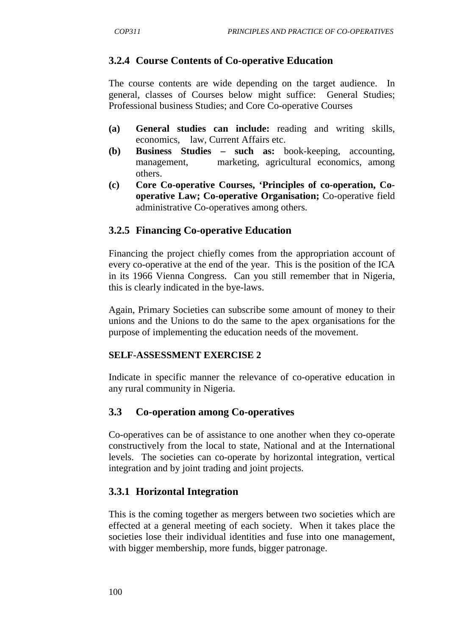# **3.2.4 Course Contents of Co-operative Education**

The course contents are wide depending on the target audience. In general, classes of Courses below might suffice: General Studies; Professional business Studies; and Core Co-operative Courses

- **(a) General studies can include:** reading and writing skills, economics, law, Current Affairs etc.
- **(b) Business Studies such as:** book-keeping, accounting, management, marketing, agricultural economics, among others.
- **(c) Core Co-operative Courses, 'Principles of co-operation, Co operative Law; Co-operative Organisation;** Co-operative field administrative Co-operatives among others.

## **3.2.5 Financing Co-operative Education**

Financing the project chiefly comes from the appropriation account of every co-operative at the end of the year. This is the position of the ICA in its 1966 Vienna Congress. Can you still remember that in Nigeria, this is clearly indicated in the bye-laws.

Again, Primary Societies can subscribe some amount of money to their unions and the Unions to do the same to the apex organisations for the purpose of implementing the education needs of the movement.

#### **SELF-ASSESSMENT EXERCISE 2**

Indicate in specific manner the relevance of co-operative education in any rural community in Nigeria.

## **3.3 Co-operation among Co-operatives**

Co-operatives can be of assistance to one another when they co-operate constructively from the local to state, National and at the International levels. The societies can co-operate by horizontal integration, vertical integration and by joint trading and joint projects.

## **3.3.1 Horizontal Integration**

This is the coming together as mergers between two societies which are effected at a general meeting of each society. When it takes place the societies lose their individual identities and fuse into one management, with bigger membership, more funds, bigger patronage.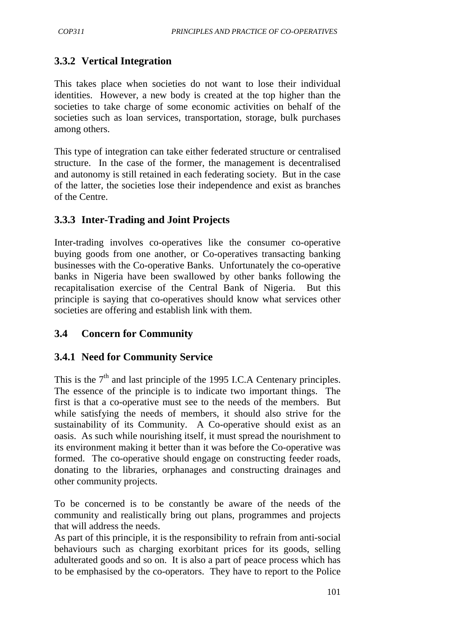# **3.3.2 Vertical Integration**

This takes place when societies do not want to lose their individual identities. However, a new body is created at the top higher than the societies to take charge of some economic activities on behalf of the societies such as loan services, transportation, storage, bulk purchases among others.

This type of integration can take either federated structure or centralised structure. In the case of the former, the management is decentralised and autonomy is still retained in each federating society. But in the case of the latter, the societies lose their independence and exist as branches of the Centre.

# **3.3.3 Inter-Trading and Joint Projects**

Inter-trading involves co-operatives like the consumer co-operative buying goods from one another, or Co-operatives transacting banking businesses with the Co-operative Banks. Unfortunately the co-operative banks in Nigeria have been swallowed by other banks following the recapitalisation exercise of the Central Bank of Nigeria. But this principle is saying that co-operatives should know what services other societies are offering and establish link with them.

# **3.4 Concern for Community**

## **3.4.1 Need for Community Service**

This is the  $7<sup>th</sup>$  and last principle of the 1995 I.C.A Centenary principles. The essence of the principle is to indicate two important things. The first is that a co-operative must see to the needs of the members. But while satisfying the needs of members, it should also strive for the sustainability of its Community. A Co-operative should exist as an oasis. As such while nourishing itself, it must spread the nourishment to its environment making it better than it was before the Co-operative was formed. The co-operative should engage on constructing feeder roads, donating to the libraries, orphanages and constructing drainages and other community projects.

To be concerned is to be constantly be aware of the needs of the community and realistically bring out plans, programmes and projects that will address the needs.

As part of this principle, it is the responsibility to refrain from anti-social behaviours such as charging exorbitant prices for its goods, selling adulterated goods and so on. It is also a part of peace process which has to be emphasised by the co-operators. They have to report to the Police